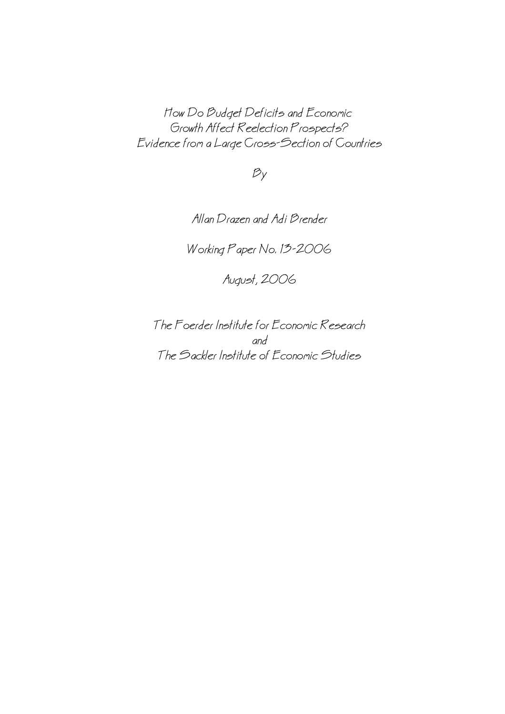How Do Budget Deficits and Economic Growth Affect Reelection Prospects? Evidence from a Large Cross−Section of Countries

 $B_y$ 

Allan Drazen and Adi Brender

Working Paper No. 13−2006

August, 2006

The Foerder Institute for Economic Research and The Sackler Institute of Economic Studies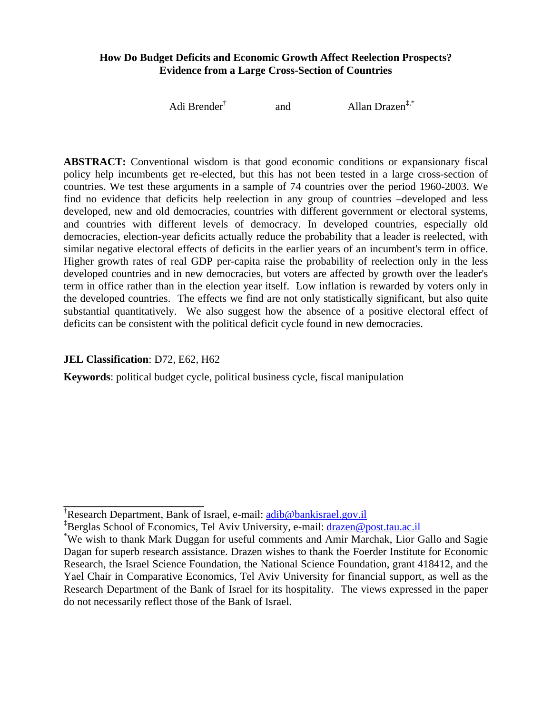# **How Do Budget Deficits and Economic Growth Affect Reelection Prospects? Evidence from a Large Cross-Section of Countries**

```
Adi Brender†
       and Allan Drazen‡,*
```
**ABSTRACT:** Conventional wisdom is that good economic conditions or expansionary fiscal policy help incumbents get re-elected, but this has not been tested in a large cross-section of countries. We test these arguments in a sample of 74 countries over the period 1960-2003. We find no evidence that deficits help reelection in any group of countries –developed and less developed, new and old democracies, countries with different government or electoral systems, and countries with different levels of democracy. In developed countries, especially old democracies, election-year deficits actually reduce the probability that a leader is reelected, with similar negative electoral effects of deficits in the earlier years of an incumbent's term in office. Higher growth rates of real GDP per-capita raise the probability of reelection only in the less developed countries and in new democracies, but voters are affected by growth over the leader's term in office rather than in the election year itself. Low inflation is rewarded by voters only in the developed countries. The effects we find are not only statistically significant, but also quite substantial quantitatively. We also suggest how the absence of a positive electoral effect of deficits can be consistent with the political deficit cycle found in new democracies.

# **JEL Classification**: D72, E62, H62

**Keywords**: political budget cycle, political business cycle, fiscal manipulation

**\_\_\_\_\_\_\_\_\_\_\_\_\_\_\_\_\_\_\_\_\_\_\_\_\_\_**  <sup>†</sup>Research Department, Bank of Israel, e-mail: **adib@bankisrael.gov.il** 

<sup>&</sup>lt;sup>‡</sup>Berglas School of Economics, Tel Aviv University, e-mail: **drazen@post.tau.ac.il**<br>\*We wish to thank Mark Duggen for useful comments and Amir Marshak Lier.

We wish to thank Mark Duggan for useful comments and Amir Marchak, Lior Gallo and Sagie Dagan for superb research assistance. Drazen wishes to thank the Foerder Institute for Economic Research, the Israel Science Foundation, the National Science Foundation, grant 418412, and the Yael Chair in Comparative Economics, Tel Aviv University for financial support, as well as the Research Department of the Bank of Israel for its hospitality. The views expressed in the paper do not necessarily reflect those of the Bank of Israel.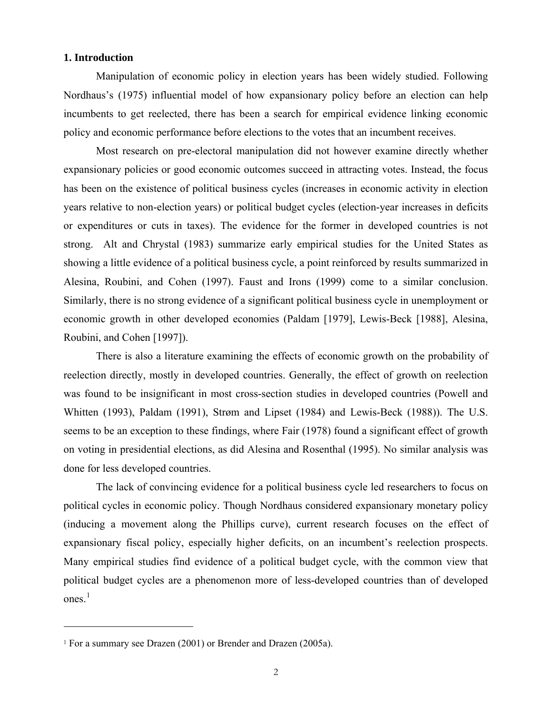#### **1. Introduction**

Manipulation of economic policy in election years has been widely studied. Following Nordhaus's (1975) influential model of how expansionary policy before an election can help incumbents to get reelected, there has been a search for empirical evidence linking economic policy and economic performance before elections to the votes that an incumbent receives.

Most research on pre-electoral manipulation did not however examine directly whether expansionary policies or good economic outcomes succeed in attracting votes. Instead, the focus has been on the existence of political business cycles (increases in economic activity in election years relative to non-election years) or political budget cycles (election-year increases in deficits or expenditures or cuts in taxes). The evidence for the former in developed countries is not strong. Alt and Chrystal (1983) summarize early empirical studies for the United States as showing a little evidence of a political business cycle, a point reinforced by results summarized in Alesina, Roubini, and Cohen (1997). Faust and Irons (1999) come to a similar conclusion. Similarly, there is no strong evidence of a significant political business cycle in unemployment or economic growth in other developed economies (Paldam [1979], Lewis-Beck [1988], Alesina, Roubini, and Cohen [1997]).

There is also a literature examining the effects of economic growth on the probability of reelection directly, mostly in developed countries. Generally, the effect of growth on reelection was found to be insignificant in most cross-section studies in developed countries (Powell and Whitten (1993), Paldam (1991), Strøm and Lipset (1984) and Lewis-Beck (1988)). The U.S. seems to be an exception to these findings, where Fair (1978) found a significant effect of growth on voting in presidential elections, as did Alesina and Rosenthal (1995). No similar analysis was done for less developed countries.

The lack of convincing evidence for a political business cycle led researchers to focus on political cycles in economic policy. Though Nordhaus considered expansionary monetary policy (inducing a movement along the Phillips curve), current research focuses on the effect of expansionary fiscal policy, especially higher deficits, on an incumbent's reelection prospects. Many empirical studies find evidence of a political budget cycle, with the common view that political budget cycles are a phenomenon more of less-developed countries than of developed ones. $<sup>1</sup>$  $<sup>1</sup>$  $<sup>1</sup>$ </sup>

<span id="page-2-0"></span><sup>1</sup> For a summary see Drazen (2001) or Brender and Drazen (2005a).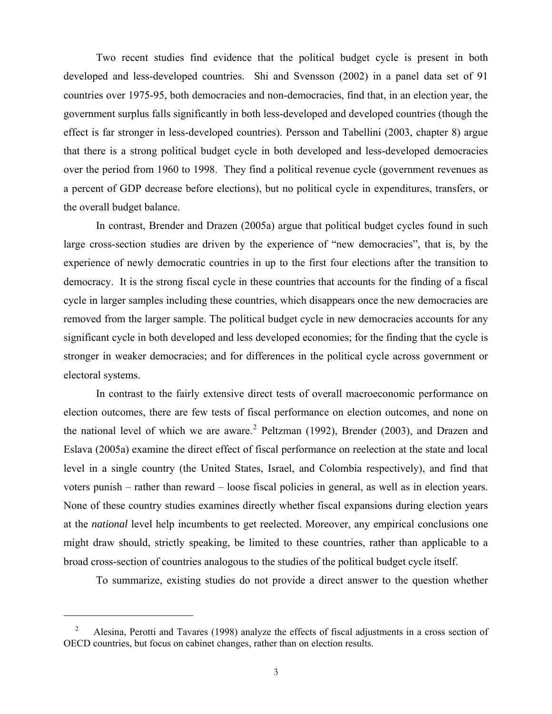Two recent studies find evidence that the political budget cycle is present in both developed and less-developed countries. Shi and Svensson (2002) in a panel data set of 91 countries over 1975-95, both democracies and non-democracies, find that, in an election year, the government surplus falls significantly in both less-developed and developed countries (though the effect is far stronger in less-developed countries). Persson and Tabellini (2003, chapter 8) argue that there is a strong political budget cycle in both developed and less-developed democracies over the period from 1960 to 1998. They find a political revenue cycle (government revenues as a percent of GDP decrease before elections), but no political cycle in expenditures, transfers, or the overall budget balance.

In contrast, Brender and Drazen (2005a) argue that political budget cycles found in such large cross-section studies are driven by the experience of "new democracies", that is, by the experience of newly democratic countries in up to the first four elections after the transition to democracy. It is the strong fiscal cycle in these countries that accounts for the finding of a fiscal cycle in larger samples including these countries, which disappears once the new democracies are removed from the larger sample. The political budget cycle in new democracies accounts for any significant cycle in both developed and less developed economies; for the finding that the cycle is stronger in weaker democracies; and for differences in the political cycle across government or electoral systems.

In contrast to the fairly extensive direct tests of overall macroeconomic performance on election outcomes, there are few tests of fiscal performance on election outcomes, and none on the national level of which we are aware.<sup>[2](#page-3-0)</sup> Peltzman (1992), Brender (2003), and Drazen and Eslava (2005a) examine the direct effect of fiscal performance on reelection at the state and local level in a single country (the United States, Israel, and Colombia respectively), and find that voters punish – rather than reward – loose fiscal policies in general, as well as in election years. None of these country studies examines directly whether fiscal expansions during election years at the *national* level help incumbents to get reelected. Moreover, any empirical conclusions one might draw should, strictly speaking, be limited to these countries, rather than applicable to a broad cross-section of countries analogous to the studies of the political budget cycle itself.

To summarize, existing studies do not provide a direct answer to the question whether

<span id="page-3-0"></span><sup>2</sup> Alesina, Perotti and Tavares (1998) analyze the effects of fiscal adjustments in a cross section of OECD countries, but focus on cabinet changes, rather than on election results.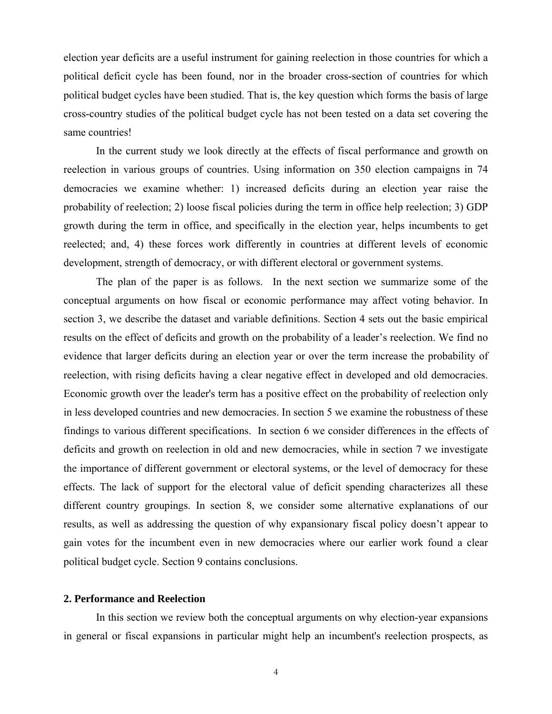election year deficits are a useful instrument for gaining reelection in those countries for which a political deficit cycle has been found, nor in the broader cross-section of countries for which political budget cycles have been studied. That is, the key question which forms the basis of large cross-country studies of the political budget cycle has not been tested on a data set covering the same countries!

In the current study we look directly at the effects of fiscal performance and growth on reelection in various groups of countries. Using information on 350 election campaigns in 74 democracies we examine whether: 1) increased deficits during an election year raise the probability of reelection; 2) loose fiscal policies during the term in office help reelection; 3) GDP growth during the term in office, and specifically in the election year, helps incumbents to get reelected; and, 4) these forces work differently in countries at different levels of economic development, strength of democracy, or with different electoral or government systems.

The plan of the paper is as follows. In the next section we summarize some of the conceptual arguments on how fiscal or economic performance may affect voting behavior. In section 3, we describe the dataset and variable definitions. Section 4 sets out the basic empirical results on the effect of deficits and growth on the probability of a leader's reelection. We find no evidence that larger deficits during an election year or over the term increase the probability of reelection, with rising deficits having a clear negative effect in developed and old democracies. Economic growth over the leader's term has a positive effect on the probability of reelection only in less developed countries and new democracies. In section 5 we examine the robustness of these findings to various different specifications. In section 6 we consider differences in the effects of deficits and growth on reelection in old and new democracies, while in section 7 we investigate the importance of different government or electoral systems, or the level of democracy for these effects. The lack of support for the electoral value of deficit spending characterizes all these different country groupings. In section 8, we consider some alternative explanations of our results, as well as addressing the question of why expansionary fiscal policy doesn't appear to gain votes for the incumbent even in new democracies where our earlier work found a clear political budget cycle. Section 9 contains conclusions.

## **2. Performance and Reelection**

In this section we review both the conceptual arguments on why election-year expansions in general or fiscal expansions in particular might help an incumbent's reelection prospects, as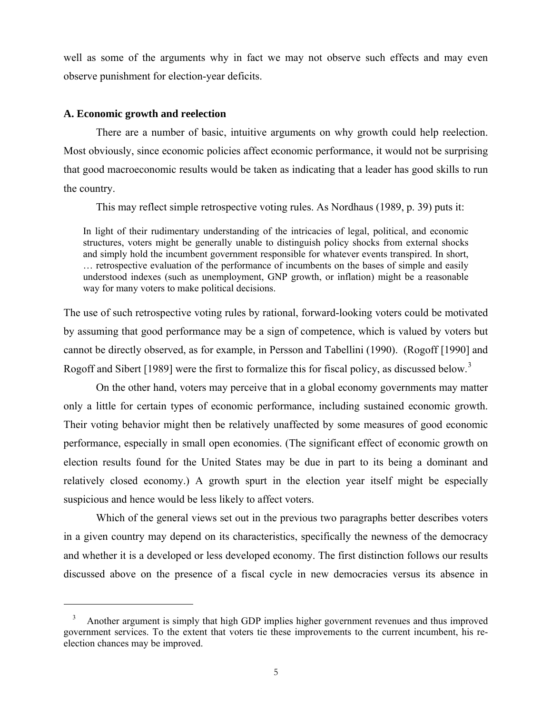well as some of the arguments why in fact we may not observe such effects and may even observe punishment for election-year deficits.

#### **A. Economic growth and reelection**

 $\overline{a}$ 

There are a number of basic, intuitive arguments on why growth could help reelection. Most obviously, since economic policies affect economic performance, it would not be surprising that good macroeconomic results would be taken as indicating that a leader has good skills to run the country.

This may reflect simple retrospective voting rules. As Nordhaus (1989, p. 39) puts it:

In light of their rudimentary understanding of the intricacies of legal, political, and economic structures, voters might be generally unable to distinguish policy shocks from external shocks and simply hold the incumbent government responsible for whatever events transpired. In short, … retrospective evaluation of the performance of incumbents on the bases of simple and easily understood indexes (such as unemployment, GNP growth, or inflation) might be a reasonable way for many voters to make political decisions.

The use of such retrospective voting rules by rational, forward-looking voters could be motivated by assuming that good performance may be a sign of competence, which is valued by voters but cannot be directly observed, as for example, in Persson and Tabellini (1990). (Rogoff [1990] and Rogoff and Sibert [1989] were the first to formalize this for fiscal policy, as discussed below.<sup>[3](#page-5-0)</sup>

On the other hand, voters may perceive that in a global economy governments may matter only a little for certain types of economic performance, including sustained economic growth. Their voting behavior might then be relatively unaffected by some measures of good economic performance, especially in small open economies. (The significant effect of economic growth on election results found for the United States may be due in part to its being a dominant and relatively closed economy.) A growth spurt in the election year itself might be especially suspicious and hence would be less likely to affect voters.

Which of the general views set out in the previous two paragraphs better describes voters in a given country may depend on its characteristics, specifically the newness of the democracy and whether it is a developed or less developed economy. The first distinction follows our results discussed above on the presence of a fiscal cycle in new democracies versus its absence in

<span id="page-5-0"></span><sup>&</sup>lt;sup>3</sup> Another argument is simply that high GDP implies higher government revenues and thus improved government services. To the extent that voters tie these improvements to the current incumbent, his reelection chances may be improved.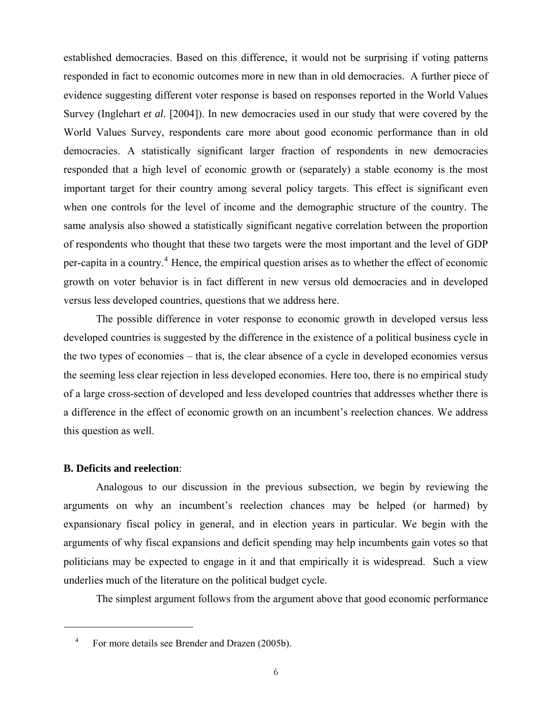established democracies. Based on this difference, it would not be surprising if voting patterns responded in fact to economic outcomes more in new than in old democracies. A further piece of evidence suggesting different voter response is based on responses reported in the World Values Survey (Inglehart *et al*. [2004]). In new democracies used in our study that were covered by the World Values Survey, respondents care more about good economic performance than in old democracies. A statistically significant larger fraction of respondents in new democracies responded that a high level of economic growth or (separately) a stable economy is the most important target for their country among several policy targets. This effect is significant even when one controls for the level of income and the demographic structure of the country. The same analysis also showed a statistically significant negative correlation between the proportion of respondents who thought that these two targets were the most important and the level of GDP per-capita in a country.<sup>[4](#page-6-0)</sup> Hence, the empirical question arises as to whether the effect of economic growth on voter behavior is in fact different in new versus old democracies and in developed versus less developed countries, questions that we address here.

The possible difference in voter response to economic growth in developed versus less developed countries is suggested by the difference in the existence of a political business cycle in the two types of economies – that is, the clear absence of a cycle in developed economies versus the seeming less clear rejection in less developed economies. Here too, there is no empirical study of a large cross-section of developed and less developed countries that addresses whether there is a difference in the effect of economic growth on an incumbent's reelection chances. We address this question as well.

## **B. Deficits and reelection**:

<span id="page-6-0"></span> $\overline{a}$ 

Analogous to our discussion in the previous subsection, we begin by reviewing the arguments on why an incumbent's reelection chances may be helped (or harmed) by expansionary fiscal policy in general, and in election years in particular. We begin with the arguments of why fiscal expansions and deficit spending may help incumbents gain votes so that politicians may be expected to engage in it and that empirically it is widespread. Such a view underlies much of the literature on the political budget cycle.

The simplest argument follows from the argument above that good economic performance

<sup>&</sup>lt;sup>4</sup> For more details see Brender and Drazen (2005b).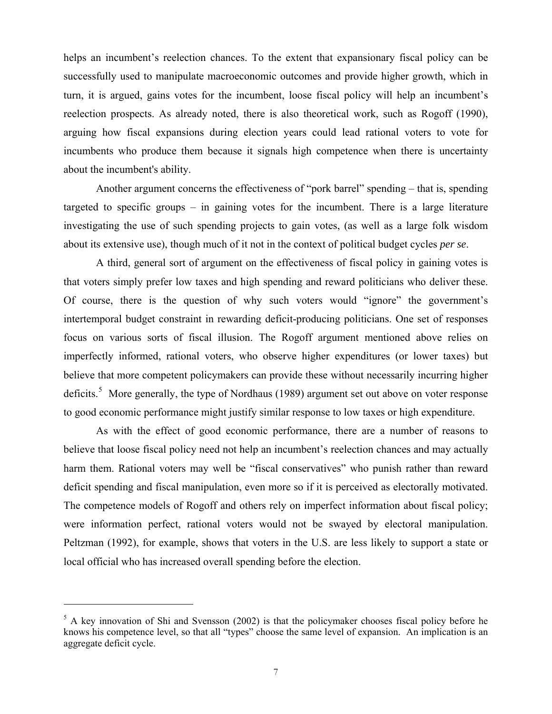helps an incumbent's reelection chances. To the extent that expansionary fiscal policy can be successfully used to manipulate macroeconomic outcomes and provide higher growth, which in turn, it is argued, gains votes for the incumbent, loose fiscal policy will help an incumbent's reelection prospects. As already noted, there is also theoretical work, such as Rogoff (1990), arguing how fiscal expansions during election years could lead rational voters to vote for incumbents who produce them because it signals high competence when there is uncertainty about the incumbent's ability.

Another argument concerns the effectiveness of "pork barrel" spending – that is, spending targeted to specific groups – in gaining votes for the incumbent. There is a large literature investigating the use of such spending projects to gain votes, (as well as a large folk wisdom about its extensive use), though much of it not in the context of political budget cycles *per se*.

A third, general sort of argument on the effectiveness of fiscal policy in gaining votes is that voters simply prefer low taxes and high spending and reward politicians who deliver these. Of course, there is the question of why such voters would "ignore" the government's intertemporal budget constraint in rewarding deficit-producing politicians. One set of responses focus on various sorts of fiscal illusion. The Rogoff argument mentioned above relies on imperfectly informed, rational voters, who observe higher expenditures (or lower taxes) but believe that more competent policymakers can provide these without necessarily incurring higher deficits.<sup>[5](#page-7-0)</sup> More generally, the type of Nordhaus (1989) argument set out above on voter response to good economic performance might justify similar response to low taxes or high expenditure.

As with the effect of good economic performance, there are a number of reasons to believe that loose fiscal policy need not help an incumbent's reelection chances and may actually harm them. Rational voters may well be "fiscal conservatives" who punish rather than reward deficit spending and fiscal manipulation, even more so if it is perceived as electorally motivated. The competence models of Rogoff and others rely on imperfect information about fiscal policy; were information perfect, rational voters would not be swayed by electoral manipulation. Peltzman (1992), for example, shows that voters in the U.S. are less likely to support a state or local official who has increased overall spending before the election.

<span id="page-7-0"></span> $5$  A key innovation of Shi and Svensson (2002) is that the policymaker chooses fiscal policy before he knows his competence level, so that all "types" choose the same level of expansion. An implication is an aggregate deficit cycle.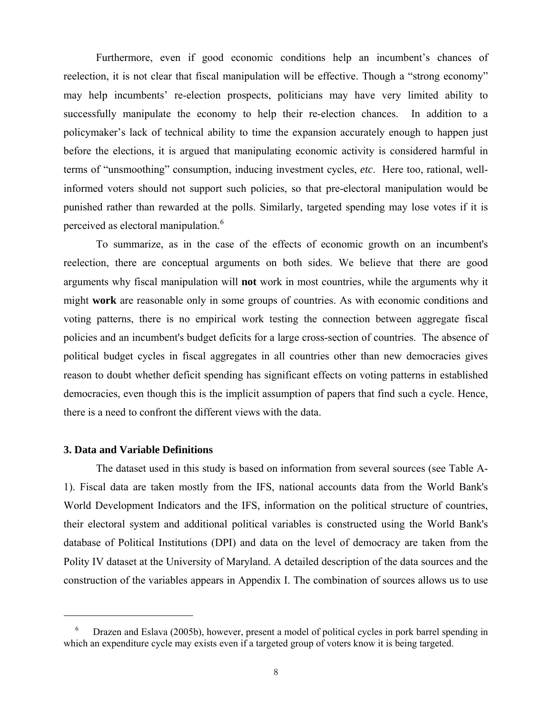Furthermore, even if good economic conditions help an incumbent's chances of reelection, it is not clear that fiscal manipulation will be effective. Though a "strong economy" may help incumbents' re-election prospects, politicians may have very limited ability to successfully manipulate the economy to help their re-election chances. In addition to a policymaker's lack of technical ability to time the expansion accurately enough to happen just before the elections, it is argued that manipulating economic activity is considered harmful in terms of "unsmoothing" consumption, inducing investment cycles, *etc*. Here too, rational, wellinformed voters should not support such policies, so that pre-electoral manipulation would be punished rather than rewarded at the polls. Similarly, targeted spending may lose votes if it is perceived as electoral manipulation.<sup>[6](#page-8-0)</sup>

To summarize, as in the case of the effects of economic growth on an incumbent's reelection, there are conceptual arguments on both sides. We believe that there are good arguments why fiscal manipulation will **not** work in most countries, while the arguments why it might **work** are reasonable only in some groups of countries. As with economic conditions and voting patterns, there is no empirical work testing the connection between aggregate fiscal policies and an incumbent's budget deficits for a large cross-section of countries. The absence of political budget cycles in fiscal aggregates in all countries other than new democracies gives reason to doubt whether deficit spending has significant effects on voting patterns in established democracies, even though this is the implicit assumption of papers that find such a cycle. Hence, there is a need to confront the different views with the data.

#### **3. Data and Variable Definitions**

 $\overline{a}$ 

The dataset used in this study is based on information from several sources (see Table A-1). Fiscal data are taken mostly from the IFS, national accounts data from the World Bank's World Development Indicators and the IFS, information on the political structure of countries, their electoral system and additional political variables is constructed using the World Bank's database of Political Institutions (DPI) and data on the level of democracy are taken from the Polity IV dataset at the University of Maryland. A detailed description of the data sources and the construction of the variables appears in Appendix I. The combination of sources allows us to use

<span id="page-8-0"></span>Drazen and Eslava (2005b), however, present a model of political cycles in pork barrel spending in which an expenditure cycle may exists even if a targeted group of voters know it is being targeted.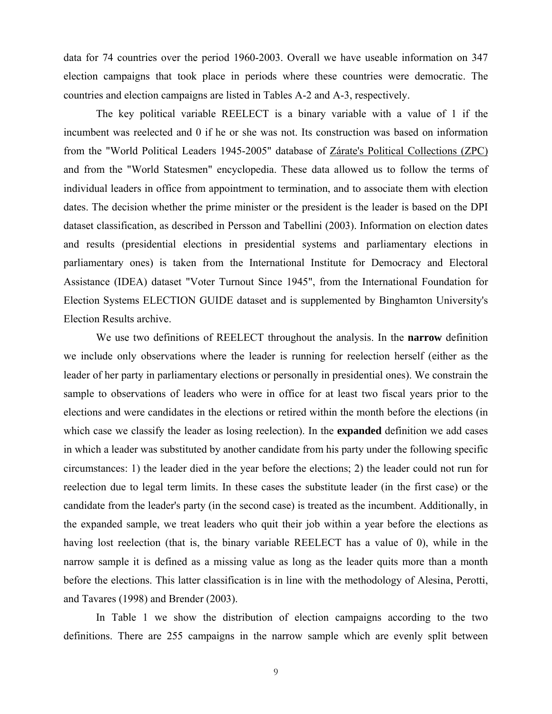data for 74 countries over the period 1960-2003. Overall we have useable information on 347 election campaigns that took place in periods where these countries were democratic. The countries and election campaigns are listed in Tables A-2 and A-3, respectively.

The key political variable REELECT is a binary variable with a value of 1 if the incumbent was reelected and 0 if he or she was not. Its construction was based on information from the "World Political Leaders 1945-2005" database of [Zárate's Political Collections \(ZPC\)](http://www.terra.es/personal2/monolith/home.htm) and from the "World Statesmen" encyclopedia. These data allowed us to follow the terms of individual leaders in office from appointment to termination, and to associate them with election dates. The decision whether the prime minister or the president is the leader is based on the DPI dataset classification, as described in Persson and Tabellini (2003). Information on election dates and results (presidential elections in presidential systems and parliamentary elections in parliamentary ones) is taken from the International Institute for Democracy and Electoral Assistance (IDEA) dataset "Voter Turnout Since 1945", from the International Foundation for Election Systems ELECTION GUIDE dataset and is supplemented by Binghamton University's Election Results archive.

We use two definitions of REELECT throughout the analysis. In the **narrow** definition we include only observations where the leader is running for reelection herself (either as the leader of her party in parliamentary elections or personally in presidential ones). We constrain the sample to observations of leaders who were in office for at least two fiscal years prior to the elections and were candidates in the elections or retired within the month before the elections (in which case we classify the leader as losing reelection). In the **expanded** definition we add cases in which a leader was substituted by another candidate from his party under the following specific circumstances: 1) the leader died in the year before the elections; 2) the leader could not run for reelection due to legal term limits. In these cases the substitute leader (in the first case) or the candidate from the leader's party (in the second case) is treated as the incumbent. Additionally, in the expanded sample, we treat leaders who quit their job within a year before the elections as having lost reelection (that is, the binary variable REELECT has a value of 0), while in the narrow sample it is defined as a missing value as long as the leader quits more than a month before the elections. This latter classification is in line with the methodology of Alesina, Perotti, and Tavares (1998) and Brender (2003).

In Table 1 we show the distribution of election campaigns according to the two definitions. There are 255 campaigns in the narrow sample which are evenly split between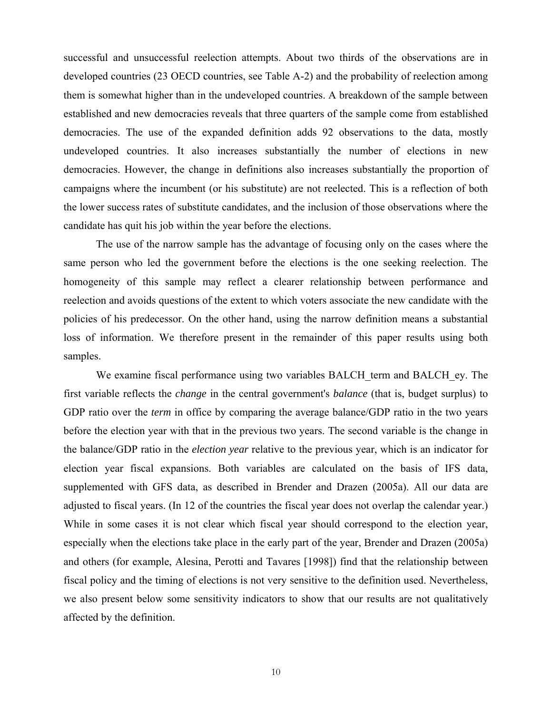successful and unsuccessful reelection attempts. About two thirds of the observations are in developed countries (23 OECD countries, see Table A-2) and the probability of reelection among them is somewhat higher than in the undeveloped countries. A breakdown of the sample between established and new democracies reveals that three quarters of the sample come from established democracies. The use of the expanded definition adds 92 observations to the data, mostly undeveloped countries. It also increases substantially the number of elections in new democracies. However, the change in definitions also increases substantially the proportion of campaigns where the incumbent (or his substitute) are not reelected. This is a reflection of both the lower success rates of substitute candidates, and the inclusion of those observations where the candidate has quit his job within the year before the elections.

The use of the narrow sample has the advantage of focusing only on the cases where the same person who led the government before the elections is the one seeking reelection. The homogeneity of this sample may reflect a clearer relationship between performance and reelection and avoids questions of the extent to which voters associate the new candidate with the policies of his predecessor. On the other hand, using the narrow definition means a substantial loss of information. We therefore present in the remainder of this paper results using both samples.

We examine fiscal performance using two variables BALCH term and BALCH ey. The first variable reflects the *change* in the central government's *balance* (that is, budget surplus) to GDP ratio over the *term* in office by comparing the average balance/GDP ratio in the two years before the election year with that in the previous two years. The second variable is the change in the balance/GDP ratio in the *election year* relative to the previous year, which is an indicator for election year fiscal expansions. Both variables are calculated on the basis of IFS data, supplemented with GFS data, as described in Brender and Drazen (2005a). All our data are adjusted to fiscal years. (In 12 of the countries the fiscal year does not overlap the calendar year.) While in some cases it is not clear which fiscal year should correspond to the election year, especially when the elections take place in the early part of the year, Brender and Drazen (2005a) and others (for example, Alesina, Perotti and Tavares [1998]) find that the relationship between fiscal policy and the timing of elections is not very sensitive to the definition used. Nevertheless, we also present below some sensitivity indicators to show that our results are not qualitatively affected by the definition.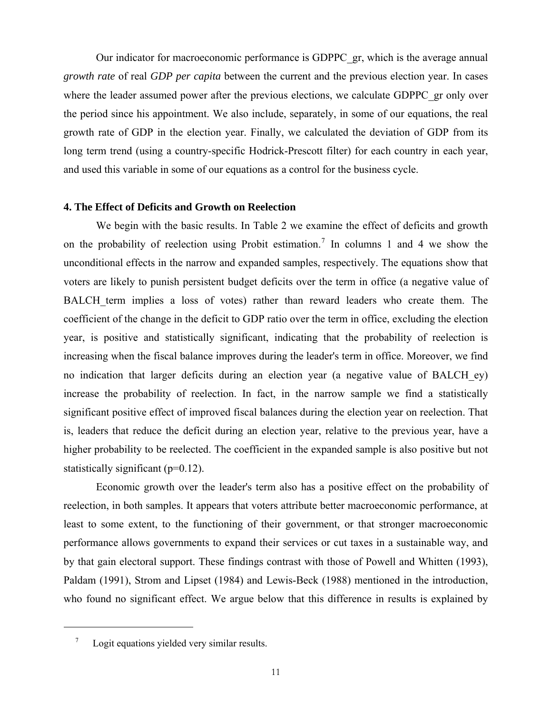Our indicator for macroeconomic performance is GDPPC\_gr, which is the average annual *growth rate* of real *GDP per capita* between the current and the previous election year. In cases where the leader assumed power after the previous elections, we calculate GDPPC gr only over the period since his appointment. We also include, separately, in some of our equations, the real growth rate of GDP in the election year. Finally, we calculated the deviation of GDP from its long term trend (using a country-specific Hodrick-Prescott filter) for each country in each year, and used this variable in some of our equations as a control for the business cycle.

## **4. The Effect of Deficits and Growth on Reelection**

We begin with the basic results. In Table 2 we examine the effect of deficits and growth on the probability of reelection using Probit estimation.<sup>[7](#page-11-0)</sup> In columns 1 and 4 we show the unconditional effects in the narrow and expanded samples, respectively. The equations show that voters are likely to punish persistent budget deficits over the term in office (a negative value of BALCH term implies a loss of votes) rather than reward leaders who create them. The coefficient of the change in the deficit to GDP ratio over the term in office, excluding the election year, is positive and statistically significant, indicating that the probability of reelection is increasing when the fiscal balance improves during the leader's term in office. Moreover, we find no indication that larger deficits during an election year (a negative value of BALCH\_ey) increase the probability of reelection. In fact, in the narrow sample we find a statistically significant positive effect of improved fiscal balances during the election year on reelection. That is, leaders that reduce the deficit during an election year, relative to the previous year, have a higher probability to be reelected. The coefficient in the expanded sample is also positive but not statistically significant (p=0.12).

Economic growth over the leader's term also has a positive effect on the probability of reelection, in both samples. It appears that voters attribute better macroeconomic performance, at least to some extent, to the functioning of their government, or that stronger macroeconomic performance allows governments to expand their services or cut taxes in a sustainable way, and by that gain electoral support. These findings contrast with those of Powell and Whitten (1993), Paldam (1991), Strom and Lipset (1984) and Lewis-Beck (1988) mentioned in the introduction, who found no significant effect. We argue below that this difference in results is explained by

<span id="page-11-0"></span><sup>7</sup> Logit equations yielded very similar results.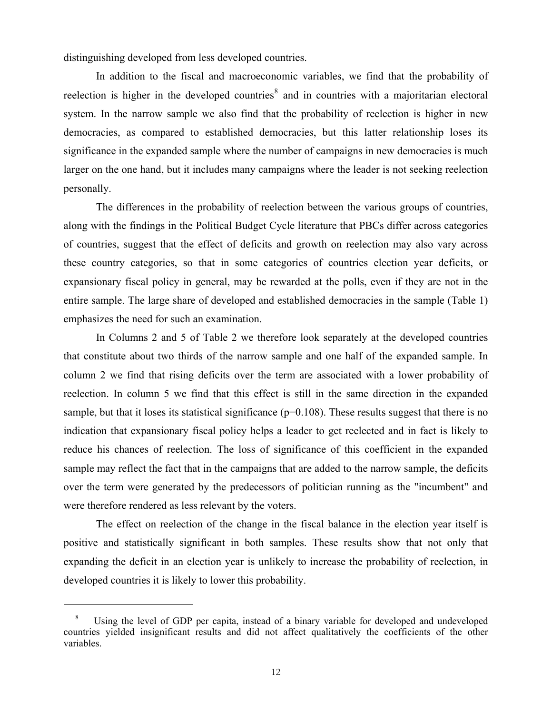distinguishing developed from less developed countries.

In addition to the fiscal and macroeconomic variables, we find that the probability of reelection is higher in the developed countries<sup>[8](#page-12-0)</sup> and in countries with a majoritarian electoral system. In the narrow sample we also find that the probability of reelection is higher in new democracies, as compared to established democracies, but this latter relationship loses its significance in the expanded sample where the number of campaigns in new democracies is much larger on the one hand, but it includes many campaigns where the leader is not seeking reelection personally.

The differences in the probability of reelection between the various groups of countries, along with the findings in the Political Budget Cycle literature that PBCs differ across categories of countries, suggest that the effect of deficits and growth on reelection may also vary across these country categories, so that in some categories of countries election year deficits, or expansionary fiscal policy in general, may be rewarded at the polls, even if they are not in the entire sample. The large share of developed and established democracies in the sample (Table 1) emphasizes the need for such an examination.

In Columns 2 and 5 of Table 2 we therefore look separately at the developed countries that constitute about two thirds of the narrow sample and one half of the expanded sample. In column 2 we find that rising deficits over the term are associated with a lower probability of reelection. In column 5 we find that this effect is still in the same direction in the expanded sample, but that it loses its statistical significance  $(p=0.108)$ . These results suggest that there is no indication that expansionary fiscal policy helps a leader to get reelected and in fact is likely to reduce his chances of reelection. The loss of significance of this coefficient in the expanded sample may reflect the fact that in the campaigns that are added to the narrow sample, the deficits over the term were generated by the predecessors of politician running as the "incumbent" and were therefore rendered as less relevant by the voters.

The effect on reelection of the change in the fiscal balance in the election year itself is positive and statistically significant in both samples. These results show that not only that expanding the deficit in an election year is unlikely to increase the probability of reelection, in developed countries it is likely to lower this probability.

<span id="page-12-0"></span><sup>8</sup> Using the level of GDP per capita, instead of a binary variable for developed and undeveloped countries yielded insignificant results and did not affect qualitatively the coefficients of the other variables.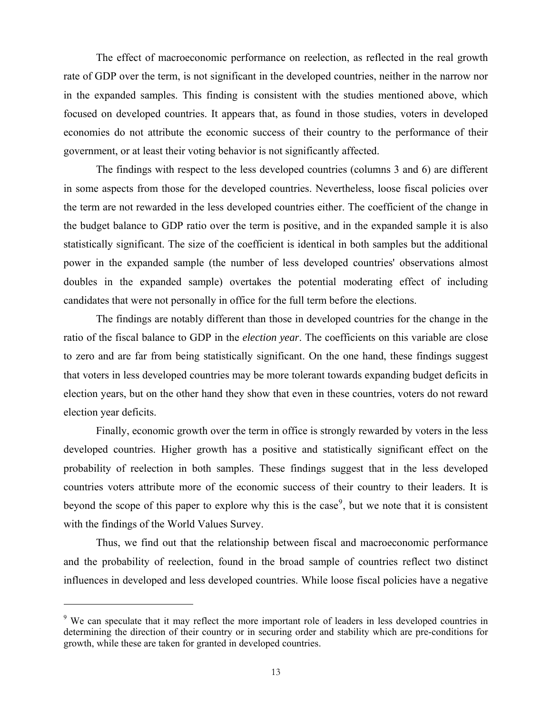The effect of macroeconomic performance on reelection, as reflected in the real growth rate of GDP over the term, is not significant in the developed countries, neither in the narrow nor in the expanded samples. This finding is consistent with the studies mentioned above, which focused on developed countries. It appears that, as found in those studies, voters in developed economies do not attribute the economic success of their country to the performance of their government, or at least their voting behavior is not significantly affected.

The findings with respect to the less developed countries (columns 3 and 6) are different in some aspects from those for the developed countries. Nevertheless, loose fiscal policies over the term are not rewarded in the less developed countries either. The coefficient of the change in the budget balance to GDP ratio over the term is positive, and in the expanded sample it is also statistically significant. The size of the coefficient is identical in both samples but the additional power in the expanded sample (the number of less developed countries' observations almost doubles in the expanded sample) overtakes the potential moderating effect of including candidates that were not personally in office for the full term before the elections.

The findings are notably different than those in developed countries for the change in the ratio of the fiscal balance to GDP in the *election year*. The coefficients on this variable are close to zero and are far from being statistically significant. On the one hand, these findings suggest that voters in less developed countries may be more tolerant towards expanding budget deficits in election years, but on the other hand they show that even in these countries, voters do not reward election year deficits.

Finally, economic growth over the term in office is strongly rewarded by voters in the less developed countries. Higher growth has a positive and statistically significant effect on the probability of reelection in both samples. These findings suggest that in the less developed countries voters attribute more of the economic success of their country to their leaders. It is beyond the scope of this paper to explore why this is the case<sup>[9](#page-13-0)</sup>, but we note that it is consistent with the findings of the World Values Survey.

Thus, we find out that the relationship between fiscal and macroeconomic performance and the probability of reelection, found in the broad sample of countries reflect two distinct influences in developed and less developed countries. While loose fiscal policies have a negative

<span id="page-13-0"></span><sup>&</sup>lt;sup>9</sup> We can speculate that it may reflect the more important role of leaders in less developed countries in determining the direction of their country or in securing order and stability which are pre-conditions for growth, while these are taken for granted in developed countries.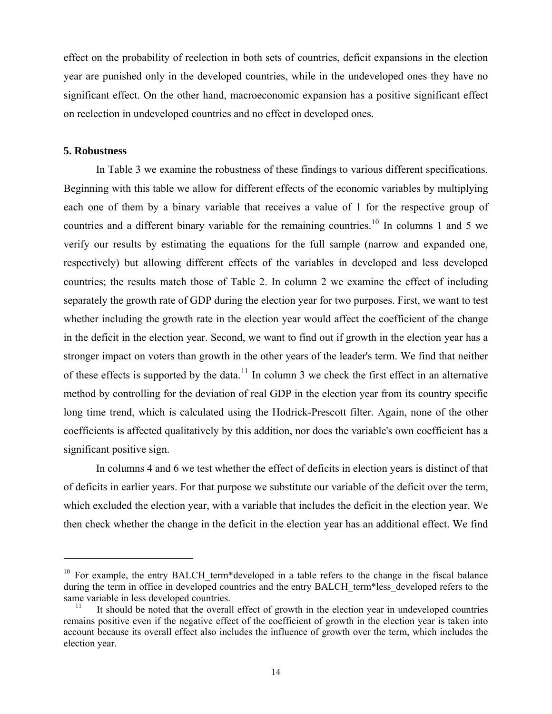effect on the probability of reelection in both sets of countries, deficit expansions in the election year are punished only in the developed countries, while in the undeveloped ones they have no significant effect. On the other hand, macroeconomic expansion has a positive significant effect on reelection in undeveloped countries and no effect in developed ones.

## **5. Robustness**

 $\overline{a}$ 

In Table 3 we examine the robustness of these findings to various different specifications. Beginning with this table we allow for different effects of the economic variables by multiplying each one of them by a binary variable that receives a value of 1 for the respective group of countries and a different binary variable for the remaining countries.<sup>[10](#page-14-0)</sup> In columns 1 and 5 we verify our results by estimating the equations for the full sample (narrow and expanded one, respectively) but allowing different effects of the variables in developed and less developed countries; the results match those of Table 2. In column 2 we examine the effect of including separately the growth rate of GDP during the election year for two purposes. First, we want to test whether including the growth rate in the election year would affect the coefficient of the change in the deficit in the election year. Second, we want to find out if growth in the election year has a stronger impact on voters than growth in the other years of the leader's term. We find that neither of these effects is supported by the data.<sup>[11](#page-14-1)</sup> In column 3 we check the first effect in an alternative method by controlling for the deviation of real GDP in the election year from its country specific long time trend, which is calculated using the Hodrick-Prescott filter. Again, none of the other coefficients is affected qualitatively by this addition, nor does the variable's own coefficient has a significant positive sign.

In columns 4 and 6 we test whether the effect of deficits in election years is distinct of that of deficits in earlier years. For that purpose we substitute our variable of the deficit over the term, which excluded the election year, with a variable that includes the deficit in the election year. We then check whether the change in the deficit in the election year has an additional effect. We find

<span id="page-14-0"></span> $10$  For example, the entry BALCH term\*developed in a table refers to the change in the fiscal balance during the term in office in developed countries and the entry BALCH term\*less developed refers to the same variable in less developed countries.

<span id="page-14-1"></span><sup>11</sup> It should be noted that the overall effect of growth in the election year in undeveloped countries remains positive even if the negative effect of the coefficient of growth in the election year is taken into account because its overall effect also includes the influence of growth over the term, which includes the election year.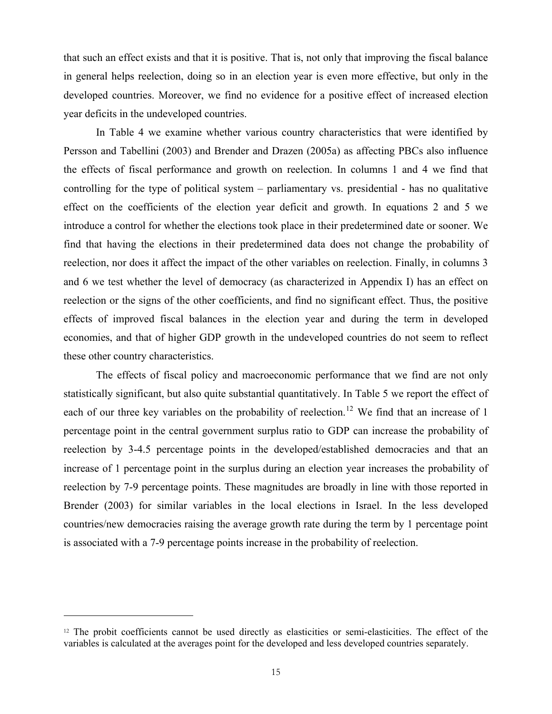that such an effect exists and that it is positive. That is, not only that improving the fiscal balance in general helps reelection, doing so in an election year is even more effective, but only in the developed countries. Moreover, we find no evidence for a positive effect of increased election year deficits in the undeveloped countries.

In Table 4 we examine whether various country characteristics that were identified by Persson and Tabellini (2003) and Brender and Drazen (2005a) as affecting PBCs also influence the effects of fiscal performance and growth on reelection. In columns 1 and 4 we find that controlling for the type of political system – parliamentary vs. presidential - has no qualitative effect on the coefficients of the election year deficit and growth. In equations 2 and 5 we introduce a control for whether the elections took place in their predetermined date or sooner. We find that having the elections in their predetermined data does not change the probability of reelection, nor does it affect the impact of the other variables on reelection. Finally, in columns 3 and 6 we test whether the level of democracy (as characterized in Appendix I) has an effect on reelection or the signs of the other coefficients, and find no significant effect. Thus, the positive effects of improved fiscal balances in the election year and during the term in developed economies, and that of higher GDP growth in the undeveloped countries do not seem to reflect these other country characteristics.

The effects of fiscal policy and macroeconomic performance that we find are not only statistically significant, but also quite substantial quantitatively. In Table 5 we report the effect of each of our three key variables on the probability of reelection.<sup>[12](#page-15-0)</sup> We find that an increase of 1 percentage point in the central government surplus ratio to GDP can increase the probability of reelection by 3-4.5 percentage points in the developed/established democracies and that an increase of 1 percentage point in the surplus during an election year increases the probability of reelection by 7-9 percentage points. These magnitudes are broadly in line with those reported in Brender (2003) for similar variables in the local elections in Israel. In the less developed countries/new democracies raising the average growth rate during the term by 1 percentage point is associated with a 7-9 percentage points increase in the probability of reelection.

<span id="page-15-0"></span><sup>&</sup>lt;sup>12</sup> The probit coefficients cannot be used directly as elasticities or semi-elasticities. The effect of the variables is calculated at the averages point for the developed and less developed countries separately.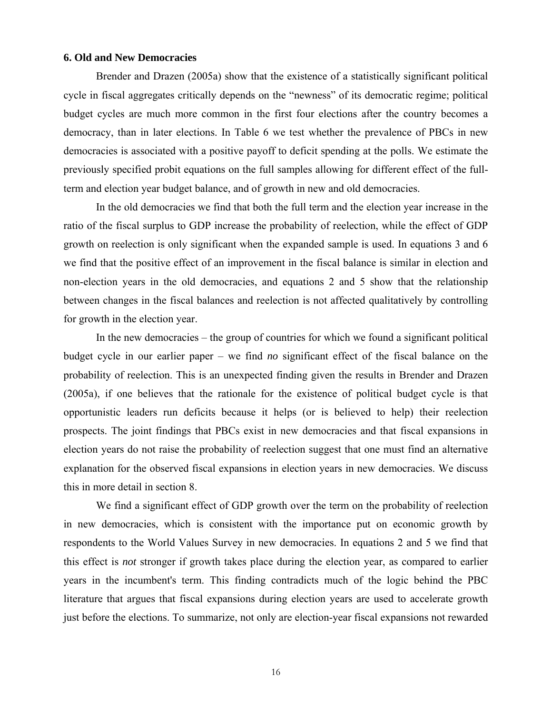#### **6. Old and New Democracies**

Brender and Drazen (2005a) show that the existence of a statistically significant political cycle in fiscal aggregates critically depends on the "newness" of its democratic regime; political budget cycles are much more common in the first four elections after the country becomes a democracy, than in later elections. In Table 6 we test whether the prevalence of PBCs in new democracies is associated with a positive payoff to deficit spending at the polls. We estimate the previously specified probit equations on the full samples allowing for different effect of the fullterm and election year budget balance, and of growth in new and old democracies.

In the old democracies we find that both the full term and the election year increase in the ratio of the fiscal surplus to GDP increase the probability of reelection, while the effect of GDP growth on reelection is only significant when the expanded sample is used. In equations 3 and 6 we find that the positive effect of an improvement in the fiscal balance is similar in election and non-election years in the old democracies, and equations 2 and 5 show that the relationship between changes in the fiscal balances and reelection is not affected qualitatively by controlling for growth in the election year.

In the new democracies – the group of countries for which we found a significant political budget cycle in our earlier paper – we find *no* significant effect of the fiscal balance on the probability of reelection. This is an unexpected finding given the results in Brender and Drazen (2005a), if one believes that the rationale for the existence of political budget cycle is that opportunistic leaders run deficits because it helps (or is believed to help) their reelection prospects. The joint findings that PBCs exist in new democracies and that fiscal expansions in election years do not raise the probability of reelection suggest that one must find an alternative explanation for the observed fiscal expansions in election years in new democracies. We discuss this in more detail in section 8.

We find a significant effect of GDP growth over the term on the probability of reelection in new democracies, which is consistent with the importance put on economic growth by respondents to the World Values Survey in new democracies. In equations 2 and 5 we find that this effect is *not* stronger if growth takes place during the election year, as compared to earlier years in the incumbent's term. This finding contradicts much of the logic behind the PBC literature that argues that fiscal expansions during election years are used to accelerate growth just before the elections. To summarize, not only are election-year fiscal expansions not rewarded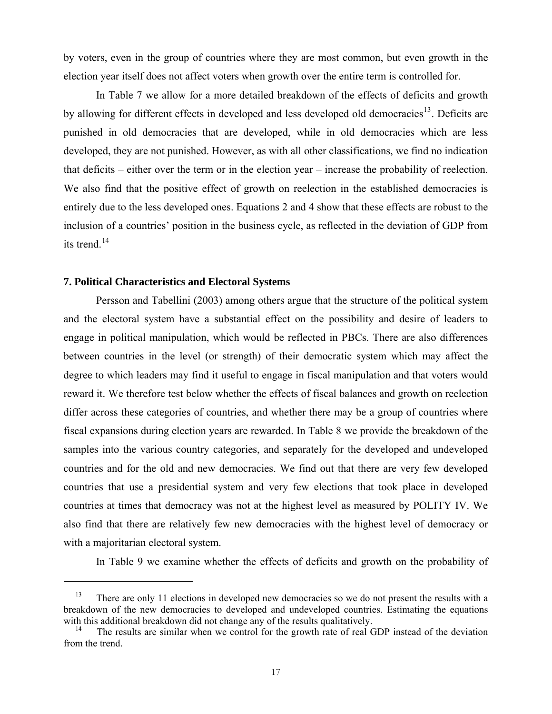by voters, even in the group of countries where they are most common, but even growth in the election year itself does not affect voters when growth over the entire term is controlled for.

In Table 7 we allow for a more detailed breakdown of the effects of deficits and growth by allowing for different effects in developed and less developed old democracies<sup>[13](#page-17-0)</sup>. Deficits are punished in old democracies that are developed, while in old democracies which are less developed, they are not punished. However, as with all other classifications, we find no indication that deficits – either over the term or in the election year – increase the probability of reelection. We also find that the positive effect of growth on reelection in the established democracies is entirely due to the less developed ones. Equations 2 and 4 show that these effects are robust to the inclusion of a countries' position in the business cycle, as reflected in the deviation of GDP from its trend.<sup>[14](#page-17-1)</sup>

## **7. Political Characteristics and Electoral Systems**

 $\ddot{\phantom{a}}$ 

Persson and Tabellini (2003) among others argue that the structure of the political system and the electoral system have a substantial effect on the possibility and desire of leaders to engage in political manipulation, which would be reflected in PBCs. There are also differences between countries in the level (or strength) of their democratic system which may affect the degree to which leaders may find it useful to engage in fiscal manipulation and that voters would reward it. We therefore test below whether the effects of fiscal balances and growth on reelection differ across these categories of countries, and whether there may be a group of countries where fiscal expansions during election years are rewarded. In Table 8 we provide the breakdown of the samples into the various country categories, and separately for the developed and undeveloped countries and for the old and new democracies. We find out that there are very few developed countries that use a presidential system and very few elections that took place in developed countries at times that democracy was not at the highest level as measured by POLITY IV. We also find that there are relatively few new democracies with the highest level of democracy or with a majoritarian electoral system.

In Table 9 we examine whether the effects of deficits and growth on the probability of

<span id="page-17-0"></span><sup>&</sup>lt;sup>13</sup> There are only 11 elections in developed new democracies so we do not present the results with a breakdown of the new democracies to developed and undeveloped countries. Estimating the equations with this additional breakdown did not change any of the results qualitatively.

<span id="page-17-1"></span>The results are similar when we control for the growth rate of real GDP instead of the deviation from the trend.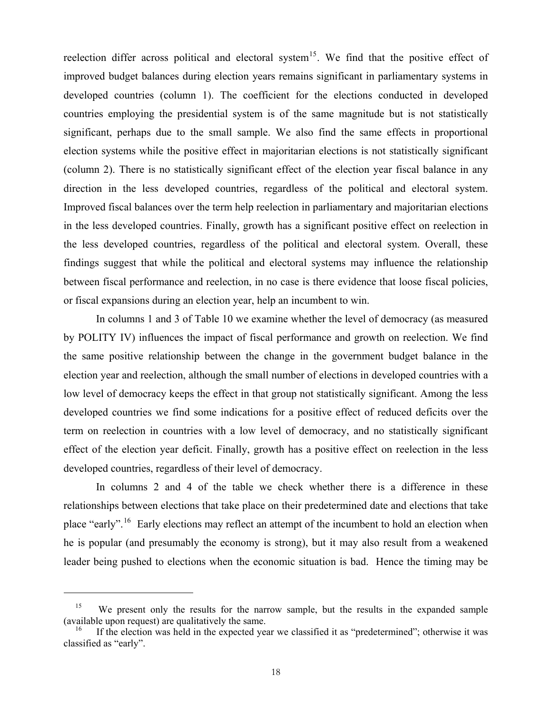reelection differ across political and electoral system<sup>[15](#page-18-0)</sup>. We find that the positive effect of improved budget balances during election years remains significant in parliamentary systems in developed countries (column 1). The coefficient for the elections conducted in developed countries employing the presidential system is of the same magnitude but is not statistically significant, perhaps due to the small sample. We also find the same effects in proportional election systems while the positive effect in majoritarian elections is not statistically significant (column 2). There is no statistically significant effect of the election year fiscal balance in any direction in the less developed countries, regardless of the political and electoral system. Improved fiscal balances over the term help reelection in parliamentary and majoritarian elections in the less developed countries. Finally, growth has a significant positive effect on reelection in the less developed countries, regardless of the political and electoral system. Overall, these findings suggest that while the political and electoral systems may influence the relationship between fiscal performance and reelection, in no case is there evidence that loose fiscal policies, or fiscal expansions during an election year, help an incumbent to win.

In columns 1 and 3 of Table 10 we examine whether the level of democracy (as measured by POLITY IV) influences the impact of fiscal performance and growth on reelection. We find the same positive relationship between the change in the government budget balance in the election year and reelection, although the small number of elections in developed countries with a low level of democracy keeps the effect in that group not statistically significant. Among the less developed countries we find some indications for a positive effect of reduced deficits over the term on reelection in countries with a low level of democracy, and no statistically significant effect of the election year deficit. Finally, growth has a positive effect on reelection in the less developed countries, regardless of their level of democracy.

In columns 2 and 4 of the table we check whether there is a difference in these relationships between elections that take place on their predetermined date and elections that take place "early".[16](#page-18-1) Early elections may reflect an attempt of the incumbent to hold an election when he is popular (and presumably the economy is strong), but it may also result from a weakened leader being pushed to elections when the economic situation is bad. Hence the timing may be

<span id="page-18-0"></span><sup>&</sup>lt;sup>15</sup> We present only the results for the narrow sample, but the results in the expanded sample (available upon request) are qualitatively the same.

<span id="page-18-1"></span><sup>16</sup> If the election was held in the expected year we classified it as "predetermined"; otherwise it was classified as "early".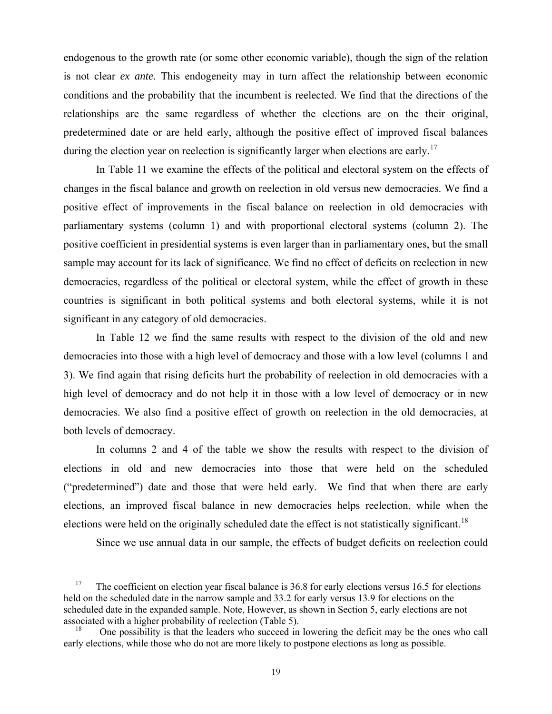endogenous to the growth rate (or some other economic variable), though the sign of the relation is not clear *ex ante*. This endogeneity may in turn affect the relationship between economic conditions and the probability that the incumbent is reelected. We find that the directions of the relationships are the same regardless of whether the elections are on the their original, predetermined date or are held early, although the positive effect of improved fiscal balances during the election year on reelection is significantly larger when elections are early.<sup>[17](#page-19-0)</sup>

In Table 11 we examine the effects of the political and electoral system on the effects of changes in the fiscal balance and growth on reelection in old versus new democracies. We find a positive effect of improvements in the fiscal balance on reelection in old democracies with parliamentary systems (column 1) and with proportional electoral systems (column 2). The positive coefficient in presidential systems is even larger than in parliamentary ones, but the small sample may account for its lack of significance. We find no effect of deficits on reelection in new democracies, regardless of the political or electoral system, while the effect of growth in these countries is significant in both political systems and both electoral systems, while it is not significant in any category of old democracies.

In Table 12 we find the same results with respect to the division of the old and new democracies into those with a high level of democracy and those with a low level (columns 1 and 3). We find again that rising deficits hurt the probability of reelection in old democracies with a high level of democracy and do not help it in those with a low level of democracy or in new democracies. We also find a positive effect of growth on reelection in the old democracies, at both levels of democracy.

In columns 2 and 4 of the table we show the results with respect to the division of elections in old and new democracies into those that were held on the scheduled ("predetermined") date and those that were held early. We find that when there are early elections, an improved fiscal balance in new democracies helps reelection, while when the elections were held on the originally scheduled date the effect is not statistically significant.<sup>[18](#page-19-1)</sup>

Since we use annual data in our sample, the effects of budget deficits on reelection could

<span id="page-19-0"></span><sup>&</sup>lt;sup>17</sup> The coefficient on election year fiscal balance is 36.8 for early elections versus 16.5 for elections held on the scheduled date in the narrow sample and 33.2 for early versus 13.9 for elections on the scheduled date in the expanded sample. Note, However, as shown in Section 5, early elections are not associated with a higher probability of reelection (Table 5).

<span id="page-19-1"></span><sup>18</sup> One possibility is that the leaders who succeed in lowering the deficit may be the ones who call early elections, while those who do not are more likely to postpone elections as long as possible.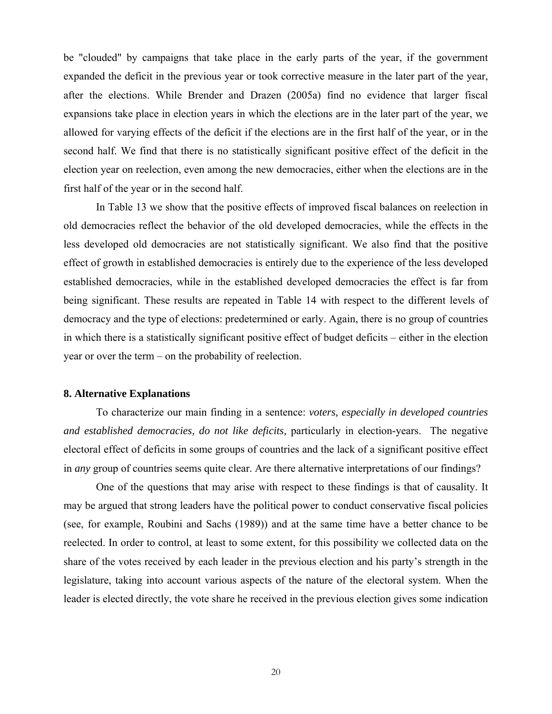be "clouded" by campaigns that take place in the early parts of the year, if the government expanded the deficit in the previous year or took corrective measure in the later part of the year, after the elections. While Brender and Drazen (2005a) find no evidence that larger fiscal expansions take place in election years in which the elections are in the later part of the year, we allowed for varying effects of the deficit if the elections are in the first half of the year, or in the second half. We find that there is no statistically significant positive effect of the deficit in the election year on reelection, even among the new democracies, either when the elections are in the first half of the year or in the second half.

In Table 13 we show that the positive effects of improved fiscal balances on reelection in old democracies reflect the behavior of the old developed democracies, while the effects in the less developed old democracies are not statistically significant. We also find that the positive effect of growth in established democracies is entirely due to the experience of the less developed established democracies, while in the established developed democracies the effect is far from being significant. These results are repeated in Table 14 with respect to the different levels of democracy and the type of elections: predetermined or early. Again, there is no group of countries in which there is a statistically significant positive effect of budget deficits – either in the election year or over the term – on the probability of reelection.

## **8. Alternative Explanations**

To characterize our main finding in a sentence: *voters, especially in developed countries and established democracies, do not like deficits,* particularly in election-years. The negative electoral effect of deficits in some groups of countries and the lack of a significant positive effect in *any* group of countries seems quite clear. Are there alternative interpretations of our findings?

One of the questions that may arise with respect to these findings is that of causality. It may be argued that strong leaders have the political power to conduct conservative fiscal policies (see, for example, Roubini and Sachs (1989)) and at the same time have a better chance to be reelected. In order to control, at least to some extent, for this possibility we collected data on the share of the votes received by each leader in the previous election and his party's strength in the legislature, taking into account various aspects of the nature of the electoral system. When the leader is elected directly, the vote share he received in the previous election gives some indication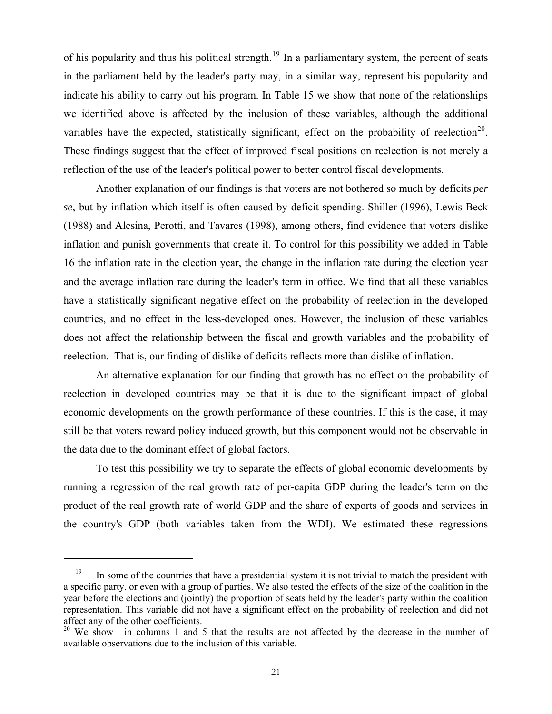of his popularity and thus his political strength.<sup>[19](#page-21-0)</sup> In a parliamentary system, the percent of seats in the parliament held by the leader's party may, in a similar way, represent his popularity and indicate his ability to carry out his program. In Table 15 we show that none of the relationships we identified above is affected by the inclusion of these variables, although the additional variables have the expected, statistically significant, effect on the probability of reelection<sup>[20](#page-21-1)</sup>. These findings suggest that the effect of improved fiscal positions on reelection is not merely a reflection of the use of the leader's political power to better control fiscal developments.

Another explanation of our findings is that voters are not bothered so much by deficits *per se*, but by inflation which itself is often caused by deficit spending. Shiller (1996), Lewis-Beck (1988) and Alesina, Perotti, and Tavares (1998), among others, find evidence that voters dislike inflation and punish governments that create it. To control for this possibility we added in Table 16 the inflation rate in the election year, the change in the inflation rate during the election year and the average inflation rate during the leader's term in office. We find that all these variables have a statistically significant negative effect on the probability of reelection in the developed countries, and no effect in the less-developed ones. However, the inclusion of these variables does not affect the relationship between the fiscal and growth variables and the probability of reelection. That is, our finding of dislike of deficits reflects more than dislike of inflation.

An alternative explanation for our finding that growth has no effect on the probability of reelection in developed countries may be that it is due to the significant impact of global economic developments on the growth performance of these countries. If this is the case, it may still be that voters reward policy induced growth, but this component would not be observable in the data due to the dominant effect of global factors.

To test this possibility we try to separate the effects of global economic developments by running a regression of the real growth rate of per-capita GDP during the leader's term on the product of the real growth rate of world GDP and the share of exports of goods and services in the country's GDP (both variables taken from the WDI). We estimated these regressions

<span id="page-21-0"></span> $19$  In some of the countries that have a presidential system it is not trivial to match the president with a specific party, or even with a group of parties. We also tested the effects of the size of the coalition in the year before the elections and (jointly) the proportion of seats held by the leader's party within the coalition representation. This variable did not have a significant effect on the probability of reelection and did not affect any of the other coefficients.

<span id="page-21-1"></span> $20$  We show in columns 1 and 5 that the results are not affected by the decrease in the number of available observations due to the inclusion of this variable.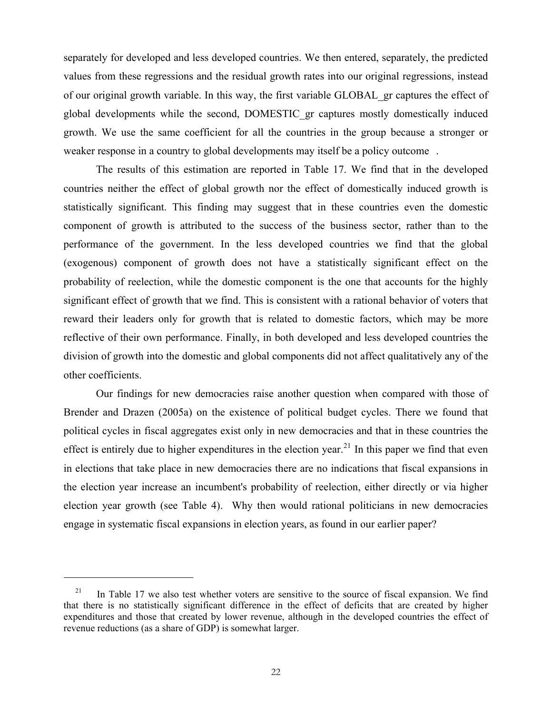separately for developed and less developed countries. We then entered, separately, the predicted values from these regressions and the residual growth rates into our original regressions, instead of our original growth variable. In this way, the first variable GLOBAL\_gr captures the effect of global developments while the second, DOMESTIC\_gr captures mostly domestically induced growth. We use the same coefficient for all the countries in the group because a stronger or weaker response in a country to global developments may itself be a policy outcome .

The results of this estimation are reported in Table 17. We find that in the developed countries neither the effect of global growth nor the effect of domestically induced growth is statistically significant. This finding may suggest that in these countries even the domestic component of growth is attributed to the success of the business sector, rather than to the performance of the government. In the less developed countries we find that the global (exogenous) component of growth does not have a statistically significant effect on the probability of reelection, while the domestic component is the one that accounts for the highly significant effect of growth that we find. This is consistent with a rational behavior of voters that reward their leaders only for growth that is related to domestic factors, which may be more reflective of their own performance. Finally, in both developed and less developed countries the division of growth into the domestic and global components did not affect qualitatively any of the other coefficients.

Our findings for new democracies raise another question when compared with those of Brender and Drazen (2005a) on the existence of political budget cycles. There we found that political cycles in fiscal aggregates exist only in new democracies and that in these countries the effect is entirely due to higher expenditures in the election year.<sup>[21](#page-22-0)</sup> In this paper we find that even in elections that take place in new democracies there are no indications that fiscal expansions in the election year increase an incumbent's probability of reelection, either directly or via higher election year growth (see Table 4). Why then would rational politicians in new democracies engage in systematic fiscal expansions in election years, as found in our earlier paper?

<span id="page-22-0"></span><sup>&</sup>lt;sup>21</sup> In Table 17 we also test whether voters are sensitive to the source of fiscal expansion. We find that there is no statistically significant difference in the effect of deficits that are created by higher expenditures and those that created by lower revenue, although in the developed countries the effect of revenue reductions (as a share of GDP) is somewhat larger.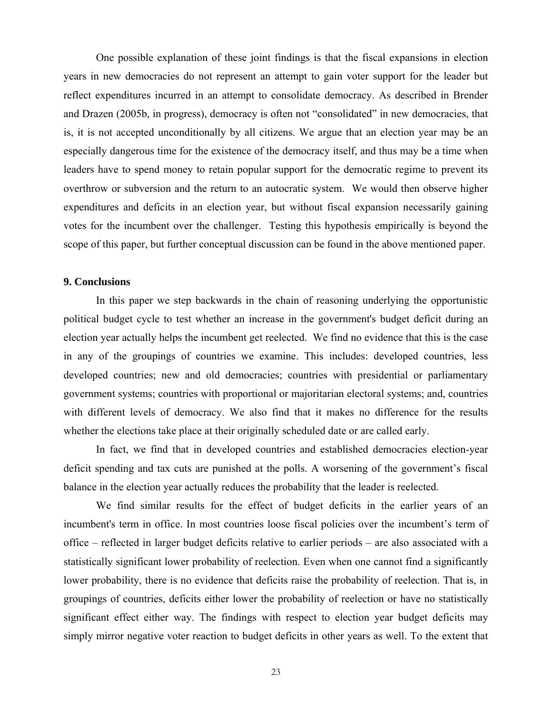One possible explanation of these joint findings is that the fiscal expansions in election years in new democracies do not represent an attempt to gain voter support for the leader but reflect expenditures incurred in an attempt to consolidate democracy. As described in Brender and Drazen (2005b, in progress), democracy is often not "consolidated" in new democracies, that is, it is not accepted unconditionally by all citizens. We argue that an election year may be an especially dangerous time for the existence of the democracy itself, and thus may be a time when leaders have to spend money to retain popular support for the democratic regime to prevent its overthrow or subversion and the return to an autocratic system. We would then observe higher expenditures and deficits in an election year, but without fiscal expansion necessarily gaining votes for the incumbent over the challenger. Testing this hypothesis empirically is beyond the scope of this paper, but further conceptual discussion can be found in the above mentioned paper.

#### **9. Conclusions**

In this paper we step backwards in the chain of reasoning underlying the opportunistic political budget cycle to test whether an increase in the government's budget deficit during an election year actually helps the incumbent get reelected. We find no evidence that this is the case in any of the groupings of countries we examine. This includes: developed countries, less developed countries; new and old democracies; countries with presidential or parliamentary government systems; countries with proportional or majoritarian electoral systems; and, countries with different levels of democracy. We also find that it makes no difference for the results whether the elections take place at their originally scheduled date or are called early.

In fact, we find that in developed countries and established democracies election-year deficit spending and tax cuts are punished at the polls. A worsening of the government's fiscal balance in the election year actually reduces the probability that the leader is reelected.

We find similar results for the effect of budget deficits in the earlier years of an incumbent's term in office. In most countries loose fiscal policies over the incumbent's term of office – reflected in larger budget deficits relative to earlier periods – are also associated with a statistically significant lower probability of reelection. Even when one cannot find a significantly lower probability, there is no evidence that deficits raise the probability of reelection. That is, in groupings of countries, deficits either lower the probability of reelection or have no statistically significant effect either way. The findings with respect to election year budget deficits may simply mirror negative voter reaction to budget deficits in other years as well. To the extent that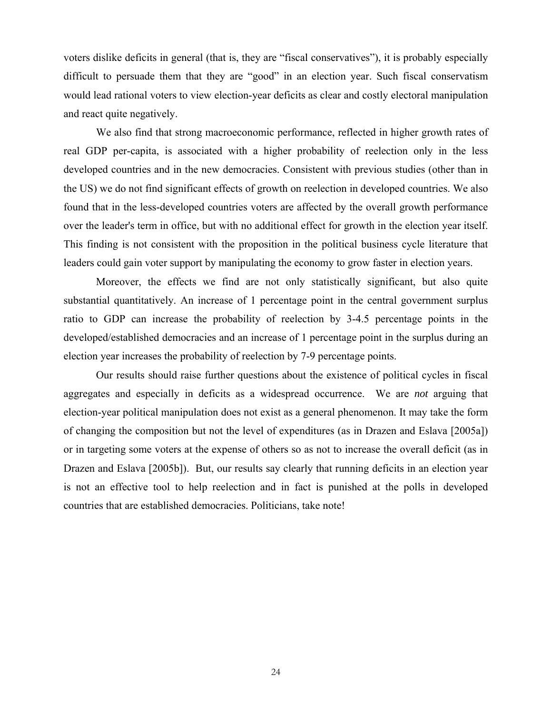voters dislike deficits in general (that is, they are "fiscal conservatives"), it is probably especially difficult to persuade them that they are "good" in an election year. Such fiscal conservatism would lead rational voters to view election-year deficits as clear and costly electoral manipulation and react quite negatively.

We also find that strong macroeconomic performance, reflected in higher growth rates of real GDP per-capita, is associated with a higher probability of reelection only in the less developed countries and in the new democracies. Consistent with previous studies (other than in the US) we do not find significant effects of growth on reelection in developed countries. We also found that in the less-developed countries voters are affected by the overall growth performance over the leader's term in office, but with no additional effect for growth in the election year itself. This finding is not consistent with the proposition in the political business cycle literature that leaders could gain voter support by manipulating the economy to grow faster in election years.

Moreover, the effects we find are not only statistically significant, but also quite substantial quantitatively. An increase of 1 percentage point in the central government surplus ratio to GDP can increase the probability of reelection by 3-4.5 percentage points in the developed/established democracies and an increase of 1 percentage point in the surplus during an election year increases the probability of reelection by 7-9 percentage points.

Our results should raise further questions about the existence of political cycles in fiscal aggregates and especially in deficits as a widespread occurrence. We are *not* arguing that election-year political manipulation does not exist as a general phenomenon. It may take the form of changing the composition but not the level of expenditures (as in Drazen and Eslava [2005a]) or in targeting some voters at the expense of others so as not to increase the overall deficit (as in Drazen and Eslava [2005b]). But, our results say clearly that running deficits in an election year is not an effective tool to help reelection and in fact is punished at the polls in developed countries that are established democracies. Politicians, take note!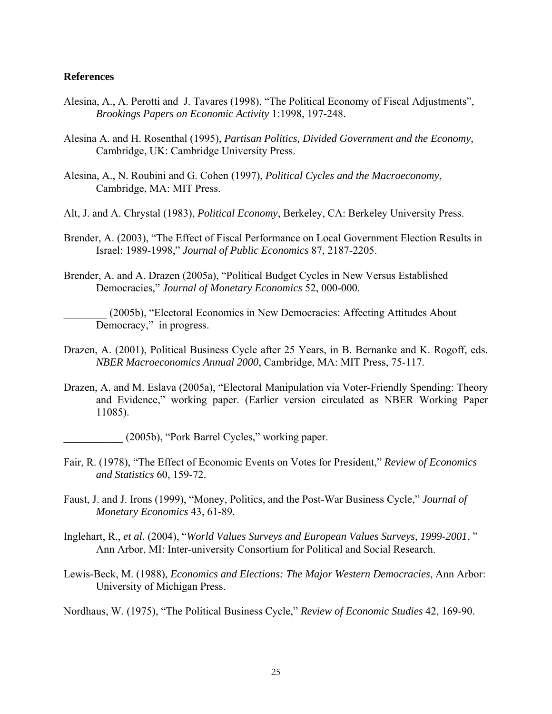## **References**

- Alesina, A., A. Perotti and J. Tavares (1998), "The Political Economy of Fiscal Adjustments", *Brookings Papers on Economic Activity* 1:1998, 197-248.
- Alesina A. and H. Rosenthal (1995), *Partisan Politics, Divided Government and the Economy*, Cambridge, UK: Cambridge University Press.
- Alesina, A., N. Roubini and G. Cohen (1997), *Political Cycles and the Macroeconomy*, Cambridge, MA: MIT Press.
- Alt, J. and A. Chrystal (1983), *Political Economy*, Berkeley, CA: Berkeley University Press.
- Brender, A. (2003), "The Effect of Fiscal Performance on Local Government Election Results in Israel: 1989-1998," *Journal of Public Economics* 87, 2187-2205.
- Brender, A. and A. Drazen (2005a), "Political Budget Cycles in New Versus Established Democracies," *Journal of Monetary Economics* 52, 000-000.

\_\_\_\_\_\_\_\_ (2005b), "Electoral Economics in New Democracies: Affecting Attitudes About Democracy," in progress.

- Drazen, A. (2001), Political Business Cycle after 25 Years, in B. Bernanke and K. Rogoff, eds. *NBER Macroeconomics Annual 2000*, Cambridge, MA: MIT Press, 75-117.
- Drazen, A. and M. Eslava (2005a), "Electoral Manipulation via Voter-Friendly Spending: Theory and Evidence," working paper. (Earlier version circulated as NBER Working Paper 11085).

\_\_\_\_\_\_\_\_\_\_\_ (2005b), "Pork Barrel Cycles," working paper.

- Fair, R. (1978), "The Effect of Economic Events on Votes for President," *Review of Economics and Statistics* 60, 159-72.
- Faust, J. and J. Irons (1999), "Money, Politics, and the Post-War Business Cycle," *Journal of Monetary Economics* 43, 61-89.
- Inglehart, R., *et al.* (2004), "*World Values Surveys and European Values Surveys, 1999-2001*, " Ann Arbor, MI: Inter-university Consortium for Political and Social Research.
- Lewis-Beck, M. (1988), *Economics and Elections: The Major Western Democracies*, Ann Arbor: University of Michigan Press.

Nordhaus, W. (1975), "The Political Business Cycle," *Review of Economic Studies* 42, 169-90.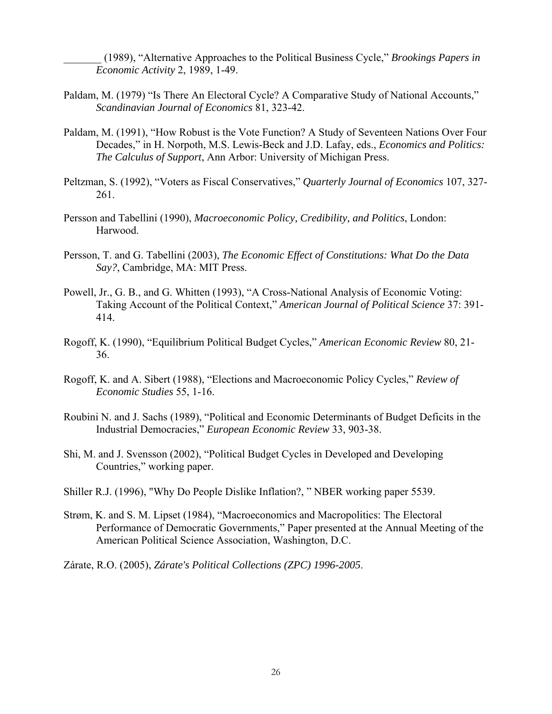\_\_\_\_\_\_\_ (1989), "Alternative Approaches to the Political Business Cycle," *Brookings Papers in Economic Activity* 2, 1989, 1-49.

- Paldam, M. (1979) "Is There An Electoral Cycle? A Comparative Study of National Accounts," *Scandinavian Journal of Economics* 81, 323-42.
- Paldam, M. (1991), "How Robust is the Vote Function? A Study of Seventeen Nations Over Four Decades," in H. Norpoth, M.S. Lewis-Beck and J.D. Lafay, eds., *Economics and Politics: The Calculus of Support*, Ann Arbor: University of Michigan Press.
- Peltzman, S. (1992), "Voters as Fiscal Conservatives," *Quarterly Journal of Economics* 107, 327- 261.
- Persson and Tabellini (1990), *Macroeconomic Policy, Credibility, and Politics*, London: Harwood.
- Persson, T. and G. Tabellini (2003), *The Economic Effect of Constitutions: What Do the Data Say?*, Cambridge, MA: MIT Press.
- Powell, Jr., G. B., and G. Whitten (1993), "A Cross-National Analysis of Economic Voting: Taking Account of the Political Context," *American Journal of Political Science* 37: 391- 414.
- Rogoff, K. (1990), "Equilibrium Political Budget Cycles," *American Economic Review* 80, 21- 36.
- Rogoff, K. and A. Sibert (1988), "Elections and Macroeconomic Policy Cycles," *Review of Economic Studies* 55, 1-16.
- Roubini N. and J. Sachs (1989), "Political and Economic Determinants of Budget Deficits in the Industrial Democracies," *European Economic Review* 33, 903-38.
- Shi, M. and J. Svensson (2002), "Political Budget Cycles in Developed and Developing Countries," working paper.
- Shiller R.J. (1996), "Why Do People Dislike Inflation?, " NBER working paper 5539.
- Strøm, K. and S. M. Lipset (1984), "Macroeconomics and Macropolitics: The Electoral Performance of Democratic Governments," Paper presented at the Annual Meeting of the American Political Science Association, Washington, D.C.

Zárate, R.O. (2005), *[Zárate's Political Collections \(ZPC\)](http://www.terra.es/personal2/monolith/home.htm) 1996-2005*.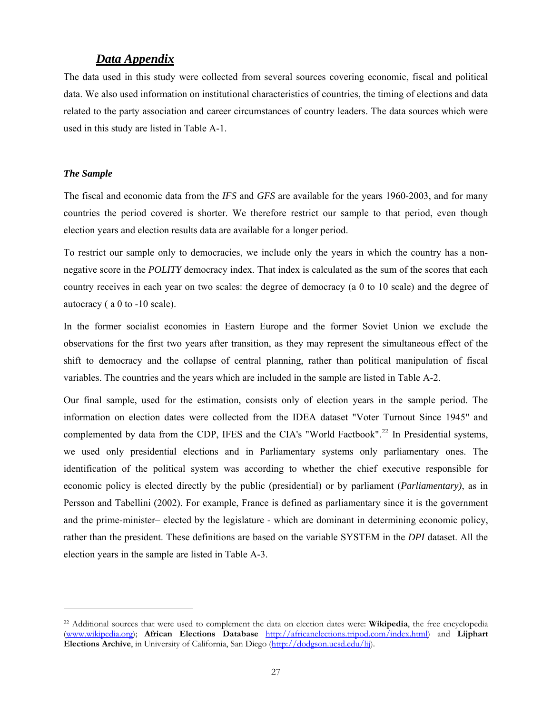# *Data Appendix*

The data used in this study were collected from several sources covering economic, fiscal and political data. We also used information on institutional characteristics of countries, the timing of elections and data related to the party association and career circumstances of country leaders. The data sources which were used in this study are listed in Table A-1.

#### *The Sample*

 $\overline{a}$ 

The fiscal and economic data from the *IFS* and *GFS* are available for the years 1960-2003, and for many countries the period covered is shorter. We therefore restrict our sample to that period, even though election years and election results data are available for a longer period.

To restrict our sample only to democracies, we include only the years in which the country has a nonnegative score in the *POLITY* democracy index. That index is calculated as the sum of the scores that each country receives in each year on two scales: the degree of democracy (a 0 to 10 scale) and the degree of autocracy ( a 0 to -10 scale).

In the former socialist economies in Eastern Europe and the former Soviet Union we exclude the observations for the first two years after transition, as they may represent the simultaneous effect of the shift to democracy and the collapse of central planning, rather than political manipulation of fiscal variables. The countries and the years which are included in the sample are listed in Table A-2.

Our final sample, used for the estimation, consists only of election years in the sample period. The information on election dates were collected from the IDEA dataset "Voter Turnout Since 1945" and complemented by data from the CDP, IFES and the CIA's "World Factbook".<sup>[22](#page-27-0)</sup> In Presidential systems, we used only presidential elections and in Parliamentary systems only parliamentary ones. The identification of the political system was according to whether the chief executive responsible for economic policy is elected directly by the public (presidential) or by parliament (*Parliamentary)*, as in Persson and Tabellini (2002). For example, France is defined as parliamentary since it is the government and the prime-minister– elected by the legislature - which are dominant in determining economic policy, rather than the president. These definitions are based on the variable SYSTEM in the *DPI* dataset. All the election years in the sample are listed in Table A-3.

<span id="page-27-0"></span><sup>22</sup> Additional sources that were used to complement the data on election dates were: **Wikipedia**, the free encyclopedia ([www.wikipedia.org](http://www.wikipedia.org/)); **African Elections Database** <http://africanelections.tripod.com/index.html>) and **Lijphart Elections Archive**, in University of California, San Diego [\(http://dodgson.ucsd.edu/lij\)](http://dodgson.ucsd.edu/lij/).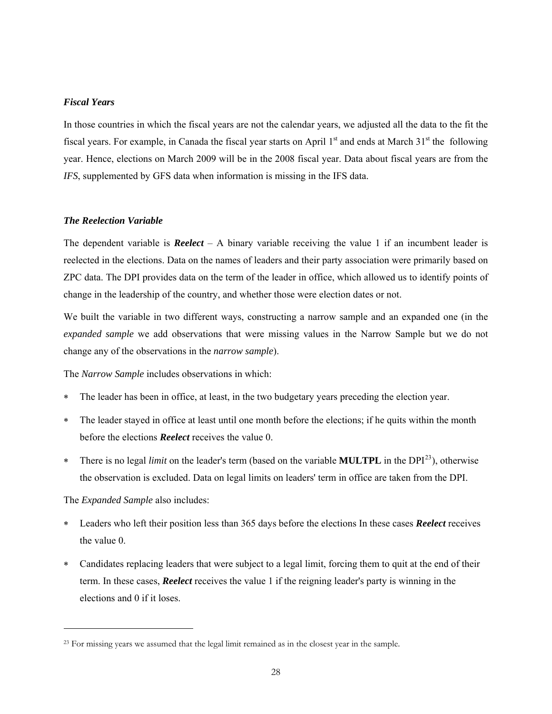#### *Fiscal Years*

In those countries in which the fiscal years are not the calendar years, we adjusted all the data to the fit the fiscal years. For example, in Canada the fiscal year starts on April  $1<sup>st</sup>$  and ends at March  $31<sup>st</sup>$  the following year. Hence, elections on March 2009 will be in the 2008 fiscal year. Data about fiscal years are from the *IFS*, supplemented by GFS data when information is missing in the IFS data.

#### *The Reelection Variable*

The dependent variable is *Reelect* – A binary variable receiving the value 1 if an incumbent leader is reelected in the elections. Data on the names of leaders and their party association were primarily based on ZPC data. The DPI provides data on the term of the leader in office, which allowed us to identify points of change in the leadership of the country, and whether those were election dates or not.

We built the variable in two different ways, constructing a narrow sample and an expanded one (in the *expanded sample* we add observations that were missing values in the Narrow Sample but we do not change any of the observations in the *narrow sample*).

The *Narrow Sample* includes observations in which:

- ∗ The leader has been in office, at least, in the two budgetary years preceding the election year.
- ∗ The leader stayed in office at least until one month before the elections; if he quits within the month before the elections *Reelect* receives the value 0.
- ∗ There is no legal *limit* on the leader's term (based on the variable **MULTPL** in the DPI[23](#page-28-0)), otherwise the observation is excluded. Data on legal limits on leaders' term in office are taken from the DPI.

## The *Expanded Sample* also includes:

- ∗ Leaders who left their position less than 365 days before the elections In these cases *Reelect* receives the value 0.
- ∗ Candidates replacing leaders that were subject to a legal limit, forcing them to quit at the end of their term. In these cases, *Reelect* receives the value 1 if the reigning leader's party is winning in the elections and 0 if it loses.

<span id="page-28-0"></span><sup>&</sup>lt;sup>23</sup> For missing years we assumed that the legal limit remained as in the closest year in the sample.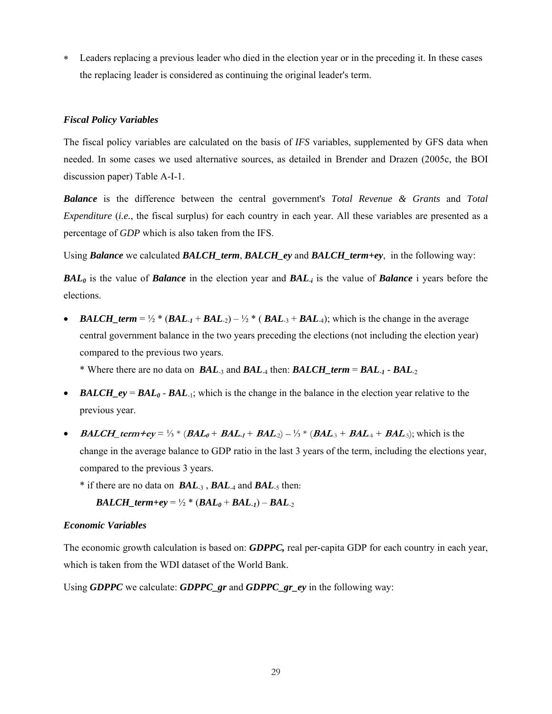∗ Leaders replacing a previous leader who died in the election year or in the preceding it. In these cases the replacing leader is considered as continuing the original leader's term.

#### *Fiscal Policy Variables*

The fiscal policy variables are calculated on the basis of *IFS* variables, supplemented by GFS data when needed. In some cases we used alternative sources, as detailed in Brender and Drazen (2005c, the BOI discussion paper) Table A-I-1.

*Balance* is the difference between the central government's *Total Revenue & Grants* and *Total Expenditure* (*i.e.*, the fiscal surplus) for each country in each year. All these variables are presented as a percentage of *GDP* which is also taken from the IFS.

Using *Balance* we calculated *BALCH\_term*, *BALCH\_ey* and *BALCH\_term+ey*, in the following way:

*BAL0* is the value of *Balance* in the election year and *BAL-i* is the value of *Balance* i years before the elections.

• *BALCH\_term* =  $\frac{1}{2}$  \* (*BAL<sub>-1</sub>* + *BAL<sub>-2</sub>*) –  $\frac{1}{2}$  \* (*BAL<sub>-3</sub>* + *BAL<sub>-4</sub>*); which is the change in the average central government balance in the two years preceding the elections (not including the election year) compared to the previous two years.

\* Where there are no data on *BAL*-3 and *BAL*-4 then: *BALCH\_term* = *BAL-1* - *BAL*-2

- *BALCH*  $ey = BAL_0 BAL_1$ ; which is the change in the balance in the election year relative to the previous year.
- **BALCH\_term+ey** = 1/3 \* (**BAL**<sub>0</sub> + **BAL**<sub>1</sub> + **BAL**<sub>2</sub>) 1/3 \* (**BAL**<sub>3</sub> + **BAL**<sub>4</sub> + **BAL**<sub>5</sub>); which is the change in the average balance to GDP ratio in the last 3 years of the term, including the elections year, compared to the previous 3 years.
	- \* if there are no data on *BAL*-3 , *BAL*-4 and *BAL*-5 then:

*BALCH* term+ey =  $\frac{1}{2}$  \* (*BAL<sub>0</sub>* + *BAL<sub>-1</sub>*) – *BAL*<sub>-2</sub>

#### *Economic Variables*

The economic growth calculation is based on: *GDPPC,* real per-capita GDP for each country in each year, which is taken from the WDI dataset of the World Bank.

Using *GDPPC* we calculate: *GDPPC\_gr* and *GDPPC\_gr\_ey* in the following way: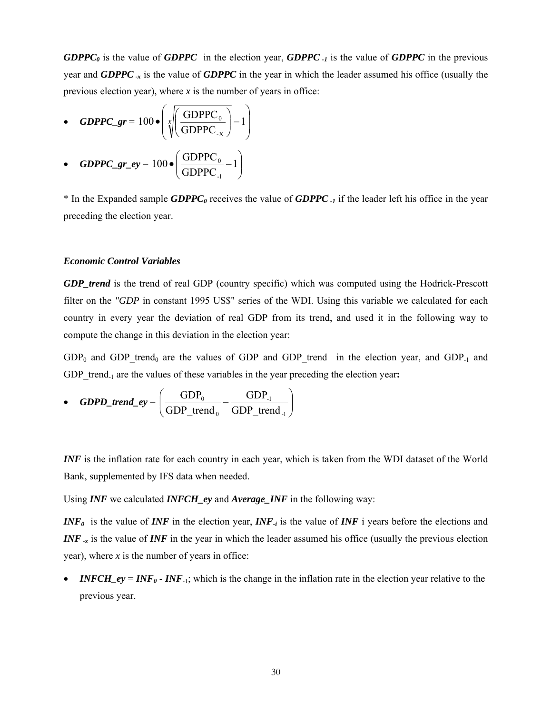*GDPPC0* is the value of *GDPPC* in the election year, *GDPPC -1* is the value of *GDPPC* in the previous year and *GDPPC -x* is the value of *GDPPC* in the year in which the leader assumed his office (usually the previous election year), where  $x$  is the number of years in office:

• **GDPPC\_gr** = 100 • 
$$
\left(\sqrt[x]{\left(\frac{\text{GDPPC}_0}{\text{GDPPC}_{x}}\right)} - 1\right)
$$

• 
$$
GDPPC\_gr\_ey = 100 \cdot \left(\frac{GDPPC_0}{GDPPC_{-1}} - 1\right)
$$

 $*$  In the Expanded sample  $GDPPC<sub>0</sub>$  receives the value of  $GDPPC<sub>-1</sub>$  if the leader left his office in the year preceding the election year.

#### *Economic Control Variables*

*GDP* trend is the trend of real GDP (country specific) which was computed using the Hodrick-Prescott filter on the *"GDP* in constant 1995 US\$" series of the WDI. Using this variable we calculated for each country in every year the deviation of real GDP from its trend, and used it in the following way to compute the change in this deviation in the election year:

 $GDP_0$  and  $GDP$  trend<sub>0</sub> are the values of GDP and GDP trend in the election year, and GDP<sub>-1</sub> and GDP trend<sub>-1</sub> are the values of these variables in the year preceding the election year:

• **GDPD\_trend\_e**y = 
$$
\left(\frac{\text{GDP}_0}{\text{GDP_trend}_0} - \frac{\text{GDP}_1}{\text{GDP_trend}_{-1}}\right)
$$

*INF* is the inflation rate for each country in each year, which is taken from the WDI dataset of the World Bank, supplemented by IFS data when needed.

Using *INF* we calculated *INFCH\_ey* and *Average\_INF* in the following way:

*INF<sub>0</sub>* is the value of *INF* in the election year, *INF<sub>-i</sub>* is the value of *INF* i years before the elections and *INF*  $\cdot$ *x* is the value of *INF* in the year in which the leader assumed his office (usually the previous election year), where  $x$  is the number of years in office:

• *INFCH\_ey* = *INF<sub>0</sub>* - *INF*<sub>-1</sub>; which is the change in the inflation rate in the election year relative to the previous year.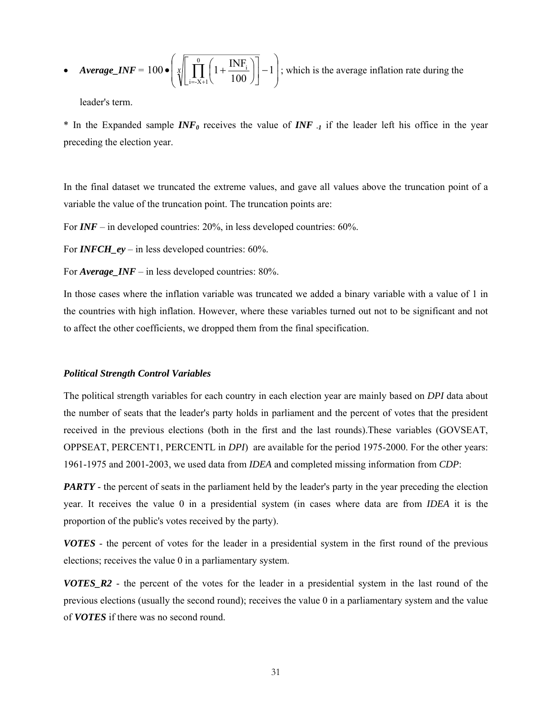• **Average** 
$$
INF = 100 \bullet \left( \sqrt[x]{\prod_{i=X+1}^{0} \left(1 + \frac{INF_i}{100}\right)} - 1 \right)
$$
; which is the average inflation rate during the

leader's term.

\* In the Expanded sample  $INF_0$  receives the value of  $INF_{-1}$  if the leader left his office in the year preceding the election year.

In the final dataset we truncated the extreme values, and gave all values above the truncation point of a variable the value of the truncation point. The truncation points are:

For *INF* – in developed countries: 20%, in less developed countries: 60%.

For *INFCH*  $ev - in$  less developed countries: 60%.

For *Average\_INF* – in less developed countries: 80%.

In those cases where the inflation variable was truncated we added a binary variable with a value of 1 in the countries with high inflation. However, where these variables turned out not to be significant and not to affect the other coefficients, we dropped them from the final specification.

#### *Political Strength Control Variables*

The political strength variables for each country in each election year are mainly based on *DPI* data about the number of seats that the leader's party holds in parliament and the percent of votes that the president received in the previous elections (both in the first and the last rounds).These variables (GOVSEAT, OPPSEAT, PERCENT1, PERCENTL in *DPI*) are available for the period 1975-2000. For the other years: 1961-1975 and 2001-2003, we used data from *IDEA* and completed missing information from *CDP*:

*PARTY* - the percent of seats in the parliament held by the leader's party in the year preceding the election year. It receives the value 0 in a presidential system (in cases where data are from *IDEA* it is the proportion of the public's votes received by the party).

*VOTES* - the percent of votes for the leader in a presidential system in the first round of the previous elections; receives the value 0 in a parliamentary system.

*VOTES R2* - the percent of the votes for the leader in a presidential system in the last round of the previous elections (usually the second round); receives the value 0 in a parliamentary system and the value of *VOTES* if there was no second round.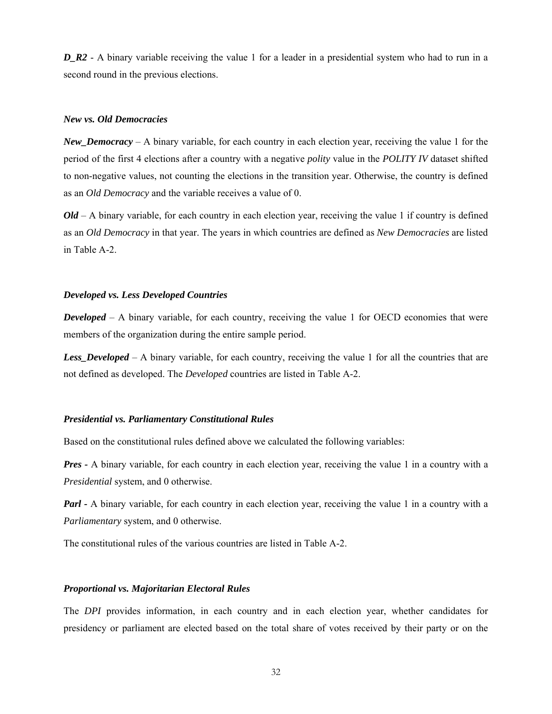*D\_R2 -* A binary variable receiving the value 1 for a leader in a presidential system who had to run in a second round in the previous elections.

#### *New vs. Old Democracies*

*New\_Democracy* – A binary variable, for each country in each election year, receiving the value 1 for the period of the first 4 elections after a country with a negative *polity* value in the *POLITY IV* dataset shifted to non-negative values, not counting the elections in the transition year. Otherwise, the country is defined as an *Old Democracy* and the variable receives a value of 0.

*Old* – A binary variable, for each country in each election year, receiving the value 1 if country is defined as an *Old Democracy* in that year. The years in which countries are defined as *New Democracies* are listed in Table A-2.

#### *Developed vs. Less Developed Countries*

*Developed* – A binary variable, for each country, receiving the value 1 for OECD economies that were members of the organization during the entire sample period.

*Less\_Developed* – A binary variable, for each country, receiving the value 1 for all the countries that are not defined as developed. The *Developed* countries are listed in Table A-2.

#### *Presidential vs. Parliamentary Constitutional Rules*

Based on the constitutional rules defined above we calculated the following variables:

*Pres -* A binary variable, for each country in each election year, receiving the value 1 in a country with a *Presidential* system, and 0 otherwise.

*Parl -* A binary variable, for each country in each election year, receiving the value 1 in a country with a *Parliamentary* system, and 0 otherwise.

The constitutional rules of the various countries are listed in Table A-2.

#### *Proportional vs. Majoritarian Electoral Rules*

The *DPI* provides information, in each country and in each election year, whether candidates for presidency or parliament are elected based on the total share of votes received by their party or on the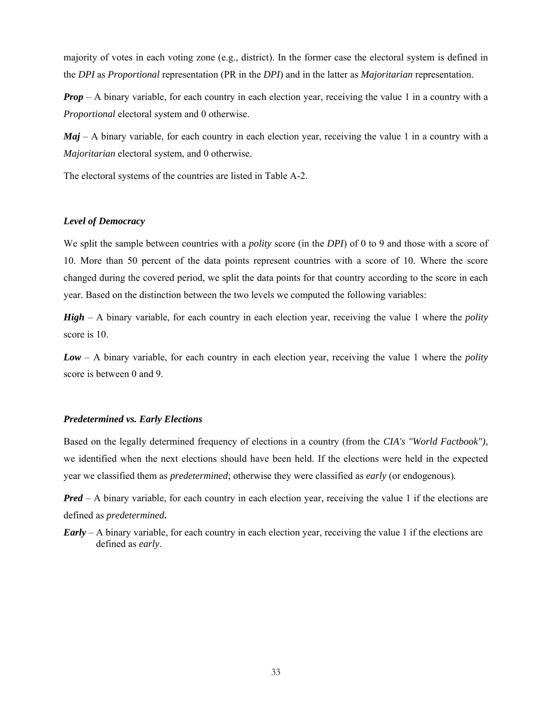majority of votes in each voting zone (e.g., district). In the former case the electoral system is defined in the *DPI* as *Proportional* representation (PR in the *DPI*) and in the latter as *Majoritarian* representation.

*Prop* – A binary variable, for each country in each election year, receiving the value 1 in a country with a *Proportional* electoral system and 0 otherwise.

*Maj* – A binary variable, for each country in each election year, receiving the value 1 in a country with a *Majoritarian* electoral system, and 0 otherwise.

The electoral systems of the countries are listed in Table A-2.

#### *Level of Democracy*

We split the sample between countries with a *polity* score (in the *DPI*) of 0 to 9 and those with a score of 10. More than 50 percent of the data points represent countries with a score of 10. Where the score changed during the covered period, we split the data points for that country according to the score in each year. Based on the distinction between the two levels we computed the following variables:

*High* – A binary variable, for each country in each election year, receiving the value 1 where the *polity* score is 10.

*Low* – A binary variable, for each country in each election year, receiving the value 1 where the *polity* score is between 0 and 9.

#### *Predetermined vs. Early Elections*

Based on the legally determined frequency of elections in a country (from the *CIA's "World Factbook")*, we identified when the next elections should have been held. If the elections were held in the expected year we classified them as *predetermined*; otherwise they were classified as *early* (or endogenous)*.*

*Pred* – A binary variable, for each country in each election year, receiving the value 1 if the elections are defined as *predetermined***.**

*Early* – A binary variable, for each country in each election year, receiving the value 1 if the elections are defined as *early*.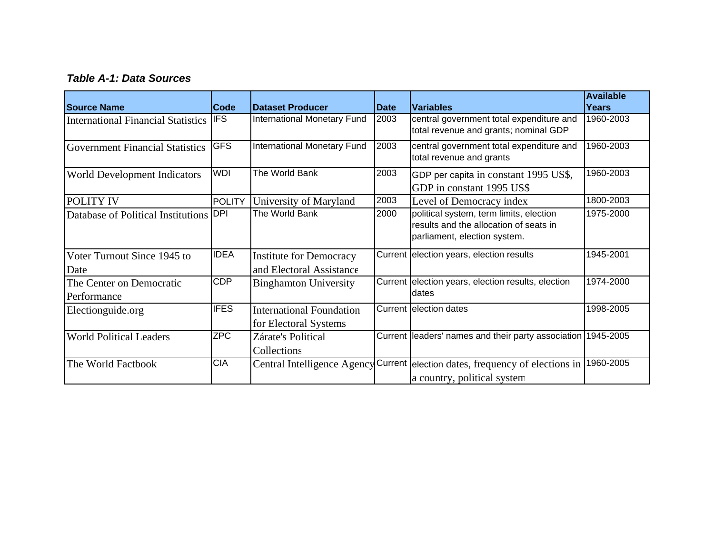# *Table A-1: Data Sources*

|                                           |               |                                                          |                                                                            |                                                                                                                   | <b>Available</b> |
|-------------------------------------------|---------------|----------------------------------------------------------|----------------------------------------------------------------------------|-------------------------------------------------------------------------------------------------------------------|------------------|
| <b>Source Name</b>                        | <b>Code</b>   | <b>IDataset Producer</b>                                 | <b>Date</b>                                                                | <b>Variables</b>                                                                                                  | Years            |
| <b>International Financial Statistics</b> | <b>IIFS</b>   | International Monetary Fund                              | 2003                                                                       | central government total expenditure and<br>total revenue and grants; nominal GDP                                 | 1960-2003        |
| <b>Government Financial Statistics</b>    | <b>GFS</b>    | International Monetary Fund                              | 2003                                                                       | central government total expenditure and<br>total revenue and grants                                              | 1960-2003        |
| <b>World Development Indicators</b>       | <b>WDI</b>    | The World Bank                                           | 2003<br>GDP per capita in constant 1995 US\$,<br>GDP in constant 1995 US\$ |                                                                                                                   | 1960-2003        |
| <b>POLITY IV</b>                          | <b>POLITY</b> | University of Maryland                                   | 2003                                                                       | Level of Democracy index                                                                                          | 1800-2003        |
| Database of Political Institutions DPI    |               | The World Bank                                           | 2000                                                                       | political system, term limits, election<br>results and the allocation of seats in<br>parliament, election system. | 1975-2000        |
| Voter Turnout Since 1945 to<br>Date       | <b>IDEA</b>   | Institute for Democracy<br>and Electoral Assistance      |                                                                            | Current election years, election results                                                                          | 1945-2001        |
| The Center on Democratic<br>Performance   | <b>CDP</b>    | <b>Binghamton University</b>                             |                                                                            | Current election years, election results, election<br>dates                                                       | 1974-2000        |
| Electionguide.org                         | <b>IFES</b>   | <b>International Foundation</b><br>for Electoral Systems |                                                                            | Current election dates                                                                                            | 1998-2005        |
| <b>World Political Leaders</b>            | <b>ZPC</b>    | Zárate's Political<br>Collections                        |                                                                            | Current leaders' names and their party association                                                                | 1945-2005        |
| The World Factbook                        | <b>CIA</b>    |                                                          |                                                                            | Central Intelligence Agency Current election dates, frequency of elections in<br>a country, political system      | 1960-2005        |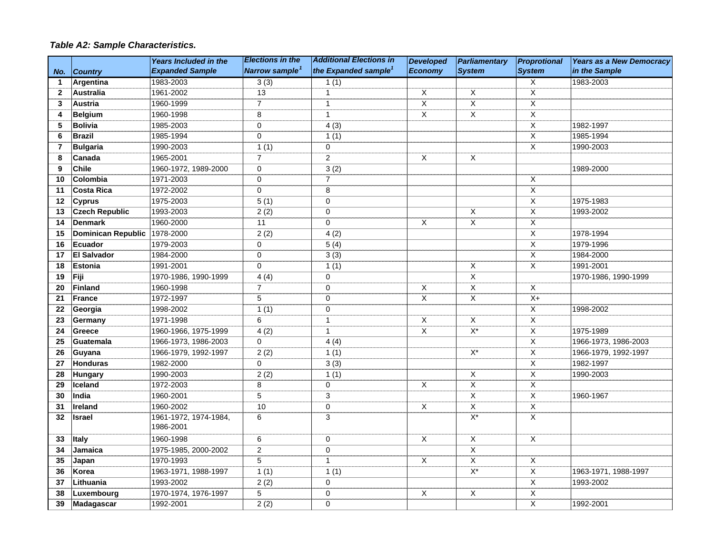## *Table A2: Sample Characteristics.*

|                         |                           | <b>Years Included in the</b>       | <b>Elections in the</b>    | <b>Additional Elections in</b>   | <b>Developed</b>        | Parliamentary           | Proprotional            | Years as a New Democracy |
|-------------------------|---------------------------|------------------------------------|----------------------------|----------------------------------|-------------------------|-------------------------|-------------------------|--------------------------|
| No.                     | <b>Country</b>            | <b>Expanded Sample</b>             | Narrow sample <sup>1</sup> | the Expanded sample <sup>1</sup> | <b>Economy</b>          | <b>System</b>           | <b>System</b>           | in the Sample            |
| $\mathbf{1}$            | Argentina                 | 1983-2003                          | 3(3)                       | 1(1)                             |                         |                         | X                       | 1983-2003                |
| $\mathbf{2}$            | <b>Australia</b>          | 1961-2002                          | $\overline{13}$            | $\mathbf{1}$                     | X                       | $\overline{X}$          | $\overline{\mathsf{x}}$ |                          |
| 3                       | <b>Austria</b>            | 1960-1999                          | $\overline{7}$             | $\overline{1}$                   | $\overline{\mathsf{x}}$ | $\overline{x}$          | $\overline{\mathsf{x}}$ |                          |
| $\overline{\mathbf{4}}$ | <b>Belgium</b>            | 1960-1998                          | 8                          | $\overline{1}$                   | $\overline{\mathsf{x}}$ | $\overline{\mathsf{x}}$ | $\overline{\mathsf{x}}$ |                          |
| 5                       | <b>Bolivia</b>            | 1985-2003                          | $\mathbf 0$                | 4(3)                             |                         |                         | $\overline{\mathsf{x}}$ | 1982-1997                |
| 6                       | <b>Brazil</b>             | 1985-1994                          | $\mathbf 0$                | 1(1)                             |                         |                         | $\mathsf X$             | 1985-1994                |
| $\overline{7}$          | <b>Bulgaria</b>           | 1990-2003                          | 1(1)                       | 0                                |                         |                         | $\overline{\mathsf{x}}$ | 1990-2003                |
| 8                       | Canada                    | 1965-2001                          | $\overline{7}$             | $\overline{2}$                   | $\overline{X}$          | X                       |                         |                          |
| 9                       | <b>Chile</b>              | 1960-1972, 1989-2000               | $\mathbf 0$                | 3(2)                             |                         |                         |                         | 1989-2000                |
| 10                      | Colombia                  | 1971-2003                          | $\pmb{0}$                  | $\overline{7}$                   |                         |                         | X                       |                          |
| 11                      | Costa Rica                | 1972-2002                          | 0                          | 8                                |                         |                         | $\overline{x}$          |                          |
| 12                      | <b>Cyprus</b>             | 1975-2003                          | 5(1)                       | 0                                |                         |                         | $\overline{\mathsf{x}}$ | 1975-1983                |
| 13                      | <b>Czech Republic</b>     | 1993-2003                          | 2(2)                       | $\mathbf 0$                      |                         | X                       | $\overline{\mathsf{x}}$ | 1993-2002                |
| 14                      | <b>Denmark</b>            | 1960-2000                          | 11                         | $\pmb{0}$                        | $\overline{\mathsf{x}}$ | $\overline{\mathsf{x}}$ | $\overline{\mathsf{x}}$ |                          |
| 15                      | <b>Dominican Republic</b> | 1978-2000                          | 2(2)                       | 4(2)                             |                         |                         | $\overline{X}$          | 1978-1994                |
| 16                      | Ecuador                   | 1979-2003                          | $\mathbf 0$                | 5(4)                             |                         |                         | $\overline{x}$          | 1979-1996                |
| 17                      | <b>El Salvador</b>        | 1984-2000                          | $\mathbf 0$                | 3(3)                             |                         |                         | $\overline{\mathsf{x}}$ | 1984-2000                |
| 18                      | <b>Estonia</b>            | 1991-2001                          | $\mathbf 0$                | 1(1)                             |                         | $\overline{X}$          | $\overline{\mathsf{x}}$ | 1991-2001                |
| 19                      | Fiji                      | 1970-1986, 1990-1999               | 4(4)                       | $\mathbf 0$                      |                         | $\overline{x}$          |                         | 1970-1986, 1990-1999     |
| 20                      | Finland                   | 1960-1998                          | $\overline{7}$             | $\mathbf 0$                      | $\overline{X}$          | $\overline{X}$          | $\overline{\mathsf{x}}$ |                          |
| 21                      | France                    | 1972-1997                          | 5                          | 0                                | $\overline{\mathsf{x}}$ | $\overline{X}$          | $\overline{X+}$         |                          |
| 22                      | Georgia                   | 1998-2002                          | $\overline{1(1)}$          | $\mathbf 0$                      |                         |                         | $\overline{X}$          | 1998-2002                |
| 23                      | Germany                   | 1971-1998                          | 6                          | $\mathbf{1}$                     | $\overline{X}$          | X                       | $\overline{\mathsf{x}}$ |                          |
| 24                      | Greece                    | 1960-1966, 1975-1999               | 4(2)                       | $\overline{1}$                   | $\overline{\mathsf{x}}$ | $\overline{X^*}$        | $\overline{\mathsf{x}}$ | 1975-1989                |
| 25                      | Guatemala                 | 1966-1973, 1986-2003               | $\mathbf 0$                | 4(4)                             |                         |                         | $\overline{\mathsf{x}}$ | 1966-1973, 1986-2003     |
| 26                      | Guyana                    | 1966-1979, 1992-1997               | 2(2)                       | 1(1)                             |                         | $\overline{X^*}$        | $\overline{\mathsf{x}}$ | 1966-1979, 1992-1997     |
| 27                      | <b>Honduras</b>           | 1982-2000                          | $\mathbf 0$                | 3(3)                             |                         |                         | $\overline{\mathsf{x}}$ | 1982-1997                |
| 28                      | <b>Hungary</b>            | 1990-2003                          | 2(2)                       | 1(1)                             |                         | X                       | $\overline{X}$          | 1990-2003                |
| 29                      | Iceland                   | 1972-2003                          | 8                          | $\mathbf 0$                      | $\overline{\mathsf{x}}$ | $\overline{\mathsf{x}}$ | $\overline{X}$          |                          |
| 30                      | India                     | 1960-2001                          | 5                          | 3                                |                         | $\overline{\mathsf{x}}$ | $\overline{x}$          | 1960-1967                |
| 31                      | <b>Ireland</b>            | 1960-2002                          | $\overline{10}$            | $\mathbf 0$                      | $\overline{X}$          | $\overline{x}$          | $\overline{\mathsf{x}}$ |                          |
| 32                      | <b>Israel</b>             | 1961-1972, 1974-1984,<br>1986-2001 | $\overline{6}$             | $\overline{3}$                   |                         | $\overline{X^*}$        | $\overline{\mathsf{x}}$ |                          |
| 33                      | <b>Italy</b>              | 1960-1998                          | 6                          | $\pmb{0}$                        | $\overline{\mathsf{x}}$ | $\overline{\mathsf{x}}$ | $\overline{\mathsf{x}}$ |                          |
| 34                      | Jamaica                   | 1975-1985, 2000-2002               | $\overline{2}$             | 0                                |                         | $\overline{\mathsf{x}}$ |                         |                          |
| 35                      | Japan                     | 1970-1993                          | 5                          | $\overline{1}$                   | $\overline{\mathsf{x}}$ | $\overline{\mathsf{x}}$ | $\overline{\mathsf{x}}$ |                          |
| 36                      | Korea                     | 1963-1971, 1988-1997               | 1(1)                       | 1(1)                             |                         | $\overline{X^*}$        | $\overline{X}$          | 1963-1971, 1988-1997     |
| 37                      | Lithuania                 | 1993-2002                          | 2(2)                       | $\mathbf 0$                      |                         |                         | $\overline{\mathsf{x}}$ | 1993-2002                |
| 38                      | Luxembourg                | 1970-1974, 1976-1997               | 5                          | $\mathbf 0$                      | X                       | X                       | $\overline{x}$          |                          |
| 39                      | Madagascar                | 1992-2001                          | 2(2)                       | 0                                |                         |                         | $\overline{X}$          | 1992-2001                |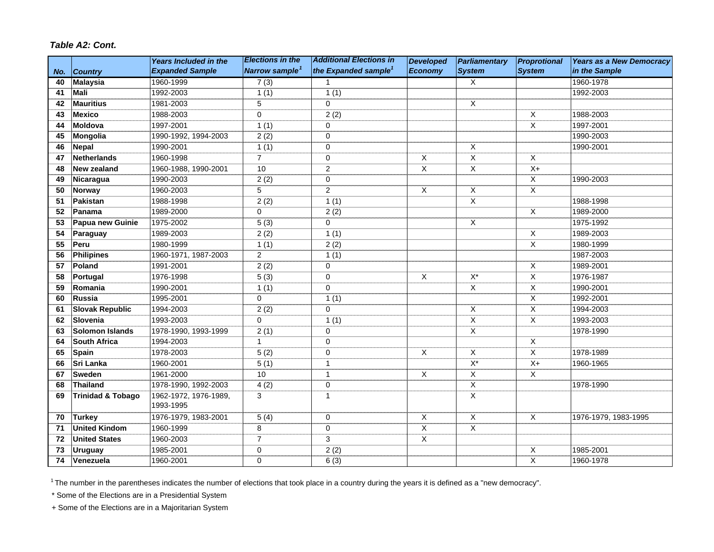## *Table A2: Cont.*

|     |                              | <b>Years Included in the</b>       | <b>Elections in the</b>    | <b>Additional Elections in</b>   | Developed      | Parliamentary           | Proprotional            | Years as a New Democracy |
|-----|------------------------------|------------------------------------|----------------------------|----------------------------------|----------------|-------------------------|-------------------------|--------------------------|
| No. | <b>Country</b>               | <b>Expanded Sample</b>             | Narrow sample <sup>1</sup> | the Expanded sample <sup>1</sup> | <b>Economy</b> | <b>System</b>           | <b>System</b>           | in the Sample            |
| 40  | <b>Malaysia</b>              | 1960-1999                          | 7(3)                       | $\mathbf{1}$                     |                | $\overline{X}$          |                         | 1960-1978                |
| 41  | Mali                         | 1992-2003                          | 1(1)                       | 1(1)                             |                |                         |                         | 1992-2003                |
| 42  | <b>Mauritius</b>             | 1981-2003                          | $\overline{5}$             | $\Omega$                         |                | $\overline{X}$          |                         |                          |
| 43  | <b>Mexico</b>                | 1988-2003                          | $\mathbf 0$                | 2(2)                             |                |                         | X                       | 1988-2003                |
| 44  | Moldova                      | 1997-2001                          | 1(1)                       | $\mathbf 0$                      |                |                         | X                       | 1997-2001                |
| 45  | Mongolia                     | 1990-1992, 1994-2003               | 2(2)                       | $\mathbf 0$                      |                |                         |                         | 1990-2003                |
| 46  | <b>Nepal</b>                 | 1990-2001                          | 1(1)                       | $\mathbf 0$                      |                | X                       |                         | 1990-2001                |
| 47  | <b>Netherlands</b>           | 1960-1998                          | $\overline{7}$             | 0                                | $\overline{X}$ | $\overline{X}$          | $\overline{X}$          |                          |
| 48  | <b>New zealand</b>           | 1960-1988, 1990-2001               | 10                         | 2                                | X              | X                       | $X+$                    |                          |
| 49  | Nicaragua                    | 1990-2003                          | 2(2)                       | $\mathbf 0$                      |                |                         | $\overline{X}$          | 1990-2003                |
| 50  | <b>Norway</b>                | 1960-2003                          | 5                          | $\overline{2}$                   | X              | X                       | $\overline{X}$          |                          |
| 51  | Pakistan                     | 1988-1998                          | 2(2)                       | 1(1)                             |                | $\overline{\mathsf{x}}$ |                         | 1988-1998                |
| 52  | Panama                       | 1989-2000                          | $\mathbf 0$                | 2(2)                             |                |                         | $\overline{X}$          | 1989-2000                |
| 53  | <b>Papua new Guinie</b>      | 1975-2002                          | 5(3)                       | $\mathbf 0$                      |                | X                       |                         | 1975-1992                |
| 54  | Paraguay                     | 1989-2003                          | 2(2)                       | 1(1)                             |                |                         | X                       | 1989-2003                |
| 55  | Peru                         | 1980-1999                          | 1(1)                       | 2(2)                             |                |                         | $\overline{X}$          | 1980-1999                |
| 56  | <b>Philipines</b>            | 1960-1971, 1987-2003               | 2                          | 1(1)                             |                |                         |                         | 1987-2003                |
| 57  | Poland                       | 1991-2001                          | 2(2)                       | 0                                |                |                         | X                       | 1989-2001                |
| 58  | Portugal                     | 1976-1998                          | 5(3)                       | $\mathbf 0$                      | $\overline{X}$ | $\overline{X^*}$        | $\overline{X}$          | 1976-1987                |
| 59  | Romania                      | 1990-2001                          | 1(1)                       | 0                                |                | $\overline{\mathsf{x}}$ | $\overline{X}$          | 1990-2001                |
| 60  | <b>Russia</b>                | 1995-2001                          | $\mathbf 0$                | 1(1)                             |                |                         | X                       | 1992-2001                |
| 61  | <b>Slovak Republic</b>       | 1994-2003                          | 2(2)                       | 0                                |                | X                       | Χ                       | 1994-2003                |
| 62  | Slovenia                     | 1993-2003                          | $\mathbf 0$                | 1(1)                             |                | $\overline{\mathsf{x}}$ | $\overline{X}$          | 1993-2003                |
| 63  | <b>Solomon Islands</b>       | 1978-1990, 1993-1999               | 2(1)                       | $\mathbf 0$                      |                | $\overline{\mathsf{x}}$ |                         | 1978-1990                |
| 64  | <b>South Africa</b>          | 1994-2003                          | $\mathbf{1}$               | $\mathbf 0$                      |                |                         | X                       |                          |
| 65  | <b>Spain</b>                 | 1978-2003                          | 5(2)                       | $\mathbf 0$                      | X              | X                       | $\overline{\mathsf{x}}$ | 1978-1989                |
| 66  | <b>Sri Lanka</b>             | 1960-2001                          | $\overline{5(1)}$          | $\mathbf{1}$                     |                | $\overline{X^*}$        | $\overline{X+}$         | 1960-1965                |
| 67  | <b>Sweden</b>                | 1961-2000                          | 10                         | $\mathbf{1}$                     | X              | $\overline{X}$          | $\overline{X}$          |                          |
| 68  | Thailand                     | 1978-1990, 1992-2003               | 4(2)                       | 0                                |                | $\overline{X}$          |                         | 1978-1990                |
| 69  | <b>Trinidad &amp; Tobago</b> | 1962-1972, 1976-1989,<br>1993-1995 | 3                          | $\mathbf{1}$                     |                | X                       |                         |                          |
|     |                              |                                    |                            |                                  |                |                         |                         |                          |
| 70  | <b>Turkey</b>                | 1976-1979, 1983-2001               | 5(4)                       | $\mathbf 0$                      | X              | $\overline{X}$          | $\overline{X}$          | 1976-1979, 1983-1995     |
| 71  | <b>United Kindom</b>         | 1960-1999                          | 8                          | 0                                | $\overline{x}$ | $\overline{\mathsf{x}}$ |                         |                          |
| 72  | <b>United States</b>         | 1960-2003                          | $\overline{7}$             | 3                                | $\overline{x}$ |                         |                         |                          |
| 73  | <b>Uruguay</b>               | 1985-2001                          | $\mathbf 0$                | 2(2)                             |                |                         | X                       | 1985-2001                |
| 74  | Venezuela                    | 1960-2001                          | $\mathbf 0$                | 6(3)                             |                |                         | X                       | 1960-1978                |

<sup>1</sup> The number in the parentheses indicates the number of elections that took place in a country during the years it is defined as a "new democracy".

\* Some of the Elections are in a Presidential System

+ Some of the Elections are in a Majoritarian System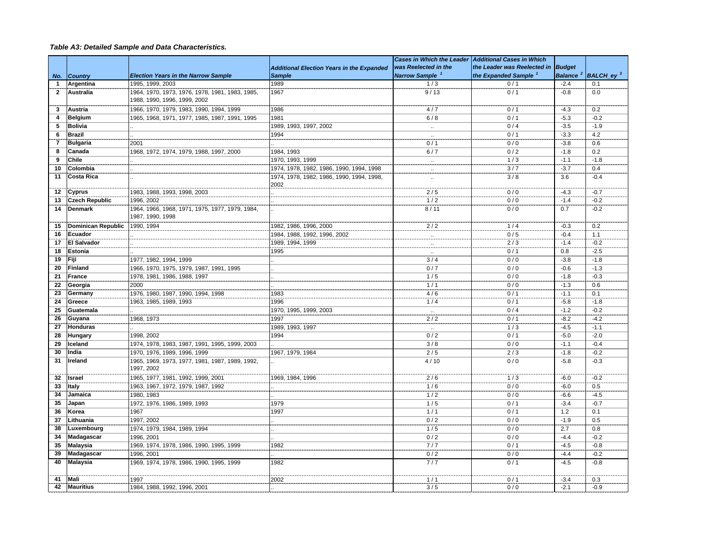#### *Table A3: Detailed Sample and Data Characteristics.*

|                |                           |                                                                     |                                                  | Cases in Which the Leader Additional Cases in Which |                                  |                      |                       |
|----------------|---------------------------|---------------------------------------------------------------------|--------------------------------------------------|-----------------------------------------------------|----------------------------------|----------------------|-----------------------|
|                |                           |                                                                     | <b>Additional Election Years in the Expanded</b> | was Reelected in the                                | the Leader was Reelected in      | <b>Budget</b>        |                       |
| No.            | <b>Country</b>            | <b>Election Years in the Narrow Sample</b>                          | <b>Sample</b>                                    | Narrow Sample <sup>1</sup>                          | the Expanded Sample <sup>1</sup> | Balance <sup>2</sup> | BALCH_ey <sup>3</sup> |
| $\mathbf{1}$   | Argentina                 | 1995, 1999, 2003                                                    | 1989                                             | 1/3                                                 | 0/1                              | $-2.4$               | 0.1                   |
| $\overline{2}$ | <b>Australia</b>          | 1964, 1970, 1973, 1976, 1978, 1981, 1983, 1985,                     | 1967                                             | 9/13                                                | 0/1                              | $-0.8$               | 0.0                   |
|                |                           | 1988, 1990, 1996, 1999, 2002                                        |                                                  |                                                     |                                  |                      |                       |
| 3              | Austria                   | 1966, 1970, 1979, 1983, 1990, 1994, 1999                            | 1986                                             | 4/7                                                 | 0/1                              | $-4.3$               | 0.2                   |
| 4              | <b>Belgium</b>            | 1965, 1968, 1971, 1977, 1985, 1987, 1991, 1995                      | 1981                                             | 6/8                                                 | 0/1                              | $-5.3$               | $-0.2$                |
| 5              | <b>Bolivia</b>            |                                                                     | 1989. 1993. 1997. 2002                           | $\ddotsc$                                           | 0/4                              | $-3.5$               | $-1.9$                |
| 6              | <b>Brazil</b>             |                                                                     | 1994                                             | $\ddotsc$                                           | 0/1                              | $-3.3$               | 4.2                   |
| $\overline{7}$ | <b>Bulgaria</b>           | 2001                                                                |                                                  | 0/1                                                 | 0/0                              | $-3.8$               | 0.6                   |
| 8              | Canada                    | 1968, 1972, 1974, 1979, 1988, 1997, 2000                            | 1984, 1993                                       | 6/7                                                 | 0/2                              | $-1.8$               | 0.2                   |
| 9              | Chile                     |                                                                     | 1970, 1993, 1999                                 | $\ddotsc$                                           | 1/3                              | $-1.1$               | $-1.8$                |
| 10             | Colombia                  |                                                                     | 1974, 1978, 1982, 1986, 1990, 1994, 1998         | $\ddotsc$                                           | 3/7                              | $-3.7$               | 0.4                   |
| 11             | Costa Rica                |                                                                     | 1974, 1978, 1982, 1986, 1990, 1994, 1998,        |                                                     | 3/8                              | 3.6                  | $-0.4$                |
|                |                           |                                                                     | 2002                                             | $\ddotsc$                                           |                                  |                      |                       |
| 12             | Cyprus                    | 1983, 1988, 1993, 1998, 2003                                        |                                                  | 2/5                                                 | 0/0                              | $-4.3$               | $-0.7$                |
| 13             | <b>Czech Republic</b>     | 1996, 2002                                                          |                                                  | 1/2                                                 | 0/0                              | $-1.4$               | $-0.2$                |
| 14             | <b>Denmark</b>            | 1964, 1966, 1968, 1971, 1975, 1977, 1979, 1984,<br>1987, 1990, 1998 |                                                  | 8/11                                                | 0/0                              | 0.7                  | $-0.2$                |
| 15             | <b>Dominican Republic</b> | 1990, 1994                                                          | 1982, 1986, 1996, 2000                           | 2/2                                                 | 1/4                              | $-0.3$               | 0.2                   |
| 16             | Ecuador                   |                                                                     | 1984, 1988, 1992, 1996, 2002                     | $\ddotsc$                                           | 0/5                              | $-0.4$               | 1.1                   |
| 17             | <b>El Salvador</b>        |                                                                     | 1989, 1994, 1999                                 | $\ddotsc$                                           | 2/3                              | $-1.4$               | $-0.2$                |
| 18             | <b>Estonia</b>            |                                                                     | 1995                                             | $\ddot{\phantom{a}}$                                | 0/1                              | 0.8                  | $-2.5$                |
| 19             | Fiji                      | 1977, 1982, 1994, 1999                                              |                                                  | 3/4                                                 | 0/0                              | $-3.8$               | $-1.8$                |
| 20             | Finland                   | 1966, 1970, 1975, 1979, 1987, 1991, 1995                            |                                                  | 0/7                                                 | 0/0                              | $-0.6$               | $-1.3$                |
| 21             | France                    | 1978, 1981, 1986, 1988, 1997                                        |                                                  | 1/5                                                 | 0/0                              | $-1.8$               | $-0.3$                |
| 22             | Georgia                   | 2000                                                                |                                                  | 1/1                                                 | 0/0                              | $-1.3$               | 0.6                   |
| 23             | Germany                   | 1976, 1980, 1987, 1990, 1994, 1998                                  | 1983                                             | 4/6                                                 | 0/1                              | $-1.1$               | 0.1                   |
| 24             | Greece                    | 1963, 1985, 1989, 1993                                              | 1996                                             | 1/4                                                 | 0/1                              | $-5.8$               | $-1.8$                |
| 25             | Guatemala                 |                                                                     | 1970, 1995, 1999, 2003                           | $\ldots$                                            | 0/4                              | $-1.2$               | $-0.2$                |
| 26             | Guyana                    | 1968, 1973                                                          | 1997                                             | 2/2                                                 | 0/1                              | $-8.2$               | $-4.2$                |
| 27             | Honduras                  |                                                                     | 1989, 1993, 1997                                 | $\sim$                                              | 1/3                              | $-4.5$               | $-1.1$                |
| 28             | Hungary                   | 1998, 2002                                                          | 1994                                             | 0/2                                                 | 0/1                              | $-5.0$               | $-2.0$                |
| 29             | Iceland                   | 1974, 1978, 1983, 1987, 1991, 1995, 1999, 2003                      |                                                  | 3/8                                                 | 0/0                              | $-1.1$               | $-0.4$                |
| 30             | India                     | 1970, 1976, 1989, 1996, 1999                                        | 1967, 1979, 1984                                 | 2/5                                                 | 2/3                              | $-1.8$               | $-0.2$                |
| 31             | Ireland                   | 1965, 1969, 1973, 1977, 1981, 1987, 1989, 1992,                     |                                                  | 4/10                                                | 0/0                              | $-5.8$               | $-0.3$                |
|                |                           | 1997, 2002                                                          |                                                  |                                                     |                                  |                      |                       |
| 32             | Israel                    | 1965, 1977, 1981, 1992, 1999, 2001                                  | 1969, 1984, 1996                                 | 2/6                                                 | 1/3                              | $-6.0$               | $-0.2$                |
| 33             | Italy                     | 1963, 1967, 1972, 1979, 1987, 1992                                  |                                                  | 1/6                                                 | 0/0                              | $-6.0$               | 0.5                   |
| 34             | Jamaica                   | 1980, 1983                                                          |                                                  | 1/2                                                 | 0/0                              | $-6.6$               | $-4.5$                |
| 35             | Japan                     | 1972, 1976, 1986, 1989, 1993                                        | 1979                                             | 1/5                                                 | 0/1                              | $-3.4$               | $-0.7$                |
| 36             | Korea                     | 1967                                                                | 1997                                             | 1/1                                                 | 0/1                              | 1.2                  | 0.1                   |
| 37             | Lithuania                 | 1997, 2002                                                          |                                                  | 0/2                                                 | 0/0                              | $-1.9$               | 0.5                   |
| 38             | Luxembourg                | 1974, 1979, 1984, 1989, 1994                                        |                                                  | 1/5                                                 | 0/0                              | 2.7                  | 0.8                   |
| 34             | Madagascar                | 1996, 2001                                                          |                                                  | 0/2                                                 | 0/0                              | $-4.4$               | $-0.2$                |
| 35             | <b>Malaysia</b>           | 1969, 1974, 1978, 1986, 1990, 1995, 1999                            | 1982                                             | $7/7$                                               | 0/1                              | $-4.5$               | $-0.8$                |
| 39             | Madagascar                | 1996, 2001                                                          |                                                  | 0/2                                                 | 0/0                              | $-4.4$               | $-0.2$                |
| 40             | <b>Malaysia</b>           | 1969, 1974, 1978, 1986, 1990, 1995, 1999                            | 1982                                             | 7/7                                                 | 0/1                              | $-4.5$               | $-0.8$                |
| 41             | <b>Mali</b>               | 1997                                                                | 2002                                             | 1/1                                                 | 0/1                              | $-3.4$               | 0.3                   |
| 42             | <b>Mauritius</b>          | 1984. 1988. 1992. 1996. 2001                                        |                                                  | 3/5                                                 | 0/0                              | $-2.1$               | $-0.9$                |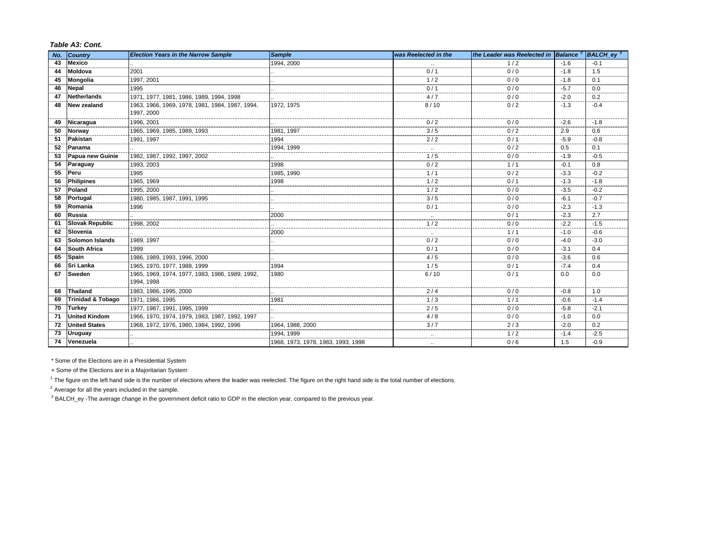*Table A3: Cont.*

| No. | <b>Country</b>               | <b>Election Years in the Narrow Sample</b>                    | <b>Sample</b>                      | was Reelected in the | the Leader was Reelected in Balance <sup>2</sup> BALCH ey <sup>3</sup> |        |        |
|-----|------------------------------|---------------------------------------------------------------|------------------------------------|----------------------|------------------------------------------------------------------------|--------|--------|
| 43  | <b>Mexico</b>                |                                                               | 1994.2000                          |                      | $\overline{1/2}$                                                       | $-1.6$ | $-0.1$ |
| 44  | Moldova                      | 2001                                                          |                                    | 0/1                  | 0/0                                                                    | $-1.8$ | 1.5    |
| 45  | Mongolia                     | 1997, 2001                                                    |                                    | 1/2                  | 0/0                                                                    | $-1.8$ | 0.1    |
| 46  | Nepal                        | 1995                                                          |                                    | 0/1                  | 0/0                                                                    | $-5.7$ | 0.0    |
| 47  | Netherlands                  | 1971, 1977, 1981, 1986, 1989, 1994, 1998                      |                                    | 4/7                  | 0/0                                                                    | $-2.0$ | 0.2    |
| 48  | <b>New zealand</b>           | 1963, 1966, 1969, 1978, 1981, 1984, 1987, 1994,<br>1997, 2000 | 1972, 1975                         | 8/10                 | 0/2                                                                    | $-1.3$ | $-0.4$ |
| 49  | Nicaragua                    | 1996.2001                                                     |                                    | 0/2                  | 0/0                                                                    | $-2.6$ | $-1.8$ |
| 50  | Norway                       | 1965, 1969, 1985, 1989, 1993                                  | 1981.1997                          | 3/5                  | 0/2                                                                    | 2.9    | 0.6    |
| 51  | <b>Pakistan</b>              | 1991, 1997                                                    | 1994                               | 2/2                  | 0/1                                                                    | $-5.9$ | $-0.8$ |
| 52  | Panama                       |                                                               | 1994, 1999                         |                      | 0/2                                                                    | 0.5    | 0.1    |
| 53  | Papua new Guinie             | 1982, 1987, 1992, 1997, 2002                                  |                                    | 1/5                  | 0/0                                                                    | $-1.9$ | $-0.5$ |
| 54  | Paraguay                     | 1993, 2003                                                    | 1998                               | 0/2                  | 1/1                                                                    | $-0.1$ | 0.8    |
| 55  | Peru                         | 1995                                                          | 1985.1990                          | 1/1                  | 0/2                                                                    | $-3.3$ | $-0.2$ |
| 56  | <b>Philipines</b>            | 1965, 1969                                                    | 1998                               | 1/2                  | 0/1                                                                    | $-1.3$ | $-1.8$ |
| 57  | Poland                       | 1995.2000                                                     |                                    | 1/2                  | 0/0                                                                    | $-3.5$ | $-0.2$ |
| 58  | Portugal                     | 1980, 1985, 1987, 1991, 1995                                  |                                    | 3/5                  | 0/0                                                                    | $-6.1$ | $-0.7$ |
| 59  | Romania                      | 1996                                                          |                                    | 0/1                  | 0/0                                                                    | $-2.3$ | $-1.3$ |
| 60  | Russia                       |                                                               | 2000                               | $\ldots$             | 0/1                                                                    | $-2.3$ | 2.7    |
| 61  | <b>Slovak Republic</b>       | 1998, 2002                                                    |                                    | 1/2                  | 0/0                                                                    | $-2.2$ | $-1.5$ |
| 62  | Slovenia                     |                                                               | 2000                               | $\cdots$             | 1/1                                                                    | $-1.0$ | $-0.6$ |
| 63  | Solomon Islands              | 1989.1997                                                     |                                    | 0/2                  | 0/0                                                                    | $-4.0$ | $-3.0$ |
| 64  | <b>South Africa</b>          | 1999                                                          |                                    | 0/1                  | 0/0                                                                    | $-3.1$ | 0.4    |
| 65  | Spain                        | 1986, 1989, 1993, 1996, 2000                                  |                                    | 4/5                  | 0/0                                                                    | $-3.6$ | 0.6    |
| 66  | Sri Lanka                    | 1965. 1970. 1977. 1988. 1999                                  | 1994                               | 1/5                  | 0/1                                                                    | $-7.4$ | 0.4    |
| 67  | <b>Sweden</b>                | 1965, 1969, 1974, 1977, 1983, 1986, 1989, 1992,<br>1994, 1998 | 1980                               | 6/10                 | 0/1                                                                    | 0.0    | 0.0    |
| 68  | Thailand                     | 1983, 1986, 1995, 2000                                        |                                    | 2/4                  | 0/0                                                                    | $-0.8$ | 1.0    |
| 69  | <b>Trinidad &amp; Tobago</b> | 1971, 1986, 1995                                              | 1981                               | 1/3                  | 1/1                                                                    | $-0.6$ | $-1.4$ |
| 70  | <b>Turkey</b>                | 1977, 1987, 1991, 1995, 1999                                  |                                    | 2/5                  | 0/0                                                                    | $-5.8$ | $-2.1$ |
| 71  | <b>United Kindom</b>         | 1966, 1970, 1974, 1979, 1983, 1987, 1992, 1997                |                                    | 4/8                  | 0/0                                                                    | $-1.0$ | 0.0    |
| 72  | <b>United States</b>         | 1968, 1972, 1976, 1980, 1984, 1992, 1996                      | 1964, 1988, 2000                   | 3/7                  | 2/3                                                                    | $-2.0$ | 0.2    |
| 73  | <b>Uruguay</b>               |                                                               | 1994.1999                          | $\ldots$             | 1/2                                                                    | $-1.4$ | $-2.5$ |
| 74  | Venezuela                    |                                                               | 1968, 1973, 1978, 1983, 1993, 1998 | $\ldots$             | 0/6                                                                    | 1.5    | $-0.9$ |

\* Some of the Elections are in a Presidential System

+ Some of the Elections are in a Majoritarian System

<sup>1</sup> The figure on the left hand side is the number of elections where the leader was reelected. The figure on the right hand side is the total number of elections.

2 Average for all the years included in the sample.

<sup>3</sup> BALCH\_ey -The average change in the government deficit ratio to GDP in the election year, compared to the previous year.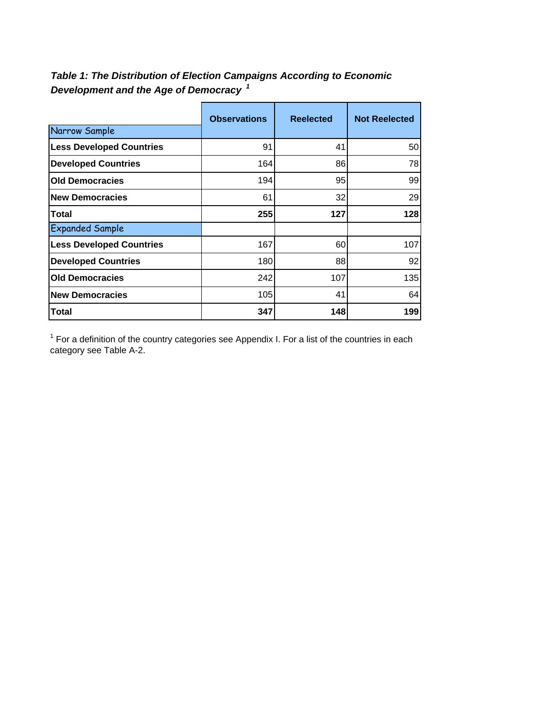# *Table 1: The Distribution of Election Campaigns According to Economic Development and the Age of Democracy <sup>1</sup>*

|                                 | <b>Observations</b> | <b>Reelected</b> | <b>Not Reelected</b> |  |
|---------------------------------|---------------------|------------------|----------------------|--|
| Narrow Sample                   |                     |                  |                      |  |
| <b>Less Developed Countries</b> | 91                  | 41               | 50                   |  |
| <b>Developed Countries</b>      | 164                 | 86               | 78                   |  |
| <b>Old Democracies</b>          | 194                 | 95               | 99                   |  |
| <b>New Democracies</b>          | 61                  | 32               | 29                   |  |
| <b>Total</b>                    | 255                 | 127              | 128                  |  |
| <b>Expanded Sample</b>          |                     |                  |                      |  |
| <b>Less Developed Countries</b> | 167                 | 60               | 107                  |  |
| <b>Developed Countries</b>      | 180                 | 88               | 92                   |  |
| <b>Old Democracies</b>          | 242                 | 107              | 135                  |  |
| <b>New Democracies</b>          | 105                 | 41               | 64                   |  |
| <b>Total</b>                    | 347                 | 148              | 199                  |  |

 $1$  For a definition of the country categories see Appendix I. For a list of the countries in each category see Table A-2.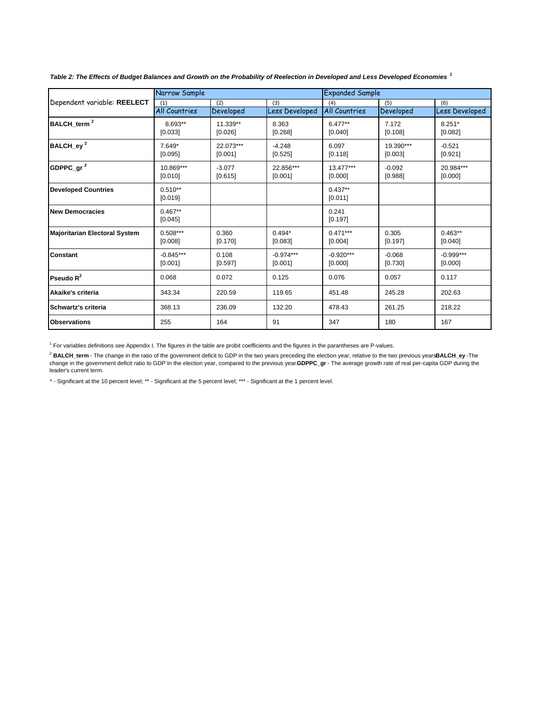|                               | Narrow Sample |           |                       | <b>Expanded Sample</b> |           |                |  |
|-------------------------------|---------------|-----------|-----------------------|------------------------|-----------|----------------|--|
| Dependent variable: REELECT   | (1)           | (2)       | (3)                   | (4)                    | (5)       | (6)            |  |
|                               | All Countries | Developed | <b>Less Developed</b> | <b>All Countries</b>   | Developed | Less Developed |  |
| BALCH_term <sup>2</sup>       | 8.693**       | 11.339**  | 8.363                 | $6.477**$              | 7.172     | $8.251*$       |  |
|                               | [0.033]       | [0.026]   | [0.268]               | [0.040]                | [0.108]   | [0.082]        |  |
| BALCH_ey <sup>2</sup>         | $7.649*$      | 22.073*** | $-4.248$              | 6.097                  | 19.390*** | $-0.521$       |  |
|                               | [0.095]       | [0.001]   | [0.525]               | [0.118]                | [0.003]   | [0.921]        |  |
| GDPPC_gr <sup>2</sup>         | 10.869***     | $-3.077$  | 22.856***             | 13.477***              | $-0.092$  | 20.984***      |  |
|                               | [0.010]       | [0.615]   | [0.001]               | [0.000]                | [0.988]   | [0.000]        |  |
| <b>Developed Countries</b>    | $0.510**$     |           |                       | $0.437**$              |           |                |  |
|                               | [0.019]       |           |                       | [0.011]                |           |                |  |
| <b>New Democracies</b>        | $0.467**$     |           |                       | 0.241                  |           |                |  |
|                               | [0.045]       |           |                       | [0.197]                |           |                |  |
| Majoritarian Electoral System | $0.508***$    | 0.360     | $0.494*$              | $0.471***$             | 0.305     | $0.463**$      |  |
|                               | [0.008]       | [0.170]   | [0.083]               | [0.004]                | [0.197]   | [0.040]        |  |
| <b>Constant</b>               | $-0.845***$   | 0.108     | $-0.974***$           | $-0.920***$            | $-0.068$  | $-0.999***$    |  |
|                               | [0.001]       | [0.597]   | [0.001]               | [0.000]                | [0.730]   | [0.000]        |  |
| Pseudo $R^2$                  | 0.068         | 0.072     | 0.125                 | 0.076                  | 0.057     | 0.117          |  |
| Akaike's criteria             | 343.34        | 220.59    | 119.65                | 451.48                 | 245.28    | 202.63         |  |
| Schwartz's criteria           | 368.13        | 236.09    | 132.20                | 478.43                 | 261.25    | 218.22         |  |
| <b>Observations</b>           | 255           | 164       | 91                    | 347                    | 180       | 167            |  |

*Table 2: The Effects of Budget Balances and Growth on the Probability of Reelection in Developed and Less Developed Economies <sup>1</sup>*

<sup>1</sup> For variables definitions see Appendix I. The figures in the table are probit coefficients and the figures in the parantheses are P-values.

<sup>2</sup> **BALCH\_term** - The change in the ratio of the government deficit to GDP in the two years preceding the election year, relative to the two previous years. **BALCH\_ey** -The change in the government deficit ratio to GDP In the election year, compared to the previous year. **GDPPC\_gr** - The average growth rate of real per-capita GDP during the leader's current term.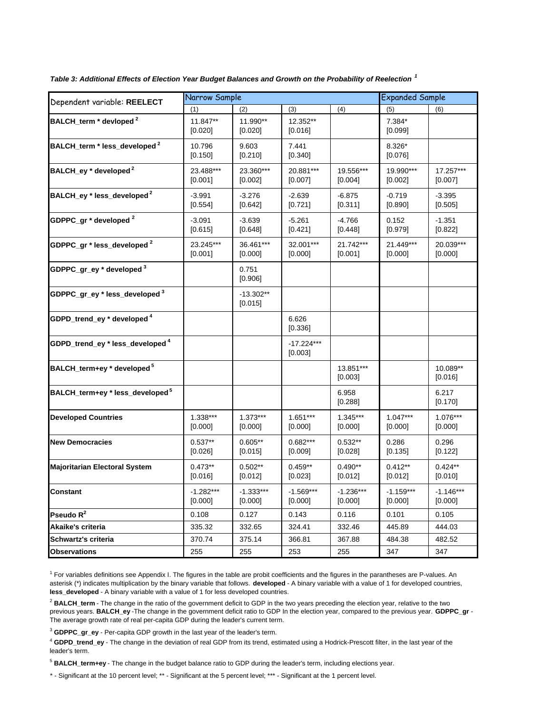| Dependent variable: REELECT                 | Narrow Sample          |                        |                         |                        | <b>Expanded Sample</b> |                        |  |
|---------------------------------------------|------------------------|------------------------|-------------------------|------------------------|------------------------|------------------------|--|
|                                             | (1)                    | (2)                    | (3)                     | (4)                    | (5)                    | (6)                    |  |
| BALCH_term * devloped <sup>2</sup>          | 11.847**<br>[0.020]    | 11.990**<br>[0.020]    | 12.352**<br>[0.016]     |                        | 7.384*<br>[0.099]      |                        |  |
| BALCH_term * less_developed <sup>2</sup>    | 10.796<br>[0.150]      | 9.603<br>$[0.210]$     | 7.441<br>$[0.340]$      |                        | 8.326*<br>[0.076]      |                        |  |
| BALCH_ey * developed <sup>2</sup>           | 23.488***<br>[0.001]   | 23.360***<br>$[0.002]$ | 20.881***<br>[0.007]    | 19.556***<br>$[0.004]$ | 19.990***<br>[0.002]   | 17.257***<br>[0.007]   |  |
| BALCH_ey * less_developed <sup>2</sup>      | $-3.991$<br>[0.554]    | $-3.276$<br>$[0.642]$  | $-2.639$<br>[0.721]     | $-6.875$<br>[0.311]    | $-0.719$<br>[0.890]    | $-3.395$<br>[0.505]    |  |
| GDPPC_gr * developed <sup>2</sup>           | $-3.091$<br>[0.615]    | $-3.639$<br>[0.648]    | $-5.261$<br>[0.421]     | $-4.766$<br>[0.448]    | 0.152<br>[0.979]       | $-1.351$<br>[0.822]    |  |
| GDPPC_gr * less_developed <sup>2</sup>      | 23.245***<br>[0.001]   | 36.461***<br>[0.000]   | 32.001***<br>[0.000]    | 21.742***<br>[0.001]   | 21.449***<br>[0.000]   | 20.039***<br>[0.000]   |  |
| GDPPC_gr_ey * developed 3                   |                        | 0.751<br>[0.906]       |                         |                        |                        |                        |  |
| GDPPC_gr_ey * less_developed 3              |                        | $-13.302**$<br>[0.015] |                         |                        |                        |                        |  |
| GDPD_trend_ey * developed 4                 |                        |                        | 6.626<br>[0.336]        |                        |                        |                        |  |
| GDPD_trend_ey * less_developed <sup>4</sup> |                        |                        | $-17.224***$<br>[0.003] |                        |                        |                        |  |
| BALCH_term+ey * developed <sup>5</sup>      |                        |                        |                         | 13.851***<br>[0.003]   |                        | 10.089**<br>[0.016]    |  |
| BALCH_term+ey * less_developed <sup>5</sup> |                        |                        |                         | 6.958<br>[0.288]       |                        | 6.217<br>[0.170]       |  |
| <b>Developed Countries</b>                  | 1.338***<br>[0.000]    | $1.373***$<br>[0.000]  | $1.651***$<br>[0.000]   | 1.345***<br>[0.000]    | $1.047***$<br>[0.000]  | 1.076***<br>[0.000]    |  |
| <b>New Democracies</b>                      | $0.537**$<br>[0.026]   | $0.605**$<br>[0.015]   | $0.682***$<br>[0.009]   | $0.532**$<br>[0.028]   | 0.286<br>[0.135]       | 0.296<br>[0.122]       |  |
| <b>Majoritarian Electoral System</b>        | $0.473**$<br>[0.016]   | $0.502**$<br>$[0.012]$ | $0.459**$<br>[0.023]    | $0.490**$<br>[0.012]   | $0.412**$<br>[0.012]   | $0.424**$<br>[0.010]   |  |
| <b>Constant</b>                             | $-1.282***$<br>[0.000] | $-1.333***$<br>[0.000] | $-1.569***$<br>[0.000]  | $-1.236***$<br>[0.000] | $-1.159***$<br>[0.000] | $-1.146***$<br>[0.000] |  |
| Pseudo $R^2$                                | 0.108                  | 0.127                  | 0.143                   | 0.116                  | 0.101                  | 0.105                  |  |
| Akaike's criteria                           | 335.32                 | 332.65                 | 324.41                  | 332.46                 | 445.89                 | 444.03                 |  |
| Schwartz's criteria                         | 370.74                 | 375.14                 | 366.81                  | 367.88                 | 484.38                 | 482.52                 |  |
| <b>Observations</b>                         | 255                    | 255                    | 253                     | 255                    | 347                    | 347                    |  |

*Table 3: Additional Effects of Election Year Budget Balances and Growth on the Probability of Reelection <sup>1</sup>*

<sup>2</sup> BALCH\_term - The change in the ratio of the government deficit to GDP in the two years preceding the election year, relative to the two previous years. **BALCH\_ey** -The change in the government deficit ratio to GDP In the election year, compared to the previous year. **GDPPC\_gr** - The average growth rate of real per-capita GDP during the leader's current term.

<sup>3</sup> **GDPPC\_gr\_ey** - Per-capita GDP growth in the last year of the leader's term.

<sup>4</sup> **GDPD\_trend\_ey** - The change in the deviation of real GDP from its trend, estimated using a Hodrick-Prescott filter, in the last year of the leader's term.

<sup>5</sup> **BALCH\_term+ey** - The change in the budget balance ratio to GDP during the leader's term, including elections year.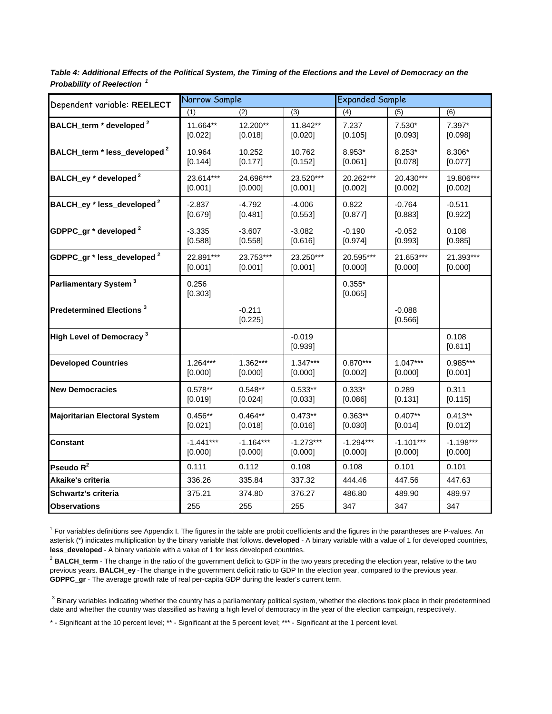Table 4: Additional Effects of the Political System, the Timing of the Elections and the Level of Democracy on the *Probability of Reelection <sup>1</sup>*

| Dependent variable: REELECT              | Narrow Sample    |                     |                     | <b>Expanded Sample</b> |                     |                  |  |
|------------------------------------------|------------------|---------------------|---------------------|------------------------|---------------------|------------------|--|
|                                          | (1)              | (2)                 | (3)                 | (4)                    | (5)                 | (6)              |  |
| BALCH_term * developed <sup>2</sup>      | 11.664**         | 12.200**            | 11.842**            | 7.237                  | 7.530*              | 7.397*           |  |
|                                          | [0.022]          | [0.018]             | [0.020]             | [0.105]                | [0.093]             | [0.098]          |  |
| BALCH_term * less_developed <sup>2</sup> | 10.964           | 10.252              | 10.762              | 8.953*                 | $8.253*$            | 8.306*           |  |
|                                          | [0.144]          | [0.177]             | [0.152]             | [0.061]                | [0.078]             | [0.077]          |  |
| BALCH_ey * developed <sup>2</sup>        | 23.614***        | 24.696***           | 23.520***           | 20.262***              | 20.430***           | 19.806***        |  |
|                                          | [0.001]          | [0.000]             | [0.001]             | [0.002]                | [0.002]             | [0.002]          |  |
| BALCH_ey * less_developed <sup>2</sup>   | $-2.837$         | $-4.792$            | $-4.006$            | 0.822                  | $-0.764$            | $-0.511$         |  |
|                                          | [0.679]          | [0.481]             | [0.553]             | [0.877]                | [0.883]             | [0.922]          |  |
| GDPPC_gr * developed <sup>2</sup>        | $-3.335$         | $-3.607$            | $-3.082$            | $-0.190$               | $-0.052$            | 0.108            |  |
|                                          | [0.588]          | [0.558]             | [0.616]             | [0.974]                | [0.993]             | [0.985]          |  |
| GDPPC_gr * less_developed <sup>2</sup>   | 22.891***        | 23.753***           | 23.250***           | 20.595***              | 21.653***           | 21.393***        |  |
|                                          | [0.001]          | [0.001]             | [0.001]             | [0.000]                | [0.000]             | [0.000]          |  |
| Parliamentary System <sup>3</sup>        | 0.256<br>[0.303] |                     |                     | $0.355*$<br>[0.065]    |                     |                  |  |
| Predetermined Elections <sup>3</sup>     |                  | $-0.211$<br>[0.225] |                     |                        | $-0.088$<br>[0.566] |                  |  |
| High Level of Democracy <sup>3</sup>     |                  |                     | $-0.019$<br>[0.939] |                        |                     | 0.108<br>[0.611] |  |
| <b>Developed Countries</b>               | 1.264***         | $1.362***$          | $1.347***$          | $0.870***$             | $1.047***$          | $0.985***$       |  |
|                                          | [0.000]          | [0.000]             | [0.000]             | [0.002]                | [0.000]             | [0.001]          |  |
| <b>New Democracies</b>                   | $0.578**$        | $0.548**$           | $0.533**$           | $0.333*$               | 0.289               | 0.311            |  |
|                                          | [0.019]          | [0.024]             | [0.033]             | [0.086]                | [0.131]             | [0.115]          |  |
| <b>Majoritarian Electoral System</b>     | $0.456**$        | $0.464**$           | $0.473**$           | $0.363**$              | $0.407**$           | $0.413**$        |  |
|                                          | [0.021]          | [0.018]             | [0.016]             | [0.030]                | [0.014]             | [0.012]          |  |
| <b>Constant</b>                          | $-1.441***$      | $-1.164***$         | $-1.273***$         | $-1.294***$            | $-1.101***$         | $-1.198***$      |  |
|                                          | [0.000]          | [0.000]             | [0.000]             | [0.000]                | [0.000]             | [0.000]          |  |
| Pseudo R <sup>2</sup>                    | 0.111            | 0.112               | 0.108               | 0.108                  | 0.101               | 0.101            |  |
| Akaike's criteria                        | 336.26           | 335.84              | 337.32              | 444.46                 | 447.56              | 447.63           |  |
| Schwartz's criteria                      | 375.21           | 374.80              | 376.27              | 486.80                 | 489.90              | 489.97           |  |
| <b>Observations</b>                      | 255              | 255                 | 255                 | 347                    | 347                 | 347              |  |

<sup>2</sup> BALCH\_term - The change in the ratio of the government deficit to GDP in the two years preceding the election year, relative to the two previous years. **BALCH\_ey** -The change in the government deficit ratio to GDP In the election year, compared to the previous year. **GDPPC\_gr** - The average growth rate of real per-capita GDP during the leader's current term.

<sup>3</sup> Binary variables indicating whether the country has a parliamentary political system, whether the elections took place in their predetermined date and whether the country was classified as having a high level of democracy in the year of the election campaign, respectively.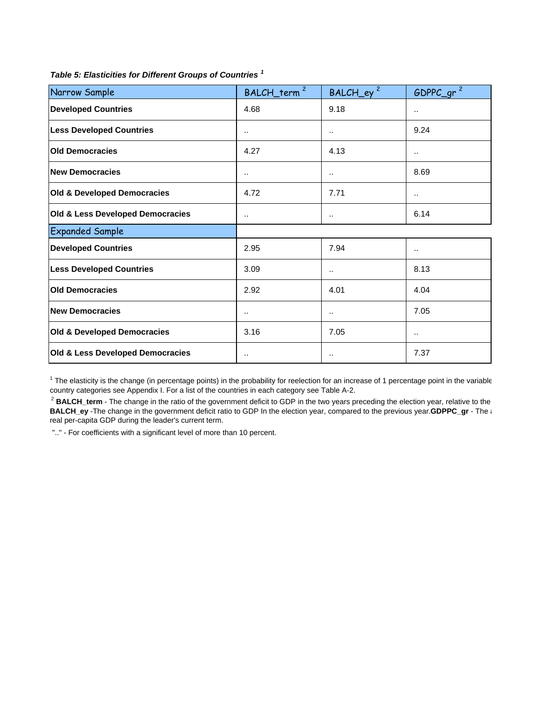## *Table 5: Elasticities for Different Groups of Countries <sup>1</sup>*

| Narrow Sample                    | BALCH_term <sup>2</sup> | BALCH_ey <sup>2</sup> | GDPPC_gr <sup>2</sup> |
|----------------------------------|-------------------------|-----------------------|-----------------------|
| <b>Developed Countries</b>       | 4.68                    | 9.18                  | $\cdot$ .             |
| <b>Less Developed Countries</b>  |                         | $\ddot{\phantom{a}}$  | 9.24                  |
| <b>Old Democracies</b>           | 4.27                    | 4.13                  | ٠.                    |
| <b>New Democracies</b>           | ٠.                      | $\cdot$ .             | 8.69                  |
| Old & Developed Democracies      | 4.72                    | 7.71                  | $\sim$                |
| Old & Less Developed Democracies | ٠.                      |                       | 6.14                  |
| <b>Expanded Sample</b>           |                         |                       |                       |
| <b>Developed Countries</b>       | 2.95                    | 7.94                  | $\sim$                |
| <b>Less Developed Countries</b>  | 3.09                    |                       | 8.13                  |
| <b>Old Democracies</b>           | 2.92                    | 4.01                  | 4.04                  |
| <b>New Democracies</b>           |                         |                       | 7.05                  |
| Old & Developed Democracies      | 3.16                    | 7.05                  | $\sim$                |
| Old & Less Developed Democracies | ٠.                      | $\cdot$ .             | 7.37                  |

 $1$  The elasticity is the change (in percentage points) in the probability for reelection for an increase of 1 percentage point in the variable country categories see Appendix I. For a list of the countries in each category see Table A-2.

<sup>2</sup> BALCH\_term - The change in the ratio of the government deficit to GDP in the two years preceding the election year, relative to the **BALCH\_ey** -The change in the government deficit ratio to GDP In the election year, compared to the previous year. **GDPPC\_gr** - The a real per-capita GDP during the leader's current term.

".." - For coefficients with a significant level of more than 10 percent.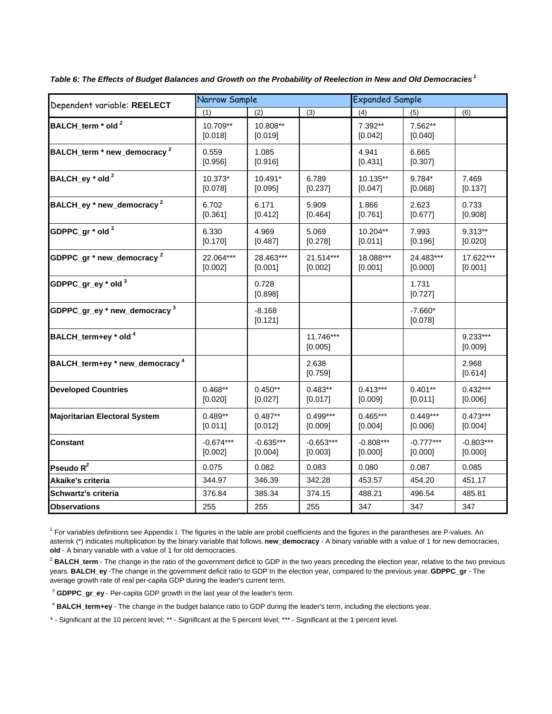| Dependent variable: REELECT                | Narrow Sample          |                        |                        | <b>Expanded Sample</b> |                        |                        |
|--------------------------------------------|------------------------|------------------------|------------------------|------------------------|------------------------|------------------------|
|                                            | (1)                    | (2)                    | (3)                    | (4)                    | (5)                    | (6)                    |
| BALCH_term * old <sup>2</sup>              | 10.709**<br>[0.018]    | 10.808**<br>[0.019]    |                        | 7.392**<br>[0.042]     | 7.562**<br>[0.040]     |                        |
| BALCH_term * new_democracy <sup>2</sup>    | 0.559<br>[0.956]       | 1.085<br>[0.916]       |                        | 4.941<br>[0.431]       | 6.665<br>[0.307]       |                        |
| BALCH_ey * old <sup>2</sup>                | 10.373*<br>[0.078]     | 10.491*<br>[0.095]     | 6.789<br>[0.237]       | 10.135**<br>[0.047]    | 9.784*<br>[0.068]      | 7.469<br>[0.137]       |
| BALCH_ey * new_democracy <sup>2</sup>      | 6.702<br>[0.361]       | 6.171<br>[0.412]       | 5.909<br>[0.464]       | 1.866<br>[0.761]       | 2.623<br>[0.677]       | 0.733<br>[0.908]       |
| GDPPC_gr * old <sup>2</sup>                | 6.330<br>[0.170]       | 4.969<br>[0.487]       | 5.069<br>[0.278]       | 10.204**<br>[0.011]    | 7.993<br>[0.196]       | $9.313**$<br>[0.020]   |
| GDPPC_gr * new_democracy <sup>2</sup>      | 22.064***<br>[0.002]   | 28.463***<br>[0.001]   | 21.514***<br>[0.002]   | 18.088***<br>[0.001]   | 24.483***<br>[0.000]   | 17.622***<br>[0.001]   |
| GDPPC_gr_ey * old 3                        |                        | 0.728<br>[0.898]       |                        |                        | 1.731<br>[0.727]       |                        |
| GDPPC_gr_ey * new_democracy 3              |                        | $-8.168$<br>[0.121]    |                        |                        | $-7.660*$<br>[0.078]   |                        |
| BALCH_term+ey * old 4                      |                        |                        | 11.746***<br>[0.005]   |                        |                        | 9.233***<br>[0.009]    |
| BALCH_term+ey * new_democracy <sup>4</sup> |                        |                        | 2.638<br>[0.759]       |                        |                        | 2.968<br>[0.614]       |
| <b>Developed Countries</b>                 | $0.468**$<br>[0.020]   | $0.450**$<br>[0.027]   | $0.483**$<br>[0.017]   | $0.413***$<br>[0.009]  | $0.401**$<br>[0.011]   | $0.432***$<br>[0.006]  |
| <b>Majoritarian Electoral System</b>       | $0.489**$<br>[0.011]   | $0.487**$<br>[0.012]   | $0.499***$<br>[0.009]  | $0.465***$<br>[0.004]  | $0.449***$<br>[0.006]  | $0.473***$<br>[0.004]  |
| <b>Constant</b>                            | $-0.674***$<br>[0.002] | $-0.635***$<br>[0.004] | $-0.653***$<br>[0.003] | $-0.808***$<br>[0.000] | $-0.777***$<br>[0.000] | $-0.803***$<br>[0.000] |
| Pseudo R <sup>2</sup>                      | 0.075                  | 0.082                  | 0.083                  | 0.080                  | 0.087                  | 0.085                  |
| Akaike's criteria                          | 344.97                 | 346.39                 | 342.28                 | 453.57                 | 454.20                 | 451.17                 |
| Schwartz's criteria                        | 376.84                 | 385.34                 | 374.15                 | 488.21                 | 496.54                 | 485.81                 |
| <b>Observations</b>                        | 255                    | 255                    | 255                    | 347                    | 347                    | 347                    |

*Table 6: The Effects of Budget Balances and Growth on the Probability of Reelection in New and Old Democracies <sup>1</sup>*

<sup>2</sup> BALCH\_term - The change in the ratio of the government deficit to GDP in the two years preceding the election year, relative to the two previous years. **BALCH\_ey** -The change in the government deficit ratio to GDP In the election year, compared to the previous year. **GDPPC\_gr** - The average growth rate of real per-capita GDP during the leader's current term.

<sup>3</sup> GDPPC gr ey - Per-capita GDP growth in the last year of the leader's term.

<sup>4</sup> **BALCH\_term+ey** - The change in the budget balance ratio to GDP during the leader's term, including the elections year.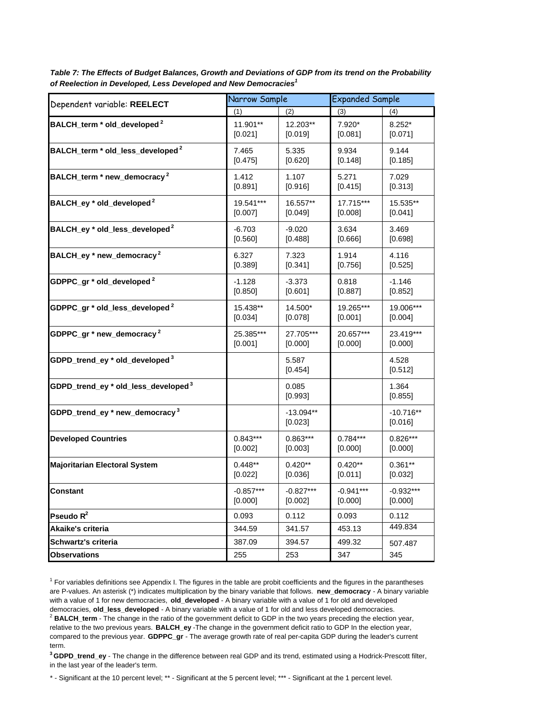Narrow Sample **Expanded Sample**  $(1)$   $(2)$   $(3)$   $(4)$ **BALCH\_term \* old\_developed <sup>2</sup> 11.901\*\*** 12.203\*\* 7.920\* 8.252\*  $[0.021]$   $[0.019]$   $[0.081]$   $[0.071]$ **BALCH** term \* old less developed <sup>2</sup> 7.465 5.335 9.934 9.144  $[0.475]$   $[0.620]$   $[0.148]$   $[0.185]$ **BALCH\_term \* new\_democracy 2** 1.412 1.107 5.271 7.029  $[0.891]$   $[0.916]$   $[0.415]$   $[0.313]$ **BALCH\_ey \* old\_developed <sup>2</sup> 19.541\*\*\*** 16.557\*\* 17.715\*\*\* 15.535\*\*  $[0.007]$   $[0.049]$   $[0.008]$   $[0.041]$ **BALCH\_ey \* old\_less\_developed <sup>2</sup> -6.703** -9.020 3.634 3.469  $[0.560]$   $[0.488]$   $[0.666]$   $[0.698]$ **BALCH\_ey \* new\_democracy<sup>2</sup> 1.914** 1.914 4.116  $[0.389]$   $[0.341]$   $[0.756]$   $[0.525]$ **GDPPC\_gr \* old\_developed 2** -1.128 -3.373 0.818 -1.146  $[0.850]$   $[0.601]$   $[0.887]$   $[0.852]$ **GDPPC\_gr \* old\_less\_developed <sup>2</sup> 15.438\*\*** 14.500\* 19.265\*\*\* 19.006\*\*\* [0.034] [0.078] [0.001] [0.004] **GDPPC** gr \* new democracy 2 25.385\*\*\* 27.705\*\*\* 20.657\*\*\* 23.419\*\*\*  $[0.001]$   $[0.000]$   $[0.000]$   $[0.000]$ **GDPD\_trend\_ey \* old\_developed <sup>3</sup> 0.000 5.587 0.000 5.587 0.000 5.587 0.000 5.587 0.000 5.587 0.000 5.587 0.000 5.587 0.000 5.597 0.000 5.597 0.000 5.597 0.000 5.597 0.000 5.597 0.000 5.597 0.000 5.597 0.000 5.597 0.000 5**  $[0.454]$   $[0.512]$ **GDPD\_trend\_ey \* old\_less\_developed 3** 0.085 0.085 1.364  $[0.993]$   $[0.855]$ **GDPD\_trend\_ey \* new\_democracy 3** 0.000 -13.094\*\* 1.000 -10.716\*\*  $[0.023]$   $[0.016]$ **Developed Countries 1 10.843\*\*\* 1** 0.863\*\*\* **1** 0.784\*\*\* **1** 0.826\*\*\*  $[0.002]$   $[0.003]$   $[0.000]$   $[0.000]$ **Majoritarian Electoral System 12.448\*\* 12.448\*\* 12.448\*\* 12.448\*\* 12.448\*\* 12.448\*\* 12.448\*\* 13.448\*\***  $[0.022]$   $[0.036]$   $[0.011]$   $[0.032]$ **Constant** -0.857\*\*\* | -0.827\*\*\* | -0.941\*\*\* | -0.932\*\*\*  $[0.000]$   $[0.002]$   $[0.000]$   $[0.000]$ **Pseudo R2** 0.093 0.112 0.093 0.112 **Akaike's criteria** 344.59 341.57 453.13 449.834 **Schwartz's criteria** 387.09 394.57 499.32 507.487 **Observations** 255 255 253 347 345 Dependent variable: **REELECT**

*Table 7: The Effects of Budget Balances, Growth and Deviations of GDP from its trend on the Probability of Reelection in Developed, Less Developed and New Democracies<sup>1</sup>*

<sup>1</sup> For variables definitions see Appendix I. The figures in the table are probit coefficients and the figures in the parantheses are P-values. An asterisk (\*) indicates multiplication by the binary variable that follows. **new\_democracy** - A binary variable with a value of 1 for new democracies, **old\_developed** - A binary variable with a value of 1 for old and developed democracies, **old\_less\_developed** - A binary variable with a value of 1 for old and less developed democracies.

<sup>2</sup> **BALCH\_term** - The change in the ratio of the government deficit to GDP in the two years preceding the election year, relative to the two previous years. **BALCH\_ey** -The change in the government deficit ratio to GDP In the election year, compared to the previous year. **GDPPC\_gr** - The average growth rate of real per-capita GDP during the leader's current term.

**3 GDPD\_trend\_ey** - The change in the difference between real GDP and its trend, estimated using a Hodrick-Prescott filter, in the last year of the leader's term.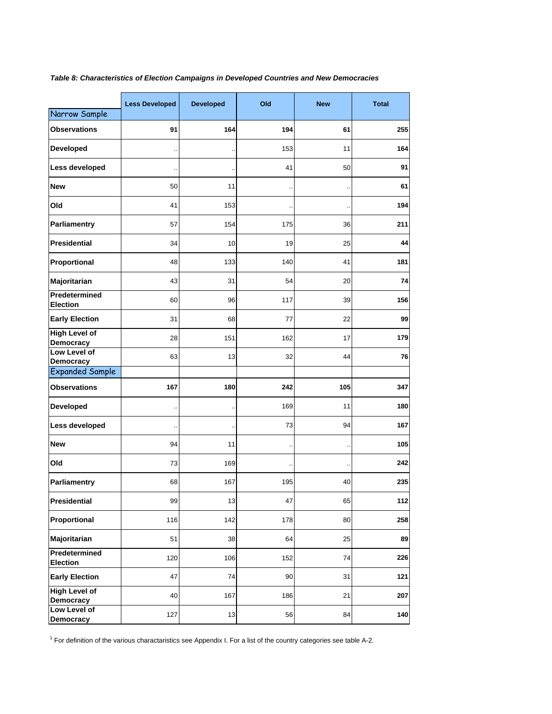|                                   | <b>Less Developed</b> | <b>Developed</b>     | Old                  | <b>New</b>           | <b>Total</b> |
|-----------------------------------|-----------------------|----------------------|----------------------|----------------------|--------------|
| Narrow Sample                     |                       |                      |                      |                      |              |
| <b>Observations</b>               | 91                    | 164                  | 194                  | 61                   | 255          |
| <b>Developed</b>                  | ٠.                    | $\ddot{\phantom{0}}$ | 153                  | 11                   | 164          |
| Less developed                    | $\ddot{\phantom{0}}$  | $\ddot{\phantom{a}}$ | 41                   | 50                   | 91           |
| <b>New</b>                        | 50                    | 11                   | $\ddot{\phantom{0}}$ | .,                   | 61           |
| Old                               | 41                    | 153                  | $\ddot{\phantom{0}}$ | $\ddot{\phantom{0}}$ | 194          |
| Parliamentry                      | 57                    | 154                  | 175                  | 36                   | 211          |
| <b>Presidential</b>               | 34                    | 10                   | 19                   | 25                   | 44           |
| Proportional                      | 48                    | 133                  | 140                  | 41                   | 181          |
| Majoritarian                      | 43                    | 31                   | 54                   | 20                   | 74           |
| Predetermined<br><b>Election</b>  | 60                    | 96                   | 117                  | 39                   | 156          |
| <b>Early Election</b>             | 31                    | 68                   | 77                   | 22                   | 99           |
| <b>High Level of</b><br>Democracy | 28                    | 151                  | 162                  | 17                   | 179          |
| Low Level of<br>Democracy         | 63                    | 13                   | 32                   | 44                   | 76           |
| <b>Expanded Sample</b>            |                       |                      |                      |                      |              |
| <b>Observations</b>               | 167                   | 180                  | 242                  | 105                  | 347          |
| Developed                         | μ,                    |                      | 169                  | 11                   | 180          |
| Less developed                    | $\ddot{\phantom{0}}$  | $\ddot{\phantom{0}}$ | 73                   | 94                   | 167          |
| <b>New</b>                        | 94                    | 11                   | $\ddot{\phantom{a}}$ | .,                   | 105          |
| Old                               | 73                    | 169                  | $\ddot{\phantom{a}}$ | ٠.                   | 242          |
| Parliamentry                      | 68                    | 167                  | 195                  | 40                   | 235          |
| Presidential                      | 99                    | 13                   | 47                   | 65                   | 112          |
| Proportional                      | 116                   | 142                  | 178                  | 80                   | 258          |
| Majoritarian                      | 51                    | 38                   | 64                   | 25                   | 89           |
| Predetermined<br>Election         | 120                   | 106                  | 152                  | 74                   | 226          |
| <b>Early Election</b>             | 47                    | 74                   | 90                   | 31                   | 121          |
| <b>High Level of</b><br>Democracy | 40                    | 167                  | 186                  | 21                   | 207          |
| Low Level of<br>Democracy         | 127                   | 13                   | 56                   | 84                   | 140          |

*Table 8: Characteristics of Election Campaigns in Developed Countries and New Democracies*

<sup>1</sup> For definition of the various charactaristics see Appendix I. For a list of the country categories see table A-2.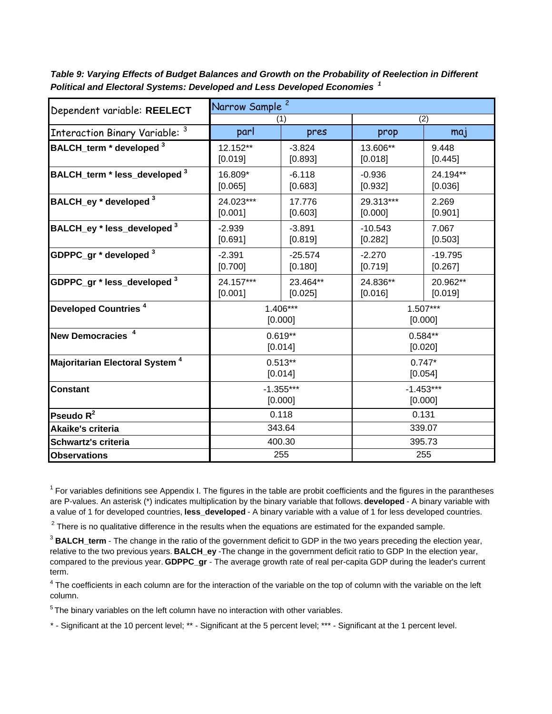*Table 9: Varying Effects of Budget Balances and Growth on the Probability of Reelection in Different Political and Electoral Systems: Developed and Less Developed Economies <sup>1</sup>*

| Dependent variable: REELECT                | Narrow Sample <sup>2</sup> |                        |                      |                        |  |  |  |
|--------------------------------------------|----------------------------|------------------------|----------------------|------------------------|--|--|--|
|                                            |                            | (1)                    | (2)                  |                        |  |  |  |
| Interaction Binary Variable: <sup>3</sup>  | parl                       | pres                   | prop                 | maj                    |  |  |  |
| BALCH_term * developed 3                   | 12.152**<br>[0.019]        | $-3.824$<br>[0.893]    | 13.606**<br>[0.018]  | 9.448<br>[0.445]       |  |  |  |
| BALCH_term * less_developed 3              | 16.809*<br>[0.065]         | $-6.118$<br>[0.683]    | $-0.936$<br>[0.932]  | 24.194**<br>[0.036]    |  |  |  |
| BALCH_ey * developed 3                     | 24.023***<br>[0.001]       | 17.776<br>[0.603]      | 29.313***<br>[0.000] | 2.269<br>[0.901]       |  |  |  |
| BALCH_ey * less_developed 3                | $-2.939$<br>[0.691]        | $-3.891$<br>[0.819]    | $-10.543$<br>[0.282] | 7.067<br>[0.503]       |  |  |  |
| GDPPC_gr * developed 3                     | $-2.391$<br>[0.700]        | $-25.574$<br>[0.180]   | $-2.270$<br>[0.719]  | $-19.795$<br>[0.267]   |  |  |  |
| GDPPC_gr * less_developed <sup>3</sup>     | 24.157***<br>[0.001]       | 23.464**<br>[0.025]    | 24.836**<br>[0.016]  | 20.962**<br>[0.019]    |  |  |  |
| Developed Countries <sup>4</sup>           |                            | 1.406***<br>[0.000]    |                      | $1.507***$<br>[0.000]  |  |  |  |
| New Democracies <sup>4</sup>               |                            | $0.619**$<br>[0.014]   |                      | $0.584**$<br>[0.020]   |  |  |  |
| Majoritarian Electoral System <sup>4</sup> |                            | $0.513**$<br>[0.014]   |                      | $0.747*$<br>[0.054]    |  |  |  |
| <b>Constant</b>                            |                            | $-1.355***$<br>[0.000] |                      | $-1.453***$<br>[0.000] |  |  |  |
| Pseudo $R^2$                               |                            | 0.118                  |                      | 0.131                  |  |  |  |
| Akaike's criteria                          |                            | 343.64                 |                      | 339.07                 |  |  |  |
| Schwartz's criteria                        |                            | 400.30                 |                      | 395.73                 |  |  |  |
| <b>Observations</b>                        |                            | 255                    |                      | 255                    |  |  |  |

 $2$  There is no qualitative difference in the results when the equations are estimated for the expanded sample.

<sup>3</sup> BALCH\_term - The change in the ratio of the government deficit to GDP in the two years preceding the election year, relative to the two previous years. **BALCH\_ey** -The change in the government deficit ratio to GDP In the election year, compared to the previous year. **GDPPC\_gr** - The average growth rate of real per-capita GDP during the leader's current term.

<sup>4</sup> The coefficients in each column are for the interaction of the variable on the top of column with the variable on the left column.

 $5$ The binary variables on the left column have no interaction with other variables.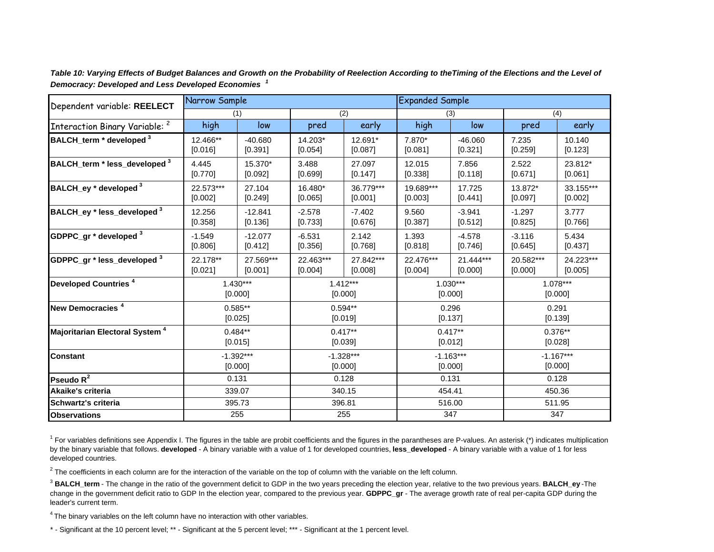| Table 10: Varying Effects of Budget Balances and Growth on the Probability of Reelection According to theTiming of the Elections and the Level of |
|---------------------------------------------------------------------------------------------------------------------------------------------------|
| Democracy: Developed and Less Developed Economies $\ ^1$                                                                                          |

| Dependent variable: REELECT                | <b>Expanded Sample</b><br>Narrow Sample |                        |                       |                        |                        |                       |                      |                        |  |  |
|--------------------------------------------|-----------------------------------------|------------------------|-----------------------|------------------------|------------------------|-----------------------|----------------------|------------------------|--|--|
|                                            |                                         | (1)                    |                       | (2)                    |                        | (3)                   |                      | (4)                    |  |  |
| Interaction Binary Variable: <sup>2</sup>  | high                                    | low                    | pred                  | early                  | high                   | low                   | pred                 | early                  |  |  |
| BALCH_term * developed 3                   | 12.466**<br>[0.016]                     | $-40.680$<br>[0.391]   | 14.203*<br>[0.054]    | 12.691*<br>[0.087]     | 7.870*<br>[0.081]      | $-46.060$<br>[0.321]  | 7.235<br>[0.259]     | 10.140<br>[0.123]      |  |  |
| BALCH_term * less_developed 3              | 4.445<br>[0.770]                        | 15.370*<br>[0.092]     | 3.488<br>[0.699]      | 27.097<br>[0.147]      | 12.015<br>[0.338]      | 7.856<br>[0.118]      | 2.522<br>[0.671]     | 23.812*<br>[0.061]     |  |  |
| BALCH_ey * developed 3                     | 22.573***<br>[0.002]                    | 27.104<br>[0.249]      | 16.480*<br>[0.065]    | 36.779***<br>[0.001]   | 19.689***<br>[0.003]   | 17.725<br>[0.441]     | 13.872*<br>[0.097]   | 33.155***<br>[0.002]   |  |  |
| BALCH_ey * less_developed 3                | 12.256<br>[0.358]                       | $-12.841$<br>[0.136]   | $-2.578$<br>[0.733]   | $-7.402$<br>[0.676]    | 9.560<br>[0.387]       | $-3.941$<br>[0.512]   | $-1.297$<br>[0.825]  | 3.777<br>[0.766]       |  |  |
| GDPPC_gr * developed 3                     | $-1.549$<br>[0.806]                     | $-12.077$<br>[0.412]   | $-6.531$<br>[0.356]   | 2.142<br>[0.768]       | 1.393<br>[0.818]       | $-4.578$<br>[0.746]   | $-3.116$<br>[0.645]  | 5.434<br>[0.437]       |  |  |
| GDPPC_gr * less_developed 3                | 22.178**<br>[0.021]                     | 27.569***<br>[0.001]   | 22.463***<br>[0.004]  | 27.842***<br>[0.008]   | 22.476***<br>[0.004]   | 21.444***<br>[0.000]  | 20.582***<br>[0.000] | 24.223***<br>[0.005]   |  |  |
| <b>Developed Countries<sup>4</sup></b>     |                                         | $1.430***$<br>[0.000]  | $1.412***$<br>[0.000] |                        |                        | $1.030***$<br>[0.000] |                      | 1.078***<br>[0.000]    |  |  |
| New Democracies <sup>4</sup>               |                                         | $0.585**$<br>[0.025]   |                       | $0.594**$<br>[0.019]   |                        | 0.296<br>[0.137]      |                      | 0.291<br>[0.139]       |  |  |
| Majoritarian Electoral System <sup>4</sup> |                                         | $0.484**$<br>[0.015]   |                       | $0.417**$<br>[0.039]   |                        | $0.417**$<br>[0.012]  |                      | $0.376**$<br>[0.028]   |  |  |
| <b>Constant</b>                            |                                         | $-1.392***$<br>[0.000] |                       | $-1.328***$<br>[0.000] | $-1.163***$<br>[0.000] |                       |                      | $-1.167***$<br>[0.000] |  |  |
| Pseudo $R^2$                               |                                         | 0.131                  |                       | 0.128                  |                        | 0.131                 |                      | 0.128                  |  |  |
| <b>Akaike's criteria</b>                   |                                         | 339.07                 |                       | 340.15                 | 454.41                 |                       |                      | 450.36                 |  |  |
| <b>Schwartz's criteria</b>                 |                                         | 395.73                 |                       | 396.81                 |                        | 516.00                |                      | 511.95                 |  |  |
| <b>Observations</b>                        |                                         | 255                    |                       | 255                    |                        | 347                   |                      | 347                    |  |  |

 $2$  The coefficients in each column are for the interaction of the variable on the top of column with the variable on the left column.

3 **BALCH\_term** - The change in the ratio of the government deficit to GDP in the two years preceding the election year, relative to the two previous years. **BALCH\_ey** -The change in the government deficit ratio to GDP In the election year, compared to the previous year. **GDPPC\_gr** - The average growth rate of real per-capita GDP during the leader's current term.

<sup>4</sup> The binary variables on the left column have no interaction with other variables.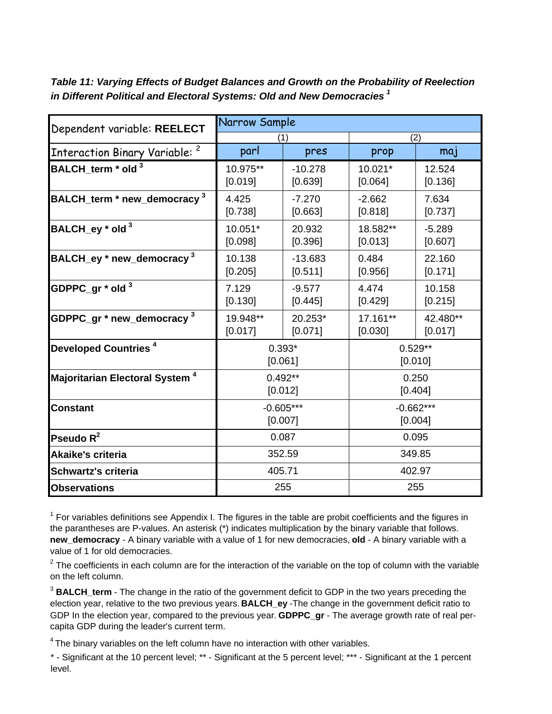*Table 11: Varying Effects of Budget Balances and Growth on the Probability of Reelection in Different Political and Electoral Systems: Old and New Democracies <sup>1</sup>*

| Dependent variable: REELECT                | Narrow Sample                                    |                      |                     |                      |  |
|--------------------------------------------|--------------------------------------------------|----------------------|---------------------|----------------------|--|
|                                            |                                                  | (1)                  |                     | (2)                  |  |
| Interaction Binary Variable: <sup>2</sup>  | parl                                             | pres                 | prop                | maj                  |  |
| BALCH_term * old 3                         | 10.975**<br>[0.019]                              | $-10.278$<br>[0.639] | 10.021*<br>[0.064]  | 12.524<br>[0.136]    |  |
| BALCH_term * new_democracy <sup>3</sup>    | 4.425<br>[0.738]                                 | $-7.270$<br>[0.663]  | $-2.662$<br>[0.818] | 7.634<br>[0.737]     |  |
| BALCH_ey * old 3                           | 10.051*<br>[0.098]                               | 20.932<br>[0.396]    | 18.582**<br>[0.013] | $-5.289$<br>[0.607]  |  |
| BALCH_ey * new_democracy 3                 | 10.138<br>[0.205]                                | $-13.683$<br>[0.511] | 0.484<br>[0.956]    | 22.160<br>[0.171]    |  |
| GDPPC_gr $*$ old $3$                       | 7.129<br>[0.130]                                 | $-9.577$<br>[0.445]  | 4.474<br>[0.429]    | 10.158<br>[0.215]    |  |
| GDPPC_gr * new_democracy 3                 | 19.948**<br>[0.017]                              | 20.253*<br>[0.071]   | 17.161**<br>[0.030] | 42.480**<br>[0.017]  |  |
| Developed Countries <sup>4</sup>           |                                                  | $0.393*$<br>[0.061]  |                     | $0.529**$<br>[0.010] |  |
| Majoritarian Electoral System <sup>4</sup> |                                                  | $0.492**$<br>[0.012] |                     | 0.250<br>[0.404]     |  |
| <b>Constant</b>                            | $-0.605***$<br>$-0.662***$<br>[0.007]<br>[0.004] |                      |                     |                      |  |
| Pseudo $R^2$                               |                                                  | 0.087                |                     | 0.095                |  |
| Akaike's criteria                          |                                                  | 352.59               |                     | 349.85               |  |
| Schwartz's criteria                        |                                                  | 405.71               |                     | 402.97               |  |
| <b>Observations</b>                        |                                                  | 255                  |                     | 255                  |  |

 $1$  For variables definitions see Appendix I. The figures in the table are probit coefficients and the figures in the parantheses are P-values. An asterisk (\*) indicates multiplication by the binary variable that follows. **new democracy** - A binary variable with a value of 1 for new democracies, old - A binary variable with a value of 1 for old democracies.

 $2$  The coefficients in each column are for the interaction of the variable on the top of column with the variable on the left column.

<sup>3</sup> **BALCH** term - The change in the ratio of the government deficit to GDP in the two years preceding the election year, relative to the two previous years. **BALCH\_ey** -The change in the government deficit ratio to GDP In the election year, compared to the previous year. **GDPPC\_gr** - The average growth rate of real percapita GDP during the leader's current term.

<sup>4</sup> The binary variables on the left column have no interaction with other variables.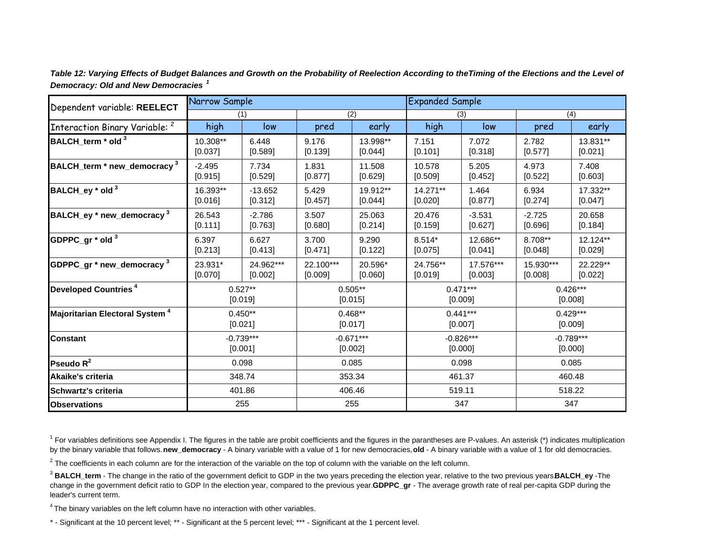| Dependent variable: REELECT                | Narrow Sample       |                        |                      |                        |                       | <b>Expanded Sample</b> |                        |                       |  |
|--------------------------------------------|---------------------|------------------------|----------------------|------------------------|-----------------------|------------------------|------------------------|-----------------------|--|
|                                            |                     | (1)                    |                      | (2)                    |                       | (3)                    |                        | (4)                   |  |
| Interaction Binary Variable: <sup>2</sup>  | high                | low                    | pred                 | early                  | high                  | low                    | pred                   | early                 |  |
| BALCH_term * old 3                         | 10.308**<br>[0.037] | 6.448<br>[0.589]       | 9.176<br>[0.139]     | 13.998**<br>[0.044]    | 7.151<br>[0.101]      | 7.072<br>[0.318]       | 2.782<br>[0.577]       | 13.831**<br>[0.021]   |  |
| BALCH_term * new_democracy 3               | $-2.495$<br>[0.915] | 7.734<br>[0.529]       | 1.831<br>[0.877]     | 11.508<br>[0.629]      | 10.578<br>[0.509]     | 5.205<br>[0.452]       | 4.973<br>[0.522]       | 7.408<br>[0.603]      |  |
| BALCH_ey * old 3                           | 16.393**<br>[0.016] | $-13.652$<br>[0.312]   | 5.429<br>[0.457]     | 19.912**<br>[0.044]    | 14.271**<br>[0.020]   | 1.464<br>[0.877]       | 6.934<br>[0.274]       | 17.332**<br>[0.047]   |  |
| BALCH_ey * new_democracy 3                 | 26.543<br>[0.111]   | $-2.786$<br>[0.763]    | 3.507<br>[0.680]     | 25.063<br>[0.214]      | 20.476<br>[0.159]     | $-3.531$<br>[0.627]    | $-2.725$<br>[0.696]    | 20.658<br>[0.184]     |  |
| GDPPC_gr * old 3                           | 6.397<br>[0.213]    | 6.627<br>[0.413]       | 3.700<br>[0.471]     | 9.290<br>[0.122]       | $8.514*$<br>$[0.075]$ | 12.686**<br>[0.041]    | 8.708**<br>[0.048]     | $12.124**$<br>[0.029] |  |
| GDPPC_gr * new_democracy 3                 | 23.931*<br>[0.070]  | 24.962***<br>[0.002]   | 22.100***<br>[0.009] | 20.596*<br>[0.060]     | 24.756**<br>[0.019]   | 17.576***<br>[0.003]   | 15.930***<br>[0.008]   | 22.229**<br>[0.022]   |  |
| <b>Developed Countries<sup>4</sup></b>     |                     | $0.527**$<br>[0.019]   | $0.505**$<br>[0.015] |                        | $0.471***$<br>[0.009] |                        | $0.426***$<br>[0.008]  |                       |  |
| Majoritarian Electoral System <sup>4</sup> |                     | $0.450**$<br>[0.021]   |                      | $0.468**$<br>[0.017]   |                       |                        | $0.441***$<br>[0.007]  | $0.429***$<br>[0.009] |  |
| <b>Constant</b>                            |                     | $-0.739***$<br>[0.001] |                      | $-0.671***$<br>[0.002] |                       | $-0.826***$<br>[0.000] | $-0.789***$<br>[0.000] |                       |  |
| Pseudo $R^2$                               |                     | 0.098                  |                      | 0.085                  |                       | 0.098                  |                        | 0.085                 |  |
| Akaike's criteria                          |                     | 348.74                 |                      | 353.34                 |                       | 461.37                 |                        | 460.48                |  |
| <b>Schwartz's criteria</b>                 |                     | 401.86                 |                      | 406.46                 |                       | 519.11                 |                        | 518.22                |  |
| <b>Observations</b>                        |                     | 255                    |                      | 255                    |                       | 347                    |                        | 347                   |  |

*Table 12: Varying Effects of Budget Balances and Growth on the Probability of Reelection According to theTiming of the Elections and the Level of Democracy: Old and New Democracies <sup>1</sup>*

<sup>1</sup> For variables definitions see Appendix I. The figures in the table are probit coefficients and the figures in the parantheses are P-values. An asterisk (\*) indicates multiplication by the binary variable that follows. **new\_democracy** - A binary variable with a value of 1 for new democracies, **old** - A binary variable with a value of 1 for old democracies.

 $2$  The coefficients in each column are for the interaction of the variable on the top of column with the variable on the left column.

3 **BALCH\_term** - The change in the ratio of the government deficit to GDP in the two years preceding the election year, relative to the two previous years. **BALCH\_ey** -The change in the government deficit ratio to GDP In the election year, compared to the previous year. **GDPPC\_gr** - The average growth rate of real per-capita GDP during the leader's current term.

 $4$  The binary variables on the left column have no interaction with other variables.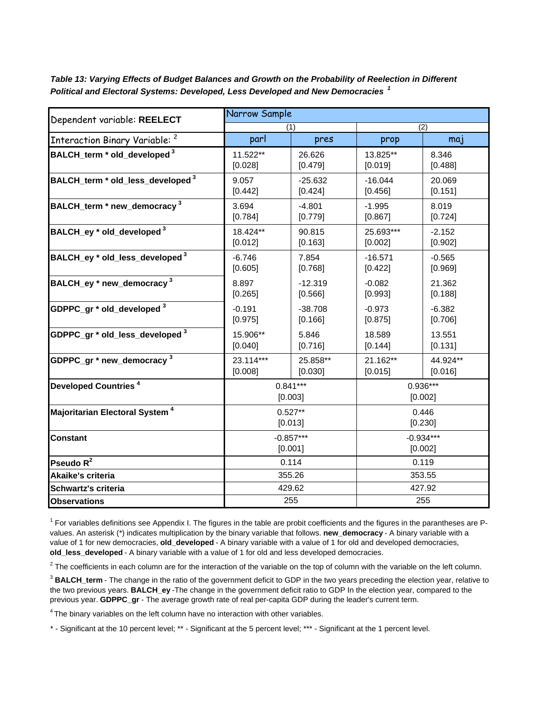*Table 13: Varying Effects of Budget Balances and Growth on the Probability of Reelection in Different Political and Electoral Systems: Developed, Less Developed and New Democracies <sup>1</sup>*

| Dependent variable: REELECT                | Narrow Sample        |                        |                      |                        |  |  |  |  |
|--------------------------------------------|----------------------|------------------------|----------------------|------------------------|--|--|--|--|
|                                            |                      | (1)                    | (2)                  |                        |  |  |  |  |
| Interaction Binary Variable: <sup>2</sup>  | parl                 | pres                   | prop                 | maj                    |  |  |  |  |
| BALCH_term * old_developed 3               | 11.522**<br>[0.028]  | 26.626<br>[0.479]      | 13.825**<br>[0.019]  | 8.346<br>[0.488]       |  |  |  |  |
| BALCH_term * old_less_developed 3          | 9.057<br>[0.442]     | $-25.632$<br>[0.424]   | $-16.044$<br>[0.456] | 20.069<br>[0.151]      |  |  |  |  |
| BALCH_term * new_democracy <sup>3</sup>    | 3.694<br>[0.784]     | $-4.801$<br>[0.779]    | $-1.995$<br>[0.867]  | 8.019<br>[0.724]       |  |  |  |  |
| BALCH_ey * old_developed <sup>3</sup>      | 18.424**<br>[0.012]  | 90.815<br>[0.163]      | 25.693***<br>[0.002] | $-2.152$<br>[0.902]    |  |  |  |  |
| BALCH_ey * old_less_developed $^3$         | $-6.746$<br>[0.605]  | 7.854<br>[0.768]       | $-16.571$<br>[0.422] | $-0.565$<br>[0.969]    |  |  |  |  |
| BALCH_ey * new_democracy <sup>3</sup>      | 8.897<br>[0.265]     | $-12.319$<br>[0.566]   | $-0.082$<br>[0.993]  | 21.362<br>[0.188]      |  |  |  |  |
| GDPPC_gr * old_developed 3                 | $-0.191$<br>[0.975]  | $-38.708$<br>[0.166]   | $-0.973$<br>[0.875]  | $-6.382$<br>[0.706]    |  |  |  |  |
| GDPPC_gr * old_less_developed 3            | 15.906**<br>[0.040]  | 5.846<br>[0.716]       | 18.589<br>[0.144]    | 13.551<br>[0.131]      |  |  |  |  |
| GDPPC_gr * new_democracy 3                 | 23.114***<br>[0.008] | 25.858**<br>[0.030]    | 21.162**<br>[0.015]  | 44.924**<br>[0.016]    |  |  |  |  |
| Developed Countries <sup>4</sup>           |                      | $0.841***$<br>[0.003]  | $0.936***$           | [0.002]                |  |  |  |  |
| Majoritarian Electoral System <sup>4</sup> |                      | $0.527**$<br>[0.013]   |                      | 0.446<br>[0.230]       |  |  |  |  |
| <b>Constant</b>                            |                      | $-0.857***$<br>[0.001] |                      | $-0.934***$<br>[0.002] |  |  |  |  |
| Pseudo $R^2$                               |                      | 0.114                  |                      | 0.119                  |  |  |  |  |
| Akaike's criteria                          |                      | 355.26                 |                      | 353.55                 |  |  |  |  |
| Schwartz's criteria                        |                      | 429.62                 |                      | 427.92                 |  |  |  |  |
| <b>Observations</b>                        |                      | 255                    |                      | 255                    |  |  |  |  |

 $1$  For variables definitions see Appendix I. The figures in the table are probit coefficients and the figures in the parantheses are Pvalues. An asterisk (\*) indicates multiplication by the binary variable that follows. **new\_democracy** - A binary variable with a value of 1 for new democracies, **old\_developed** - A binary variable with a value of 1 for old and developed democracies, **old\_less\_developed** - A binary variable with a value of 1 for old and less developed democracies.

 $^2$  The coefficients in each column are for the interaction of the variable on the top of column with the variable on the left column.

<sup>3</sup> BALCH\_term - The change in the ratio of the government deficit to GDP in the two years preceding the election year, relative to the two previous years. **BALCH\_ey** -The change in the government deficit ratio to GDP In the election year, compared to the previous year. **GDPPC\_gr** - The average growth rate of real per-capita GDP during the leader's current term.

 $4$  The binary variables on the left column have no interaction with other variables.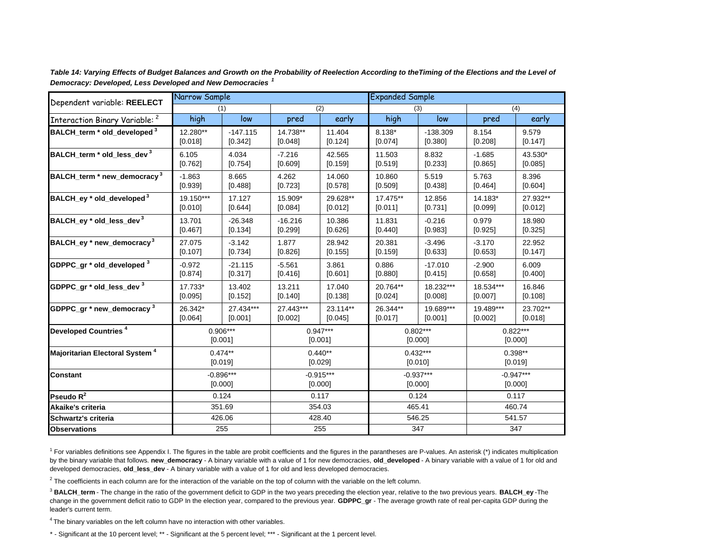| Dependent variable: REELECT                | Narrow Sample        |                        |                      |                        | <b>Expanded Sample</b> |                        |                        |                      |  |
|--------------------------------------------|----------------------|------------------------|----------------------|------------------------|------------------------|------------------------|------------------------|----------------------|--|
|                                            |                      | (1)                    | (2)                  |                        | (3)                    |                        | (4)                    |                      |  |
| Interaction Binary Variable: <sup>2</sup>  | high                 | low                    | pred                 | early                  | high                   | low                    | pred                   | early                |  |
| BALCH_term * old_developed 3               | 12.280**<br>[0.018]  | $-147.115$<br>[0.342]  | 14.738**<br>[0.048]  | 11.404<br>[0.124]      | $8.138*$<br>[0.074]    | $-138.309$<br>[0.380]  | 8.154<br>[0.208]       | 9.579<br>[0.147]     |  |
| BALCH_term * old_less_dev <sup>3</sup>     | 6.105<br>[0.762]     | 4.034<br>[0.754]       | $-7.216$<br>[0.609]  | 42.565<br>[0.159]      | 11.503<br>[0.519]      | 8.832<br>[0.233]       | $-1.685$<br>[0.865]    | 43.530*<br>[0.085]   |  |
| BALCH_term * new_democracy <sup>3</sup>    | $-1.863$<br>[0.939]  | 8.665<br>[0.488]       | 4.262<br>[0.723]     | 14.060<br>[0.578]      | 10.860<br>[0.509]      | 5.519<br>[0.438]       | 5.763<br>[0.464]       | 8.396<br>[0.604]     |  |
| BALCH_ey * old_developed <sup>3</sup>      | 19.150***<br>[0.010] | 17.127<br>[0.644]      | 15.909*<br>[0.084]   | 29.628**<br>[0.012]    | 17.475**<br>[0.011]    | 12.856<br>[0.731]      | 14.183*<br>[0.099]     | 27.932**<br>[0.012]  |  |
| BALCH_ey * old_less_dev <sup>3</sup>       | 13.701<br>[0.467]    | $-26.348$<br>[0.134]   | $-16.216$<br>[0.299] | 10.386<br>[0.626]      | 11.831<br>[0.440]      | $-0.216$<br>[0.983]    | 0.979<br>[0.925]       | 18.980<br>[0.325]    |  |
| BALCH_ey * new_democracy <sup>3</sup>      | 27.075<br>[0.107]    | $-3.142$<br>[0.734]    | 1.877<br>[0.826]     | 28.942<br>[0.155]      | 20.381<br>[0.159]      | $-3.496$<br>[0.633]    | $-3.170$<br>[0.653]    | 22.952<br>[0.147]    |  |
| GDPPC_gr * old_developed 3                 | $-0.972$<br>[0.874]  | $-21.115$<br>[0.317]   | $-5.561$<br>[0.416]  | 3.861<br>[0.601]       | 0.886<br>[0.880]       | $-17.010$<br>[0.415]   | $-2.900$<br>[0.658]    | 6.009<br>[0.400]     |  |
| GDPPC_gr * old_less_dev 3                  | 17.733*<br>[0.095]   | 13.402<br>[0.152]      | 13.211<br>[0.140]    | 17.040<br>[0.138]      | 20.764**<br>[0.024]    | 18.232***<br>[0.008]   | 18.534***<br>[0.007]   | 16.846<br>[0.108]    |  |
| GDPPC_gr * new_democracy 3                 | 26.342*<br>[0.064]   | 27.434***<br>[0.001]   | 27.443***<br>[0.002] | 23.114**<br>[0.045]    | 26.344**<br>[0.017]    | 19.689***<br>[0.001]   | 19.489***<br>[0.002]   | 23.702**<br>[0.018]  |  |
| <b>Developed Countries<sup>4</sup></b>     |                      | $0.906***$<br>[0.001]  |                      | $0.947***$<br>[0.001]  | $0.802***$<br>[0.000]  |                        | $0.822***$<br>[0.000]  |                      |  |
| Majoritarian Electoral System <sup>4</sup> |                      | $0.474**$<br>[0.019]   |                      | $0.440**$<br>[0.029]   |                        | $0.432***$<br>[0.010]  |                        | $0.398**$<br>[0.019] |  |
| <b>Constant</b>                            |                      | $-0.896***$<br>[0.000] |                      | $-0.915***$<br>[0.000] |                        | $-0.937***$<br>[0.000] | $-0.947***$<br>[0.000] |                      |  |
| Pseudo R <sup>2</sup>                      |                      | 0.124                  |                      | 0.117                  |                        | 0.124                  |                        | 0.117                |  |
| Akaike's criteria                          |                      | 351.69                 |                      | 354.03                 |                        | 465.41                 |                        | 460.74               |  |
| Schwartz's criteria                        |                      | 426.06                 |                      | 428.40                 |                        | 546.25                 |                        | 541.57               |  |
| <b>Observations</b>                        |                      | 255                    |                      | 255                    |                        | 347                    |                        | 347                  |  |

*Table 14: Varying Effects of Budget Balances and Growth on the Probability of Reelection According to theTiming of the Elections and the Level of Democracy: Developed, Less Developed and New Democracies <sup>1</sup>*

 $1$  For variables definitions see Appendix I. The figures in the table are probit coefficients and the figures in the parantheses are P-values. An asterisk (\*) indicates multiplication by the binary variable that follows. **new\_democracy** - A binary variable with a value of 1 for new democracies, **old\_developed** - A binary variable with a value of 1 for old and developed democracies, **old\_less\_dev** - A binary variable with a value of 1 for old and less developed democracies.

 $2$  The coefficients in each column are for the interaction of the variable on the top of column with the variable on the left column.

3 **BALCH\_term** - The change in the ratio of the government deficit to GDP in the two years preceding the election year, relative to the two previous years. **BALCH\_ey** -The change in the government deficit ratio to GDP In the election year, compared to the previous year. **GDPPC\_gr** - The average growth rate of real per-capita GDP during the leader's current term.

 $4$  The binary variables on the left column have no interaction with other variables.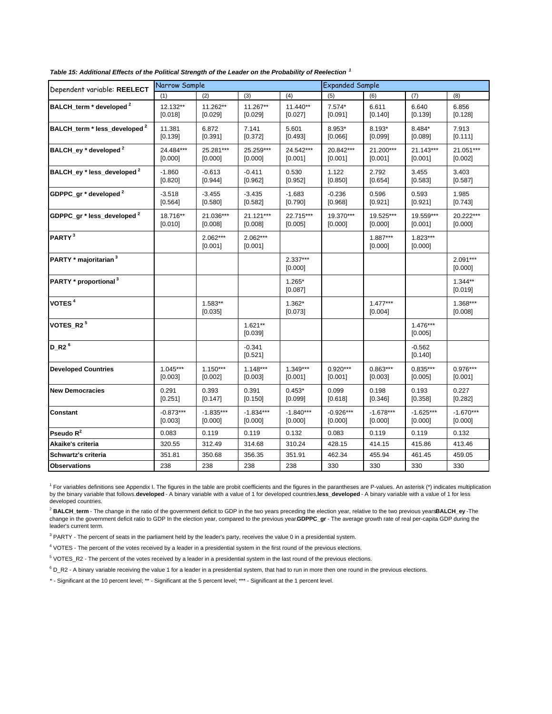| Dependent variable: REELECT              | Narrow Sample          |                        |                        |                        | <b>Expanded Sample</b> |                        |                        |                        |
|------------------------------------------|------------------------|------------------------|------------------------|------------------------|------------------------|------------------------|------------------------|------------------------|
|                                          | (1)                    | (2)                    | (3)                    | (4)                    | (5)                    | (6)                    | (7)                    | (8)                    |
| BALCH_term * developed <sup>2</sup>      | 12.132**<br>[0.018]    | 11.262**<br>[0.029]    | 11.267**<br>[0.029]    | $11.440**$<br>[0.027]  | $7.574*$<br>[0.091]    | 6.611<br>[0.140]       | 6.640<br>[0.139]       | 6.856<br>[0.128]       |
| BALCH_term * less_developed <sup>2</sup> | 11.381<br>[0.139]      | 6.872<br>[0.391]       | 7.141<br>[0.372]       | 5.601<br>[0.493]       | 8.953*<br>[0.066]      | 8.193*<br>[0.099]      | 8.484*<br>[0.089]      | 7.913<br>[0.111]       |
| BALCH_ey * developed <sup>2</sup>        | 24.484***<br>[0.000]   | 25.281***<br>[0.000]   | 25.259***<br>[0.000]   | 24.542***<br>[0.001]   | 20.842***<br>[0.001]   | 21.200***<br>[0.001]   | 21.143***<br>[0.001]   | 21.051***<br>[0.002]   |
| BALCH_ey * less_developed <sup>2</sup>   | $-1.860$<br>[0.820]    | $-0.613$<br>[0.944]    | $-0.411$<br>[0.962]    | 0.530<br>[0.952]       | 1.122<br>[0.850]       | 2.792<br>[0.654]       | 3.455<br>[0.583]       | 3.403<br>[0.587]       |
| GDPPC_gr * developed <sup>2</sup>        | $-3.518$<br>[0.564]    | $-3.455$<br>[0.580]    | $-3.435$<br>[0.582]    | $-1.683$<br>[0.790]    | $-0.236$<br>[0.968]    | 0.596<br>[0.921]       | 0.593<br>[0.921]       | 1.985<br>[0.743]       |
| GDPPC_gr * less_developed <sup>2</sup>   | 18.716**<br>[0.010]    | 21.036***<br>[0.008]   | 21.121***<br>[0.008]   | 22.715***<br>[0.005]   | 19.370***<br>[0.000]   | 19.525***<br>[0.000]   | 19.559***<br>[0.001]   | 20.222***<br>[0.000]   |
| PARTY <sup>3</sup>                       |                        | 2.062***<br>[0.001]    | 2.062***<br>[0.001]    |                        |                        | 1.887***<br>[0.000]    | $1.823***$<br>[0.000]  |                        |
| PARTY * majoritarian <sup>3</sup>        |                        |                        |                        | 2.337***<br>[0.000]    |                        |                        |                        | 2.091***<br>[0.000]    |
| PARTY * proportional <sup>3</sup>        |                        |                        |                        | $1.265*$<br>[0.087]    |                        |                        |                        | 1.344**<br>[0.019]     |
| VOTES <sup>4</sup>                       |                        | 1.583**<br>[0.035]     |                        | 1.362*<br>[0.073]      |                        | $1.477***$<br>[0.004]  |                        | 1.368***<br>[0.008]    |
| VOTES_R2 <sup>5</sup>                    |                        |                        | $1.621**$<br>[0.039]   |                        |                        |                        | $1.476***$<br>[0.005]  |                        |
| $D_R^2$ <sup>6</sup>                     |                        |                        | $-0.341$<br>[0.521]    |                        |                        |                        | $-0.562$<br>[0.140]    |                        |
| <b>Developed Countries</b>               | $1.045***$<br>[0.003]  | $1.150***$<br>[0.002]  | $1.148***$<br>[0.003]  | 1.349***<br>[0.001]    | 0.920***<br>[0.001]    | $0.863***$<br>[0.003]  | $0.835***$<br>[0.005]  | 0.976***<br>[0.001]    |
| New Democracies                          | 0.291<br>[0.251]       | 0.393<br>[0.147]       | 0.391<br>[0.150]       | $0.453*$<br>[0.099]    | 0.099<br>[0.618]       | 0.198<br>[0.346]       | 0.193<br>[0.358]       | 0.227<br>[0.282]       |
| Constant                                 | $-0.873***$<br>[0.003] | $-1.835***$<br>[0.000] | $-1.834***$<br>[0.000] | $-1.840***$<br>[0.000] | $-0.926***$<br>[0.000] | $-1.678***$<br>[0.000] | $-1.625***$<br>[0.000] | $-1.670***$<br>[0.000] |
| Pseudo R <sup>2</sup>                    | 0.083                  | 0.119                  | 0.119                  | 0.132                  | 0.083                  | 0.119                  | 0.119                  | 0.132                  |
| Akaike's criteria                        | 320.55                 | 312.49                 | 314.68                 | 310.24                 | 428.15                 | 414.15                 | 415.86                 | 413.46                 |
| Schwartz's criteria                      | 351.81                 | 350.68                 | 356.35                 | 351.91                 | 462.34                 | 455.94                 | 461.45                 | 459.05                 |
| Observations                             | 238                    | 238                    | 238                    | 238                    | 330                    | 330                    | 330                    | 330                    |

*Table 15: Additional Effects of the Political Strength of the Leader on the Probability of Reelection <sup>1</sup>*

<sup>2</sup> **BALCH\_term** - The change in the ratio of the government deficit to GDP in the two years preceding the election year, relative to the two previous years. **BALCH\_ey** -The change in the government deficit ratio to GDP In the election year, compared to the previous year. **GDPPC\_gr** - The average growth rate of real per-capita GDP during the leader's current term.

 $3$  PARTY - The percent of seats in the parliament held by the leader's party, receives the value 0 in a presidential system.

<sup>4</sup> VOTES - The percent of the votes received by a leader in a presidential system in the first round of the previous elections.

 $5$  VOTES\_R2 - The percent of the votes received by a leader in a presidential system in the last round of the previous elections.

 $6$  D\_R2 - A binary variable receiving the value 1 for a leader in a presidential system, that had to run in more then one round in the previous elections.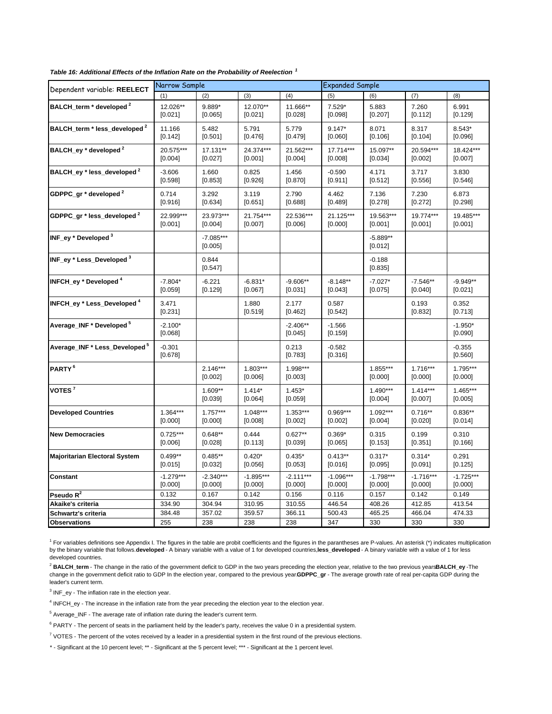|  |  | Table 16: Additional Effects of the Inflation Rate on the Probability of Reelection 1 |
|--|--|---------------------------------------------------------------------------------------|
|--|--|---------------------------------------------------------------------------------------|

| Dependent variable: REELECT               | Narrow Sample          |                        |                        |                        | <b>Expanded Sample</b>  |                        |                         |                        |
|-------------------------------------------|------------------------|------------------------|------------------------|------------------------|-------------------------|------------------------|-------------------------|------------------------|
|                                           | (1)                    | (2)                    | (3)                    | (4)                    | (5)                     | (6)                    | (7)                     | (8)                    |
| BALCH_term * developed 2                  | 12.026**<br>[0.021]    | 9.889*<br>[0.065]      | 12.070**<br>[0.021]    | 11.666**<br>[0.028]    | 7.529*<br>[0.098]       | 5.883<br>[0.207]       | 7.260<br>[0.112]        | 6.991<br>[0.129]       |
| BALCH_term * less_developed 2             | 11.166<br>[0.142]      | 5.482<br>[0.501]       | 5.791<br>$[0.476]$     | 5.779<br>[0.479]       | $9.147*$<br>[0.060]     | 8.071<br>[0.106]       | 8.317<br>[0.104]        | $8.543*$<br>[0.096]    |
| BALCH_ey * developed 2                    | 20.575***<br>[0.004]   | 17.131**<br>[0.027]    | 24.374***<br>[0.001]   | 21.562***<br>[0.004]   | 17.714***<br>[0.008]    | 15.097**<br>[0.034]    | 20.594***<br>[0.002]    | 18.424***<br>[0.007]   |
| BALCH_ey * less_developed <sup>2</sup>    | $-3.606$<br>[0.598]    | 1.660<br>[0.853]       | 0.825<br>[0.926]       | 1.456<br>[0.870]       | $-0.590$<br>[0.911]     | 4.171<br>[0.512]       | 3.717<br>[0.556]        | 3.830<br>[0.546]       |
| GDPPC_gr * developed <sup>2</sup>         | 0.714<br>[0.916]       | 3.292<br>[0.634]       | 3.119<br>[0.651]       | 2.790<br>[0.688]       | 4.462<br>[0.489]        | 7.136<br>[0.278]       | 7.230<br>[0.272]        | 6.873<br>[0.298]       |
| GDPPC_gr * less_developed <sup>2</sup>    | 22.999 ***<br>[0.001]  | 23.973***<br>[0.004]   | 21.754***<br>[0.007]   | 22.536***<br>[0.006]   | 21.125***<br>[0.000]    | 19.563***<br>[0.001]   | 19.774***<br>[0.001]    | 19.485***<br>[0.001]   |
| $INF\_ey * Development^3$                 |                        | $-7.085***$<br>[0.005] |                        |                        |                         | $-5.889**$<br>[0.012]  |                         |                        |
| INF_ey * Less_Developed 3                 |                        | 0.844<br>[0.547]       |                        |                        |                         | $-0.188$<br>[0.835]    |                         |                        |
| INFCH_ey * Developed 4                    | $-7.804*$<br>$[0.059]$ | $-6.221$<br>[0.129]    | $-6.831*$<br>$[0.067]$ | $-9.606**$<br>[0.031]  | $-8.148**$<br>$[0.043]$ | $-7.027*$<br>$[0.075]$ | $-7.546**$<br>$[0.040]$ | $-9.949**$<br>[0.021]  |
| INFCH_ey * Less_Developed <sup>4</sup>    | 3.471<br>[0.231]       |                        | 1.880<br>[0.519]       | 2.177<br>[0.462]       | 0.587<br>[0.542]        |                        | 0.193<br>[0.832]        | 0.352<br>[0.713]       |
| Average_INF * Developed 5                 | $-2.100*$<br>[0.068]   |                        |                        | $-2.406**$<br>[0.045]  | $-1.566$<br>[0.159]     |                        |                         | $-1.950*$<br>[0.090]   |
| Average_INF * Less_Developed <sup>5</sup> | $-0.301$<br>[0.678]    |                        |                        | 0.213<br>[0.783]       | $-0.582$<br>[0.316]     |                        |                         | $-0.355$<br>$[0.560]$  |
| PARTY <sup>6</sup>                        |                        | $2.146***$<br>[0.002]  | 1.803***<br>[0.006]    | 1.998***<br>[0.003]    |                         | 1.855***<br>[0.000]    | $1.716***$<br>[0.000]   | 1.795***<br>[0.000]    |
| VOTES <sup>7</sup>                        |                        | $1.609**$<br>[0.039]   | $1.414*$<br>[0.064]    | $1.453*$<br>[0.059]    |                         | $1.490***$<br>[0.004]  | $1.414***$<br>[0.007]   | 1.465***<br>$[0.005]$  |
| <b>Developed Countries</b>                | $1.364***$<br>[0.000]  | $1.757***$<br>[0.000]  | $1.048***$<br>[0.008]  | 1.353***<br>[0.002]    | 0.969***<br>$[0.002]$   | 1.092***<br>[0.004]    | $0.716**$<br>[0.020]    | $0.836**$<br>[0.014]   |
| <b>New Democracies</b>                    | $0.725***$<br>[0.006]  | $0.648**$<br>$[0.028]$ | 0.444<br>[0.113]       | $0.627**$<br>[0.039]   | $0.369*$<br>[0.065]     | 0.315<br>[0.153]       | 0.199<br>[0.351]        | 0.310<br>[0.166]       |
| <b>Majoritarian Electoral System</b>      | $0.499**$<br>[0.015]   | $0.485**$<br>[0.032]   | $0.420*$<br>[0.056]    | $0.435*$<br>[0.053]    | $0.413**$<br>[0.016]    | $0.317*$<br>[0.095]    | $0.314*$<br>[0.091]     | 0.291<br>[0.125]       |
| Constant                                  | $-1.279***$<br>[0.000] | $-2.340***$<br>[0.000] | $-1.895***$<br>[0.000] | $-2.111***$<br>[0.000] | $-1.096***$<br>[0.000]  | $-1.798***$<br>[0.000] | $-1.716***$<br>[0.000]  | $-1.725***$<br>[0.000] |
| Pseudo $R^2$                              | 0.132                  | 0.167                  | 0.142                  | 0.156                  | 0.116                   | 0.157                  | 0.142                   | 0.149                  |
| Akaike's criteria                         | 334.90                 | 304.94                 | 310.95                 | 310.55                 | 446.54                  | 408.26                 | 412.85                  | 413.54                 |
| Schwartz's criteria                       | 384.48                 | 357.02                 | 359.57                 | 366.11                 | 500.43                  | 465.25                 | 466.04                  | 474.33                 |
| <b>Observations</b>                       | 255                    | 238                    | 238                    | 238                    | 347                     | 330                    | 330                     | 330                    |

<sup>2</sup> BALCH\_term - The change in the ratio of the government deficit to GDP in the two years preceding the election year, relative to the two previous yearsBALCH\_ey -The change in the government deficit ratio to GDP In the election year, compared to the previous year. **GDPPC\_gr** - The average growth rate of real per-capita GDP during the leader's current term.

<sup>3</sup> INF\_ey - The inflation rate in the election year.

4 INFCH\_ey - The increase in the inflation rate from the year preceding the election year to the election year.

<sup>5</sup> Average\_INF - The average rate of inflation rate during the leader's current term.

<sup>6</sup> PARTY - The percent of seats in the parliament held by the leader's party, receives the value 0 in a presidential system.

 $^7$  VOTES - The percent of the votes received by a leader in a presidential system in the first round of the previous elections.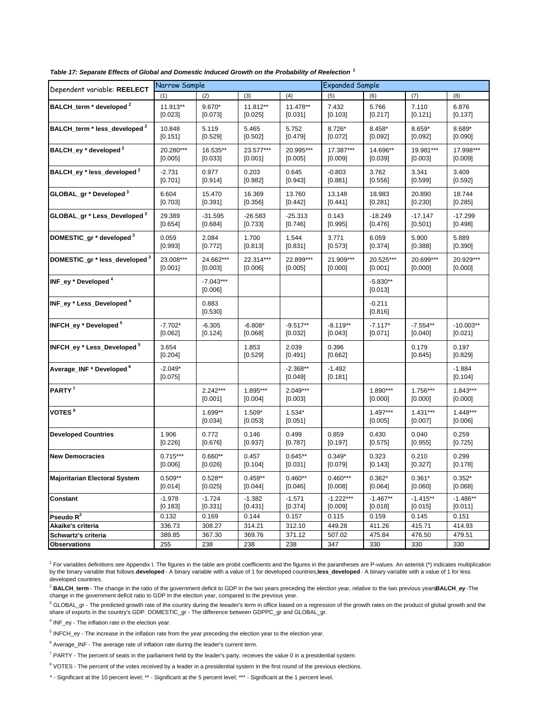|  | Table 17: Separate Effects of Global and Domestic Induced Growth on the Probability of Reelection 1 |
|--|-----------------------------------------------------------------------------------------------------|
|--|-----------------------------------------------------------------------------------------------------|

| Dependent variable: REELECT              | Narrow Sample        |                        |                     |                       | Expanded Sample     |                       |                       |                       |
|------------------------------------------|----------------------|------------------------|---------------------|-----------------------|---------------------|-----------------------|-----------------------|-----------------------|
|                                          | (1)                  | (2)                    | (3)                 | (4)                   | (5)                 | (6)                   | (7)                   | (8)                   |
| BALCH_term * developed 2                 | 11.913**             | $9.670*$               | 11.812**            | 11.478**              | 7.432               | 5.766                 | 7.110                 | 6.876                 |
|                                          | $[0.023]$            | [0.073]                | [0.025]             | [0.031]               | [0.103]             | [0.217]               | [0.121]               | [0.137]               |
| BALCH_term * less_developed <sup>2</sup> | 10.848               | 5.119                  | 5.465               | 5.752                 | 8.726*              | $8.458*$              | 8.659*                | 8.689*                |
|                                          | [0.151]              | [0.529]                | [0.502]             | $[0.479]$             | [0.072]             | [0.092]               | [0.092]               | [0.090]               |
| BALCH_ey * developed <sup>2</sup>        | 20.280***            | 16.535**               | 23.577***           | 20.995***             | 17.387***           | 14.696**              | 19.981***             | 17.998***             |
|                                          | [0.005]              | [0.033]                | [0.001]             | [0.005]               | [0.009]             | [0.039]               | [0.003]               | [0.009]               |
| BALCH_ey * less_developed <sup>2</sup>   | $-2.731$             | 0.977                  | 0.203               | 0.645                 | $-0.803$            | 3.762                 | 3.341                 | 3.409                 |
|                                          | [0.701]              | [0.914]                | [0.982]             | [0.943]               | [0.881]             | [0.556]               | [0.599]               | [0.592]               |
| GLOBAL_gr * Developed 3                  | 6.604                | 15.470                 | 16.369              | 13.760                | 13.148              | 18.983                | 20.890                | 18.744                |
|                                          | [0.703]              | [0.391]                | [0.356]             | [0.442]               | [0.441]             | [0.281]               | $[0.230]$             | [0.285]               |
| GLOBAL_gr * Less_Developed <sup>3</sup>  | 29.389               | $-31.595$              | $-26.583$           | $-25.313$             | 0.143               | $-18.249$             | $-17.147$             | $-17.299$             |
|                                          | [0.654]              | $[0.684]$              | $[0.733]$           | [0.746]               | [0.995]             | [0.476]               | [0.501]               | [0.498]               |
| DOMESTIC_gr * developed 3                | 0.059                | 2.084                  | 1.700               | 1.544                 | 3.771               | 6.059                 | 5.900                 | 5.889                 |
|                                          | [0.993]              | [0.772]                | [0.813]             | [0.831]               | [0.573]             | [0.374]               | [0.388]               | [0.390]               |
| DOMESTIC_gr * less_developed 3           | 23.008***            | 24.662***              | 22.314***           | 22.899***             | 21.909***           | 20.525***             | 20.699***             | 20.929***             |
|                                          | [0.001]              | [0.003]                | [0.006]             | [0.005]               | [0.000]             | [0.001]               | [0.000]               | [0.000]               |
| INF_ey * Developed 4                     |                      | $-7.043***$<br>[0.006] |                     |                       |                     | $-5.830**$<br>[0.013] |                       |                       |
| INF_ey * Less_Developed <sup>4</sup>     |                      | 0.883<br>[0.530]       |                     |                       |                     | $-0.211$<br>[0.816]   |                       |                       |
| INFCH_ey * Developed 5                   | $-7.702*$            | $-6.305$               | $-6.808*$           | $-9.517**$            | $-8.119**$          | $-7.117*$             | $-7.554**$            | $-10.003**$           |
|                                          | [0.062]              | [0.124]                | [0.068]             | [0.032]               | [0.043]             | [0.071]               | [0.040]               | [0.021]               |
| INFCH_ey * Less_Developed 5              | 3.654<br>[0.204]     |                        | 1.853<br>[0.529]    | 2.039<br>[0.491]      | 0.396<br>[0.662]    |                       | 0.179<br>[0.845]      | 0.197<br>[0.829]      |
| Average_INF * Developed 6                | $-2.049*$<br>[0.075] |                        |                     | $-2.368**$<br>[0.049] | $-1.492$<br>[0.181] |                       |                       | $-1.884$<br>[0.104]   |
| PARTY <sup>7</sup>                       |                      | $2.242***$<br>[0.001]  | 1.895***<br>[0.004] | $2.049***$<br>[0.003] |                     | 1.890***<br>[0.000]   | 1.756***<br>[0.000]   | $1.843***$<br>[0.000] |
| VOTES <sup>8</sup>                       |                      | 1.699**<br>[0.034]     | 1.509*<br>[0.053]   | 1.534*<br>[0.051]     |                     | 1.497***<br>[0.005]   | $1.431***$<br>[0.007] | $1.448***$<br>[0.006] |
| <b>Developed Countries</b>               | 1.906                | 0.772                  | 0.146               | 0.499                 | 0.859               | 0.430                 | 0.040                 | 0.259                 |
|                                          | [0.226]              | [0.676]                | [0.937]             | [0.787]               | [0.197]             | [0.575]               | [0.955]               | [0.725]               |
| <b>New Democracies</b>                   | $0.715***$           | $0.660**$              | 0.457               | $0.645**$             | $0.349*$            | 0.323                 | 0.210                 | 0.299                 |
|                                          | [0.006]              | [0.026]                | [0.104]             | [0.031]               | [0.079]             | [0.143]               | [0.327]               | [0.178]               |
| <b>Majoritarian Electoral System</b>     | $0.509**$            | $0.528**$              | $0.459**$           | $0.460**$             | $0.460***$          | $0.362*$              | $0.361*$              | $0.352*$              |
|                                          | [0.014]              | $[0.025]$              | $[0.044]$           | [0.046]               | [0.008]             | [0.064]               | [0.060]               | [0.068]               |
| Constant                                 | $-1.978$             | $-1.724$               | $-1.382$            | $-1.571$              | $-1.222***$         | $-1.467**$            | $-1.415**$            | $-1.486**$            |
|                                          | [0.183]              | [0.331]                | [0.431]             | [0.374]               | [0.009]             | [0.018]               | [0.015]               | [0.011]               |
| Pseudo $R^2$                             | 0.132                | 0.169                  | 0.144               | 0.157                 | 0.115               | 0.159                 | 0.145                 | 0.151                 |
| Akaike's criteria                        | 336.73               | 308.27                 | 314.21              | 312.10                | 449.28              | 411.26                | 415.71                | 414.93                |
| Schwartz's criteria                      | 389.85               | 367.30                 | 369.76              | 371.12                | 507.02              | 475.84                | 476.50                | 479.51                |
| <b>Observations</b>                      | 255                  | 238                    | 238                 | 238                   | 347                 | 330                   | 330                   | 330                   |

<sup>2</sup> BALCH\_term - The change in the ratio of the government deficit to GDP in the two years preceding the election year, relative to the two previous yearsBALCH\_ey -The change in the government deficit ratio to GDP In the election year, compared to the previous year.

<sup>3</sup> GLOBAL\_gr - The predicted growth rate of the country during the leeader's term in office based on a regression of the growth rates on the product of global growth and the share of exports in the country's GDP. DOMESTIC\_gr - The difference between GDPPC\_gr and GLOBAL\_gr.

<sup>4</sup> INF\_ey - The inflation rate in the election year.

<sup>5</sup> INFCH\_ey - The increase in the inflation rate from the year preceding the election year to the election year.

 $6$  Average\_INF - The average rate of inflation rate during the leader's current term.

 $^7$  PARTY - The percent of seats in the parliament held by the leader's party, receives the value 0 in a presidential system.

 $8$  VOTES - The percent of the votes received by a leader in a presidential system in the first round of the previous elections.